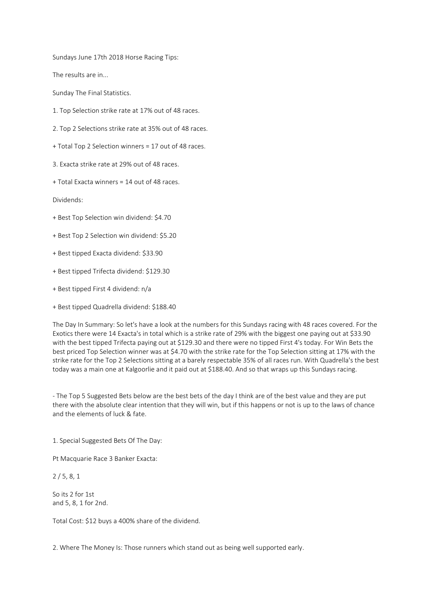Sundays June 17th 2018 Horse Racing Tips:

The results are in...

Sunday The Final Statistics.

- 1. Top Selection strike rate at 17% out of 48 races.
- 2. Top 2 Selections strike rate at 35% out of 48 races.
- + Total Top 2 Selection winners = 17 out of 48 races.
- 3. Exacta strike rate at 29% out of 48 races.
- + Total Exacta winners = 14 out of 48 races.

Dividends:

- + Best Top Selection win dividend: \$4.70
- + Best Top 2 Selection win dividend: \$5.20
- + Best tipped Exacta dividend: \$33.90
- + Best tipped Trifecta dividend: \$129.30
- + Best tipped First 4 dividend: n/a
- + Best tipped Quadrella dividend: \$188.40

The Day In Summary: So let's have a look at the numbers for this Sundays racing with 48 races covered. For the Exotics there were 14 Exacta's in total which is a strike rate of 29% with the biggest one paying out at \$33.90 with the best tipped Trifecta paying out at \$129.30 and there were no tipped First 4's today. For Win Bets the best priced Top Selection winner was at \$4.70 with the strike rate for the Top Selection sitting at 17% with the strike rate for the Top 2 Selections sitting at a barely respectable 35% of all races run. With Quadrella's the best today was a main one at Kalgoorlie and it paid out at \$188.40. And so that wraps up this Sundays racing.

- The Top 5 Suggested Bets below are the best bets of the day I think are of the best value and they are put there with the absolute clear intention that they will win, but if this happens or not is up to the laws of chance and the elements of luck & fate.

1. Special Suggested Bets Of The Day:

Pt Macquarie Race 3 Banker Exacta:

2 / 5, 8, 1

So its 2 for 1st and 5, 8, 1 for 2nd.

Total Cost: \$12 buys a 400% share of the dividend.

2. Where The Money Is: Those runners which stand out as being well supported early.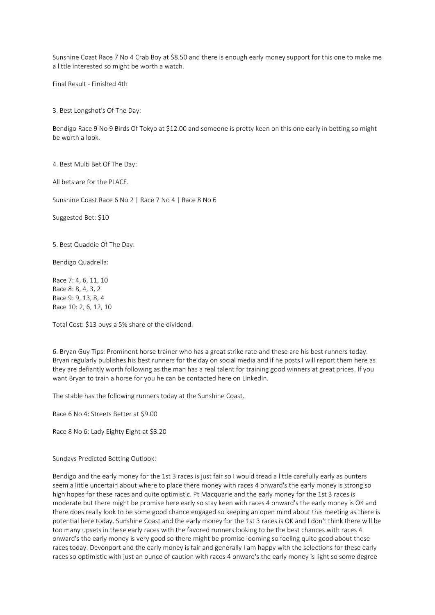Sunshine Coast Race 7 No 4 Crab Boy at \$8.50 and there is enough early money support for this one to make me a little interested so might be worth a watch.

Final Result - Finished 4th

3. Best Longshot's Of The Day:

Bendigo Race 9 No 9 Birds Of Tokyo at \$12.00 and someone is pretty keen on this one early in betting so might be worth a look.

4. Best Multi Bet Of The Day:

All bets are for the PLACE.

Sunshine Coast Race 6 No 2 | Race 7 No 4 | Race 8 No 6

Suggested Bet: \$10

5. Best Quaddie Of The Day:

Bendigo Quadrella:

Race 7: 4, 6, 11, 10 Race 8: 8, 4, 3, 2 Race 9: 9, 13, 8, 4 Race 10: 2, 6, 12, 10

Total Cost: \$13 buys a 5% share of the dividend.

6. Bryan Guy Tips: Prominent horse trainer who has a great strike rate and these are his best runners today. Bryan regularly publishes his best runners for the day on social media and if he posts I will report them here as they are defiantly worth following as the man has a real talent for training good winners at great prices. If you want Bryan to train a horse for you he can be contacted here on LinkedIn.

The stable has the following runners today at the Sunshine Coast.

Race 6 No 4: Streets Better at \$9.00

Race 8 No 6: Lady Eighty Eight at \$3.20

Sundays Predicted Betting Outlook:

Bendigo and the early money for the 1st 3 races is just fair so I would tread a little carefully early as punters seem a little uncertain about where to place there money with races 4 onward's the early money is strong so high hopes for these races and quite optimistic. Pt Macquarie and the early money for the 1st 3 races is moderate but there might be promise here early so stay keen with races 4 onward's the early money is OK and there does really look to be some good chance engaged so keeping an open mind about this meeting as there is potential here today. Sunshine Coast and the early money for the 1st 3 races is OK and I don't think there will be too many upsets in these early races with the favored runners looking to be the best chances with races 4 onward's the early money is very good so there might be promise looming so feeling quite good about these races today. Devonport and the early money is fair and generally I am happy with the selections for these early races so optimistic with just an ounce of caution with races 4 onward's the early money is light so some degree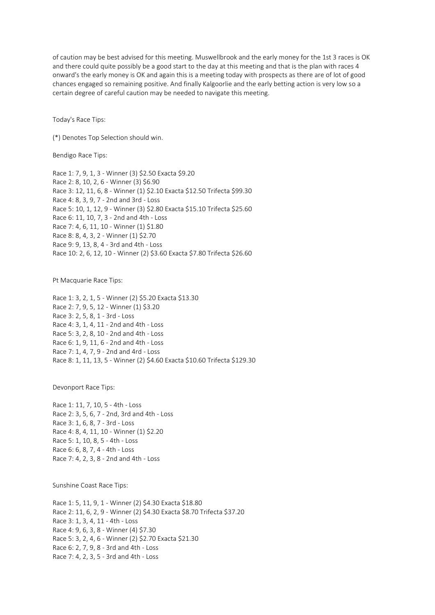of caution may be best advised for this meeting. Muswellbrook and the early money for the 1st 3 races is OK and there could quite possibly be a good start to the day at this meeting and that is the plan with races 4 onward's the early money is OK and again this is a meeting today with prospects as there are of lot of good chances engaged so remaining positive. And finally Kalgoorlie and the early betting action is very low so a certain degree of careful caution may be needed to navigate this meeting.

Today's Race Tips:

(\*) Denotes Top Selection should win.

Bendigo Race Tips:

Race 1: 7, 9, 1, 3 - Winner (3) \$2.50 Exacta \$9.20 Race 2: 8, 10, 2, 6 - Winner (3) \$6.90 Race 3: 12, 11, 6, 8 - Winner (1) \$2.10 Exacta \$12.50 Trifecta \$99.30 Race 4: 8, 3, 9, 7 - 2nd and 3rd - Loss Race 5: 10, 1, 12, 9 - Winner (3) \$2.80 Exacta \$15.10 Trifecta \$25.60 Race 6: 11, 10, 7, 3 - 2nd and 4th - Loss Race 7: 4, 6, 11, 10 - Winner (1) \$1.80 Race 8: 8, 4, 3, 2 - Winner (1) \$2.70 Race 9: 9, 13, 8, 4 - 3rd and 4th - Loss Race 10: 2, 6, 12, 10 - Winner (2) \$3.60 Exacta \$7.80 Trifecta \$26.60

Pt Macquarie Race Tips:

Race 1: 3, 2, 1, 5 - Winner (2) \$5.20 Exacta \$13.30 Race 2: 7, 9, 5, 12 - Winner (1) \$3.20 Race 3: 2, 5, 8, 1 - 3rd - Loss Race 4: 3, 1, 4, 11 - 2nd and 4th - Loss Race 5: 3, 2, 8, 10 - 2nd and 4th - Loss Race 6: 1, 9, 11, 6 - 2nd and 4th - Loss Race 7: 1, 4, 7, 9 - 2nd and 4rd - Loss Race 8: 1, 11, 13, 5 - Winner (2) \$4.60 Exacta \$10.60 Trifecta \$129.30

Devonport Race Tips:

Race 1: 11, 7, 10, 5 - 4th - Loss Race 2: 3, 5, 6, 7 - 2nd, 3rd and 4th - Loss Race 3: 1, 6, 8, 7 - 3rd - Loss Race 4: 8, 4, 11, 10 - Winner (1) \$2.20 Race 5: 1, 10, 8, 5 - 4th - Loss Race 6: 6, 8, 7, 4 - 4th - Loss Race 7: 4, 2, 3, 8 - 2nd and 4th - Loss

Sunshine Coast Race Tips:

Race 1: 5, 11, 9, 1 - Winner (2) \$4.30 Exacta \$18.80 Race 2: 11, 6, 2, 9 - Winner (2) \$4.30 Exacta \$8.70 Trifecta \$37.20 Race 3: 1, 3, 4, 11 - 4th - Loss Race 4: 9, 6, 3, 8 - Winner (4) \$7.30 Race 5: 3, 2, 4, 6 - Winner (2) \$2.70 Exacta \$21.30 Race 6: 2, 7, 9, 8 - 3rd and 4th - Loss Race 7: 4, 2, 3, 5 - 3rd and 4th - Loss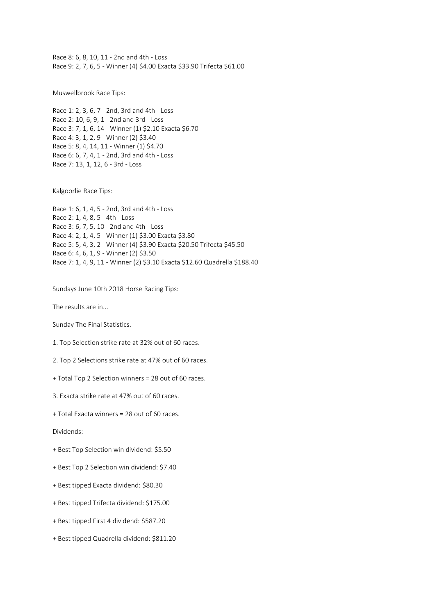Race 8: 6, 8, 10, 11 - 2nd and 4th - Loss Race 9: 2, 7, 6, 5 - Winner (4) \$4.00 Exacta \$33.90 Trifecta \$61.00

Muswellbrook Race Tips:

Race 1: 2, 3, 6, 7 - 2nd, 3rd and 4th - Loss Race 2: 10, 6, 9, 1 - 2nd and 3rd - Loss Race 3: 7, 1, 6, 14 - Winner (1) \$2.10 Exacta \$6.70 Race 4: 3, 1, 2, 9 - Winner (2) \$3.40 Race 5: 8, 4, 14, 11 - Winner (1) \$4.70 Race 6: 6, 7, 4, 1 - 2nd, 3rd and 4th - Loss Race 7: 13, 1, 12, 6 - 3rd - Loss

Kalgoorlie Race Tips:

Race 1: 6, 1, 4, 5 - 2nd, 3rd and 4th - Loss Race 2: 1, 4, 8, 5 - 4th - Loss Race 3: 6, 7, 5, 10 - 2nd and 4th - Loss Race 4: 2, 1, 4, 5 - Winner (1) \$3.00 Exacta \$3.80 Race 5: 5, 4, 3, 2 - Winner (4) \$3.90 Exacta \$20.50 Trifecta \$45.50 Race 6: 4, 6, 1, 9 - Winner (2) \$3.50 Race 7: 1, 4, 9, 11 - Winner (2) \$3.10 Exacta \$12.60 Quadrella \$188.40

Sundays June 10th 2018 Horse Racing Tips:

The results are in...

Sunday The Final Statistics.

1. Top Selection strike rate at 32% out of 60 races.

2. Top 2 Selections strike rate at 47% out of 60 races.

+ Total Top 2 Selection winners = 28 out of 60 races.

3. Exacta strike rate at 47% out of 60 races.

+ Total Exacta winners = 28 out of 60 races.

Dividends:

+ Best Top Selection win dividend: \$5.50

+ Best Top 2 Selection win dividend: \$7.40

+ Best tipped Exacta dividend: \$80.30

+ Best tipped Trifecta dividend: \$175.00

+ Best tipped First 4 dividend: \$587.20

+ Best tipped Quadrella dividend: \$811.20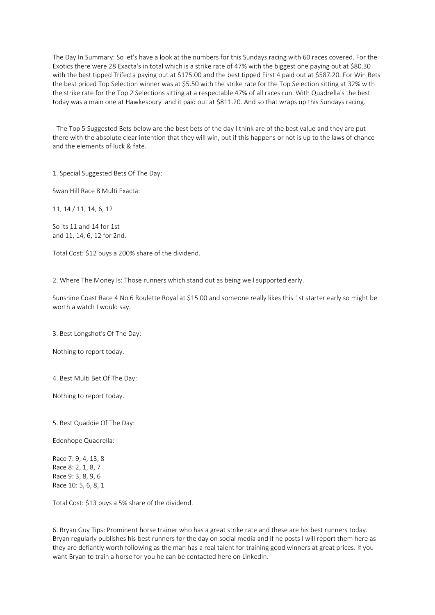The Day In Summary: So let's have a look at the numbers for this Sundays racing with 60 races covered. For the Exotics there were 28 Exacta's in total which is a strike rate of 47% with the biggest one paying out at \$80.30 with the best tipped Trifecta paying out at \$175.00 and the best tipped First 4 paid out at \$587.20. For Win Bets the best priced Top Selection winner was at \$5.50 with the strike rate for the Top Selection sitting at 32% with the strike rate for the Top 2 Selections sitting at a respectable 47% of all races run. With Quadrella's the best today was a main one at Hawkesbury and it paid out at \$811.20. And so that wraps up this Sundays racing.

- The Top 5 Suggested Bets below are the best bets of the day I think are of the best value and they are put there with the absolute clear intention that they will win, but if this happens or not is up to the laws of chance and the elements of luck & fate.

1. Special Suggested Bets Of The Day:

Swan Hill Race 8 Multi Exacta:

11, 14 / 11, 14, 6, 12

So its 11 and 14 for 1st and 11, 14, 6, 12 for 2nd.

Total Cost: \$12 buys a 200% share of the dividend.

2. Where The Money Is: Those runners which stand out as being well supported early.

Sunshine Coast Race 4 No 6 Roulette Royal at \$15.00 and someone really likes this 1st starter early so might be worth a watch I would say.

3. Best Longshot's Of The Day:

Nothing to report today.

4. Best Multi Bet Of The Day:

Nothing to report today.

5. Best Quaddie Of The Day:

Edenhope Quadrella:

Race 7: 9, 4, 13, 8 Race 8: 2, 1, 8, 7 Race 9: 3, 8, 9, 6 Race 10: 5, 6, 8, 1

Total Cost: \$13 buys a 5% share of the dividend.

6. Bryan Guy Tips: Prominent horse trainer who has a great strike rate and these are his best runners today. Bryan regularly publishes his best runners for the day on social media and if he posts I will report them here as they are defiantly worth following as the man has a real talent for training good winners at great prices. If you want Bryan to train a horse for you he can be contacted here on LinkedIn.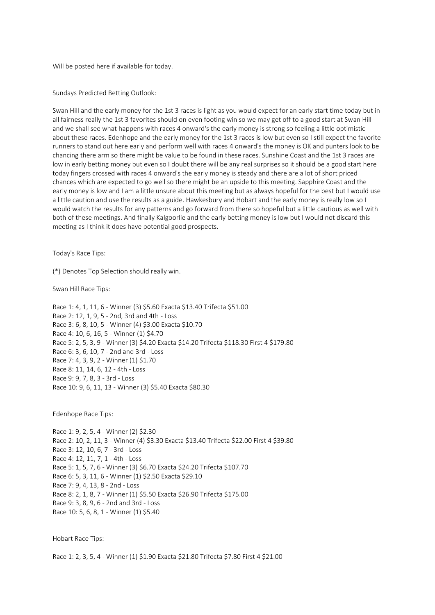Will be posted here if available for today.

Sundays Predicted Betting Outlook:

Swan Hill and the early money for the 1st 3 races is light as you would expect for an early start time today but in all fairness really the 1st 3 favorites should on even footing win so we may get off to a good start at Swan Hill and we shall see what happens with races 4 onward's the early money is strong so feeling a little optimistic about these races. Edenhope and the early money for the 1st 3 races is low but even so I still expect the favorite runners to stand out here early and perform well with races 4 onward's the money is OK and punters look to be chancing there arm so there might be value to be found in these races. Sunshine Coast and the 1st 3 races are low in early betting money but even so I doubt there will be any real surprises so it should be a good start here today fingers crossed with races 4 onward's the early money is steady and there are a lot of short priced chances which are expected to go well so there might be an upside to this meeting. Sapphire Coast and the early money is low and I am a little unsure about this meeting but as always hopeful for the best but I would use a little caution and use the results as a guide. Hawkesbury and Hobart and the early money is really low so I would watch the results for any patterns and go forward from there so hopeful but a little cautious as well with both of these meetings. And finally Kalgoorlie and the early betting money is low but I would not discard this meeting as I think it does have potential good prospects.

Today's Race Tips:

(\*) Denotes Top Selection should really win.

Swan Hill Race Tips:

Race 1: 4, 1, 11, 6 - Winner (3) \$5.60 Exacta \$13.40 Trifecta \$51.00 Race 2: 12, 1, 9, 5 - 2nd, 3rd and 4th - Loss Race 3: 6, 8, 10, 5 - Winner (4) \$3.00 Exacta \$10.70 Race 4: 10, 6, 16, 5 - Winner (1) \$4.70 Race 5: 2, 5, 3, 9 - Winner (3) \$4.20 Exacta \$14.20 Trifecta \$118.30 First 4 \$179.80 Race 6: 3, 6, 10, 7 - 2nd and 3rd - Loss Race 7: 4, 3, 9, 2 - Winner (1) \$1.70 Race 8: 11, 14, 6, 12 - 4th - Loss Race 9: 9, 7, 8, 3 - 3rd - Loss Race 10: 9, 6, 11, 13 - Winner (3) \$5.40 Exacta \$80.30

Edenhope Race Tips:

Race 1: 9, 2, 5, 4 - Winner (2) \$2.30 Race 2: 10, 2, 11, 3 - Winner (4) \$3.30 Exacta \$13.40 Trifecta \$22.00 First 4 \$39.80 Race 3: 12, 10, 6, 7 - 3rd - Loss Race 4: 12, 11, 7, 1 - 4th - Loss Race 5: 1, 5, 7, 6 - Winner (3) \$6.70 Exacta \$24.20 Trifecta \$107.70 Race 6: 5, 3, 11, 6 - Winner (1) \$2.50 Exacta \$29.10 Race 7: 9, 4, 13, 8 - 2nd - Loss Race 8: 2, 1, 8, 7 - Winner (1) \$5.50 Exacta \$26.90 Trifecta \$175.00 Race 9: 3, 8, 9, 6 - 2nd and 3rd - Loss Race 10: 5, 6, 8, 1 - Winner (1) \$5.40

Hobart Race Tips:

Race 1: 2, 3, 5, 4 - Winner (1) \$1.90 Exacta \$21.80 Trifecta \$7.80 First 4 \$21.00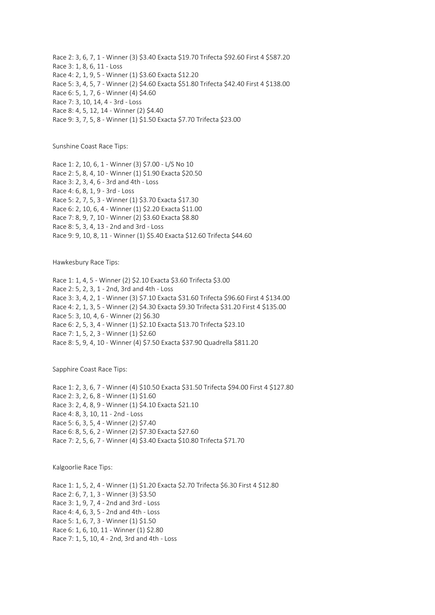Race 2: 3, 6, 7, 1 - Winner (3) \$3.40 Exacta \$19.70 Trifecta \$92.60 First 4 \$587.20 Race 3: 1, 8, 6, 11 - Loss Race 4: 2, 1, 9, 5 - Winner (1) \$3.60 Exacta \$12.20 Race 5: 3, 4, 5, 7 - Winner (2) \$4.60 Exacta \$51.80 Trifecta \$42.40 First 4 \$138.00 Race 6: 5, 1, 7, 6 - Winner (4) \$4.60 Race 7: 3, 10, 14, 4 - 3rd - Loss Race 8: 4, 5, 12, 14 - Winner (2) \$4.40 Race 9: 3, 7, 5, 8 - Winner (1) \$1.50 Exacta \$7.70 Trifecta \$23.00

Sunshine Coast Race Tips:

Race 1: 2, 10, 6, 1 - Winner (3) \$7.00 - L/S No 10 Race 2: 5, 8, 4, 10 - Winner (1) \$1.90 Exacta \$20.50 Race 3: 2, 3, 4, 6 - 3rd and 4th - Loss Race 4: 6, 8, 1, 9 - 3rd - Loss Race 5: 2, 7, 5, 3 - Winner (1) \$3.70 Exacta \$17.30 Race 6: 2, 10, 6, 4 - Winner (1) \$2.20 Exacta \$11.00 Race 7: 8, 9, 7, 10 - Winner (2) \$3.60 Exacta \$8.80 Race 8: 5, 3, 4, 13 - 2nd and 3rd - Loss Race 9: 9, 10, 8, 11 - Winner (1) \$5.40 Exacta \$12.60 Trifecta \$44.60

Hawkesbury Race Tips:

Race 1: 1, 4, 5 - Winner (2) \$2.10 Exacta \$3.60 Trifecta \$3.00 Race 2: 5, 2, 3, 1 - 2nd, 3rd and 4th - Loss Race 3: 3, 4, 2, 1 - Winner (3) \$7.10 Exacta \$31.60 Trifecta \$96.60 First 4 \$134.00 Race 4: 2, 1, 3, 5 - Winner (2) \$4.30 Exacta \$9.30 Trifecta \$31.20 First 4 \$135.00 Race 5: 3, 10, 4, 6 - Winner (2) \$6.30 Race 6: 2, 5, 3, 4 - Winner (1) \$2.10 Exacta \$13.70 Trifecta \$23.10 Race 7: 1, 5, 2, 3 - Winner (1) \$2.60 Race 8: 5, 9, 4, 10 - Winner (4) \$7.50 Exacta \$37.90 Quadrella \$811.20

Sapphire Coast Race Tips:

Race 1: 2, 3, 6, 7 - Winner (4) \$10.50 Exacta \$31.50 Trifecta \$94.00 First 4 \$127.80 Race 2: 3, 2, 6, 8 - Winner (1) \$1.60 Race 3: 2, 4, 8, 9 - Winner (1) \$4.10 Exacta \$21.10 Race 4: 8, 3, 10, 11 - 2nd - Loss Race 5: 6, 3, 5, 4 - Winner (2) \$7.40 Race 6: 8, 5, 6, 2 - Winner (2) \$7.30 Exacta \$27.60 Race 7: 2, 5, 6, 7 - Winner (4) \$3.40 Exacta \$10.80 Trifecta \$71.70

Kalgoorlie Race Tips:

Race 1: 1, 5, 2, 4 - Winner (1) \$1.20 Exacta \$2.70 Trifecta \$6.30 First 4 \$12.80 Race 2: 6, 7, 1, 3 - Winner (3) \$3.50 Race 3: 1, 9, 7, 4 - 2nd and 3rd - Loss Race 4: 4, 6, 3, 5 - 2nd and 4th - Loss Race 5: 1, 6, 7, 3 - Winner (1) \$1.50 Race 6: 1, 6, 10, 11 - Winner (1) \$2.80 Race 7: 1, 5, 10, 4 - 2nd, 3rd and 4th - Loss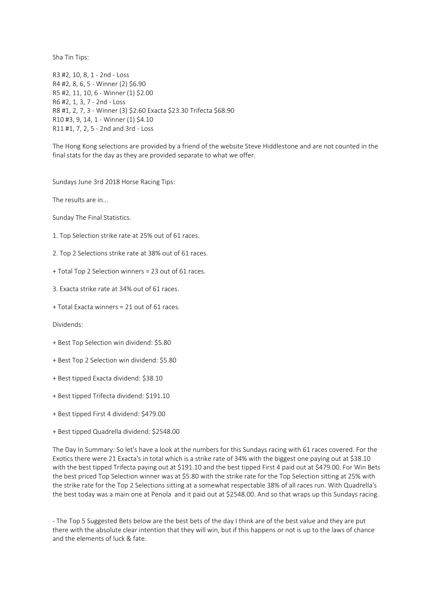Sha Tin Tips:

R3 #2, 10, 8, 1 - 2nd - Loss R4 #2, 8, 6, 5 - Winner (2) \$6.90 R5 #2, 11, 10, 6 - Winner (1) \$2.00 R6 #2, 1, 3, 7 - 2nd - Loss R8 #1, 2, 7, 3 - Winner (3) \$2.60 Exacta \$23.30 Trifecta \$68.90 R10 #3, 9, 14, 1 - Winner (1) \$4.10 R11 #1, 7, 2, 5 - 2nd and 3rd - Loss

The Hong Kong selections are provided by a friend of the website Steve Hiddlestone and are not counted in the final stats for the day as they are provided separate to what we offer.

Sundays June 3rd 2018 Horse Racing Tips:

The results are in...

Sunday The Final Statistics.

- 1. Top Selection strike rate at 25% out of 61 races.
- 2. Top 2 Selections strike rate at 38% out of 61 races.
- + Total Top 2 Selection winners = 23 out of 61 races.
- 3. Exacta strike rate at 34% out of 61 races.
- + Total Exacta winners = 21 out of 61 races.

Dividends:

- + Best Top Selection win dividend: \$5.80
- + Best Top 2 Selection win dividend: \$5.80
- + Best tipped Exacta dividend: \$38.10
- + Best tipped Trifecta dividend: \$191.10
- + Best tipped First 4 dividend: \$479.00
- + Best tipped Quadrella dividend: \$2548.00

The Day In Summary: So let's have a look at the numbers for this Sundays racing with 61 races covered. For the Exotics there were 21 Exacta's in total which is a strike rate of 34% with the biggest one paying out at \$38.10 with the best tipped Trifecta paying out at \$191.10 and the best tipped First 4 paid out at \$479.00. For Win Bets the best priced Top Selection winner was at \$5.80 with the strike rate for the Top Selection sitting at 25% with the strike rate for the Top 2 Selections sitting at a somewhat respectable 38% of all races run. With Quadrella's the best today was a main one at Penola and it paid out at \$2548.00. And so that wraps up this Sundays racing.

- The Top 5 Suggested Bets below are the best bets of the day I think are of the best value and they are put there with the absolute clear intention that they will win, but if this happens or not is up to the laws of chance and the elements of luck & fate.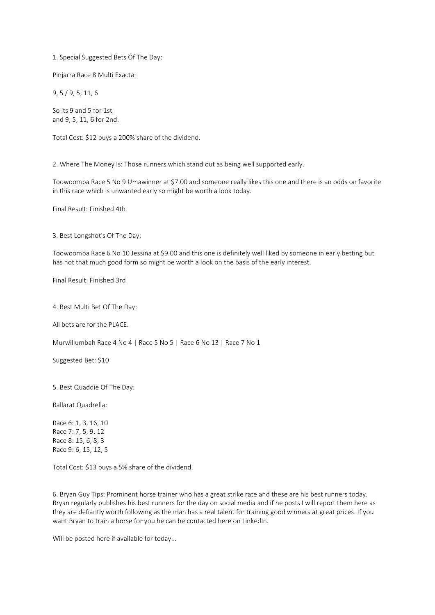1. Special Suggested Bets Of The Day:

Pinjarra Race 8 Multi Exacta:

9, 5 / 9, 5, 11, 6

So its 9 and 5 for 1st and 9, 5, 11, 6 for 2nd.

Total Cost: \$12 buys a 200% share of the dividend.

2. Where The Money Is: Those runners which stand out as being well supported early.

Toowoomba Race 5 No 9 Umawinner at \$7.00 and someone really likes this one and there is an odds on favorite in this race which is unwanted early so might be worth a look today.

Final Result: Finished 4th

3. Best Longshot's Of The Day:

Toowoomba Race 6 No 10 Jessina at \$9.00 and this one is definitely well liked by someone in early betting but has not that much good form so might be worth a look on the basis of the early interest.

Final Result: Finished 3rd

4. Best Multi Bet Of The Day:

All bets are for the PLACE.

Murwillumbah Race 4 No 4 | Race 5 No 5 | Race 6 No 13 | Race 7 No 1

Suggested Bet: \$10

5. Best Quaddie Of The Day:

Ballarat Quadrella:

Race 6: 1, 3, 16, 10 Race 7: 7, 5, 9, 12 Race 8: 15, 6, 8, 3 Race 9: 6, 15, 12, 5

Total Cost: \$13 buys a 5% share of the dividend.

6. Bryan Guy Tips: Prominent horse trainer who has a great strike rate and these are his best runners today. Bryan regularly publishes his best runners for the day on social media and if he posts I will report them here as they are defiantly worth following as the man has a real talent for training good winners at great prices. If you want Bryan to train a horse for you he can be contacted here on LinkedIn.

Will be posted here if available for today...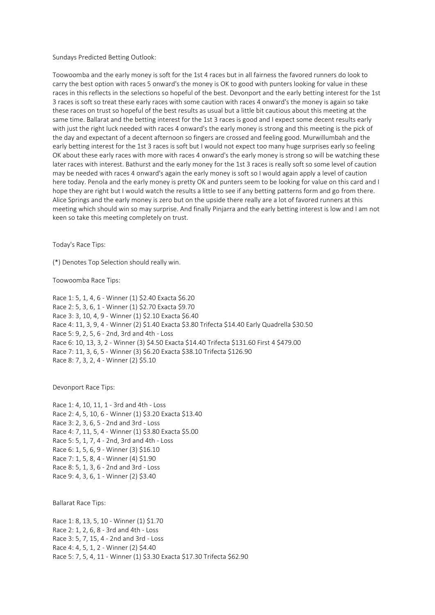Sundays Predicted Betting Outlook:

Toowoomba and the early money is soft for the 1st 4 races but in all fairness the favored runners do look to carry the best option with races 5 onward's the money is OK to good with punters looking for value in these races in this reflects in the selections so hopeful of the best. Devonport and the early betting interest for the 1st 3 races is soft so treat these early races with some caution with races 4 onward's the money is again so take these races on trust so hopeful of the best results as usual but a little bit cautious about this meeting at the same time. Ballarat and the betting interest for the 1st 3 races is good and I expect some decent results early with just the right luck needed with races 4 onward's the early money is strong and this meeting is the pick of the day and expectant of a decent afternoon so fingers are crossed and feeling good. Murwillumbah and the early betting interest for the 1st 3 races is soft but I would not expect too many huge surprises early so feeling OK about these early races with more with races 4 onward's the early money is strong so will be watching these later races with interest. Bathurst and the early money for the 1st 3 races is really soft so some level of caution may be needed with races 4 onward's again the early money is soft so I would again apply a level of caution here today. Penola and the early money is pretty OK and punters seem to be looking for value on this card and I hope they are right but I would watch the results a little to see if any betting patterns form and go from there. Alice Springs and the early money is zero but on the upside there really are a lot of favored runners at this meeting which should win so may surprise. And finally Pinjarra and the early betting interest is low and I am not keen so take this meeting completely on trust.

Today's Race Tips:

(\*) Denotes Top Selection should really win.

Toowoomba Race Tips:

Race 1: 5, 1, 4, 6 - Winner (1) \$2.40 Exacta \$6.20 Race 2: 5, 3, 6, 1 - Winner (1) \$2.70 Exacta \$9.70 Race 3: 3, 10, 4, 9 - Winner (1) \$2.10 Exacta \$6.40 Race 4: 11, 3, 9, 4 - Winner (2) \$1.40 Exacta \$3.80 Trifecta \$14.40 Early Quadrella \$30.50 Race 5: 9, 2, 5, 6 - 2nd, 3rd and 4th - Loss Race 6: 10, 13, 3, 2 - Winner (3) \$4.50 Exacta \$14.40 Trifecta \$131.60 First 4 \$479.00 Race 7: 11, 3, 6, 5 - Winner (3) \$6.20 Exacta \$38.10 Trifecta \$126.90 Race 8: 7, 3, 2, 4 - Winner (2) \$5.10

Devonport Race Tips:

Race 1: 4, 10, 11, 1 - 3rd and 4th - Loss Race 2: 4, 5, 10, 6 - Winner (1) \$3.20 Exacta \$13.40 Race 3: 2, 3, 6, 5 - 2nd and 3rd - Loss Race 4: 7, 11, 5, 4 - Winner (1) \$3.80 Exacta \$5.00 Race 5: 5, 1, 7, 4 - 2nd, 3rd and 4th - Loss Race 6: 1, 5, 6, 9 - Winner (3) \$16.10 Race 7: 1, 5, 8, 4 - Winner (4) \$1.90 Race 8: 5, 1, 3, 6 - 2nd and 3rd - Loss Race 9: 4, 3, 6, 1 - Winner (2) \$3.40

Ballarat Race Tips:

Race 1: 8, 13, 5, 10 - Winner (1) \$1.70 Race 2: 1, 2, 6, 8 - 3rd and 4th - Loss Race 3: 5, 7, 15, 4 - 2nd and 3rd - Loss Race 4: 4, 5, 1, 2 - Winner (2) \$4.40 Race 5: 7, 5, 4, 11 - Winner (1) \$3.30 Exacta \$17.30 Trifecta \$62.90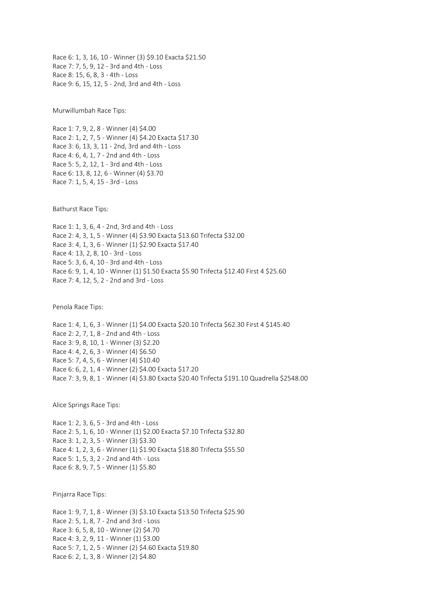Race 6: 1, 3, 16, 10 - Winner (3) \$9.10 Exacta \$21.50 Race 7: 7, 5, 9, 12 - 3rd and 4th - Loss Race 8: 15, 6, 8, 3 - 4th - Loss Race 9: 6, 15, 12, 5 - 2nd, 3rd and 4th - Loss

Murwillumbah Race Tips:

Race 1: 7, 9, 2, 8 - Winner (4) \$4.00 Race 2: 1, 2, 7, 5 - Winner (4) \$4.20 Exacta \$17.30 Race 3: 6, 13, 3, 11 - 2nd, 3rd and 4th - Loss Race 4: 6, 4, 1, 7 - 2nd and 4th - Loss Race 5: 5, 2, 12, 1 - 3rd and 4th - Loss Race 6: 13, 8, 12, 6 - Winner (4) \$3.70 Race 7: 1, 5, 4, 15 - 3rd - Loss

Bathurst Race Tips:

Race 1: 1, 3, 6, 4 - 2nd, 3rd and 4th - Loss Race 2: 4, 3, 1, 5 - Winner (4) \$3.90 Exacta \$13.60 Trifecta \$32.00 Race 3: 4, 1, 3, 6 - Winner (1) \$2.90 Exacta \$17.40 Race 4: 13, 2, 8, 10 - 3rd - Loss Race 5: 3, 6, 4, 10 - 3rd and 4th - Loss Race 6: 9, 1, 4, 10 - Winner (1) \$1.50 Exacta \$5.90 Trifecta \$12.40 First 4 \$25.60 Race 7: 4, 12, 5, 2 - 2nd and 3rd - Loss

Penola Race Tips:

Race 1: 4, 1, 6, 3 - Winner (1) \$4.00 Exacta \$20.10 Trifecta \$62.30 First 4 \$145.40 Race 2: 2, 7, 1, 8 - 2nd and 4th - Loss Race 3: 9, 8, 10, 1 - Winner (3) \$2.20 Race 4: 4, 2, 6, 3 - Winner (4) \$6.50 Race 5: 7, 4, 5, 6 - Winner (4) \$10.40 Race 6: 6, 2, 1, 4 - Winner (2) \$4.00 Exacta \$17.20 Race 7: 3, 9, 8, 1 - Winner (4) \$3.80 Exacta \$20.40 Trifecta \$191.10 Quadrella \$2548.00

Alice Springs Race Tips:

Race 1: 2, 3, 6, 5 - 3rd and 4th - Loss Race 2: 5, 1, 6, 10 - Winner (1) \$2.00 Exacta \$7.10 Trifecta \$32.80 Race 3: 1, 2, 3, 5 - Winner (3) \$3.30 Race 4: 1, 2, 3, 6 - Winner (1) \$1.90 Exacta \$18.80 Trifecta \$55.50 Race 5: 1, 5, 3, 2 - 2nd and 4th - Loss Race 6: 8, 9, 7, 5 - Winner (1) \$5.80

Pinjarra Race Tips:

Race 1: 9, 7, 1, 8 - Winner (3) \$3.10 Exacta \$13.50 Trifecta \$25.90 Race 2: 5, 1, 8, 7 - 2nd and 3rd - Loss Race 3: 6, 5, 8, 10 - Winner (2) \$4.70 Race 4: 3, 2, 9, 11 - Winner (1) \$3.00 Race 5: 7, 1, 2, 5 - Winner (2) \$4.60 Exacta \$19.80 Race 6: 2, 1, 3, 8 - Winner (2) \$4.80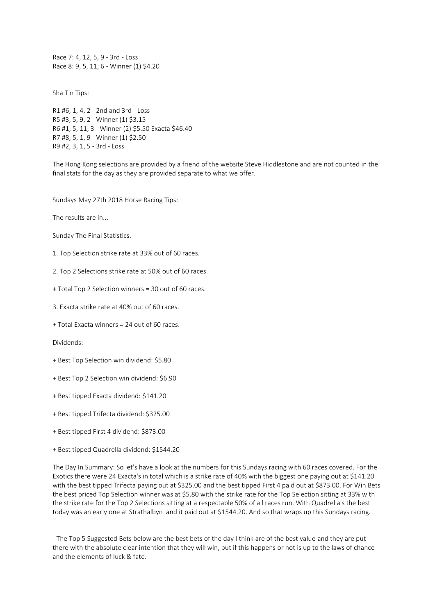Race 7: 4, 12, 5, 9 - 3rd - Loss Race 8: 9, 5, 11, 6 - Winner (1) \$4.20

Sha Tin Tips:

R1 #6, 1, 4, 2 - 2nd and 3rd - Loss R5 #3, 5, 9, 2 - Winner (1) \$3.15 R6 #1, 5, 11, 3 - Winner (2) \$5.50 Exacta \$46.40 R7 #8, 5, 1, 9 - Winner (1) \$2.50 R9 #2, 3, 1, 5 - 3rd - Loss

The Hong Kong selections are provided by a friend of the website Steve Hiddlestone and are not counted in the final stats for the day as they are provided separate to what we offer.

Sundays May 27th 2018 Horse Racing Tips:

The results are in...

Sunday The Final Statistics.

1. Top Selection strike rate at 33% out of 60 races.

2. Top 2 Selections strike rate at 50% out of 60 races.

+ Total Top 2 Selection winners = 30 out of 60 races.

3. Exacta strike rate at 40% out of 60 races.

+ Total Exacta winners = 24 out of 60 races.

Dividends:

+ Best Top Selection win dividend: \$5.80

+ Best Top 2 Selection win dividend: \$6.90

+ Best tipped Exacta dividend: \$141.20

+ Best tipped Trifecta dividend: \$325.00

+ Best tipped First 4 dividend: \$873.00

+ Best tipped Quadrella dividend: \$1544.20

The Day In Summary: So let's have a look at the numbers for this Sundays racing with 60 races covered. For the Exotics there were 24 Exacta's in total which is a strike rate of 40% with the biggest one paying out at \$141.20 with the best tipped Trifecta paying out at \$325.00 and the best tipped First 4 paid out at \$873.00. For Win Bets the best priced Top Selection winner was at \$5.80 with the strike rate for the Top Selection sitting at 33% with the strike rate for the Top 2 Selections sitting at a respectable 50% of all races run. With Quadrella's the best today was an early one at Strathalbyn and it paid out at \$1544.20. And so that wraps up this Sundays racing.

- The Top 5 Suggested Bets below are the best bets of the day I think are of the best value and they are put there with the absolute clear intention that they will win, but if this happens or not is up to the laws of chance and the elements of luck & fate.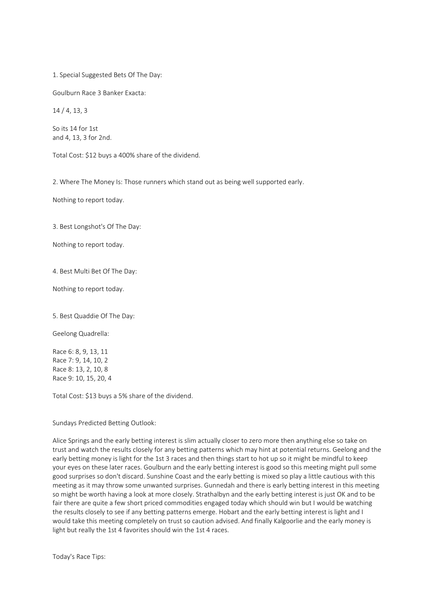1. Special Suggested Bets Of The Day:

Goulburn Race 3 Banker Exacta:

14 / 4, 13, 3

So its 14 for 1st and 4, 13, 3 for 2nd.

Total Cost: \$12 buys a 400% share of the dividend.

2. Where The Money Is: Those runners which stand out as being well supported early.

Nothing to report today.

3. Best Longshot's Of The Day:

Nothing to report today.

4. Best Multi Bet Of The Day:

Nothing to report today.

5. Best Quaddie Of The Day:

Geelong Quadrella:

Race 6: 8, 9, 13, 11 Race 7: 9, 14, 10, 2 Race 8: 13, 2, 10, 8 Race 9: 10, 15, 20, 4

Total Cost: \$13 buys a 5% share of the dividend.

Sundays Predicted Betting Outlook:

Alice Springs and the early betting interest is slim actually closer to zero more then anything else so take on trust and watch the results closely for any betting patterns which may hint at potential returns. Geelong and the early betting money is light for the 1st 3 races and then things start to hot up so it might be mindful to keep your eyes on these later races. Goulburn and the early betting interest is good so this meeting might pull some good surprises so don't discard. Sunshine Coast and the early betting is mixed so play a little cautious with this meeting as it may throw some unwanted surprises. Gunnedah and there is early betting interest in this meeting so might be worth having a look at more closely. Strathalbyn and the early betting interest is just OK and to be fair there are quite a few short priced commodities engaged today which should win but I would be watching the results closely to see if any betting patterns emerge. Hobart and the early betting interest is light and I would take this meeting completely on trust so caution advised. And finally Kalgoorlie and the early money is light but really the 1st 4 favorites should win the 1st 4 races.

Today's Race Tips: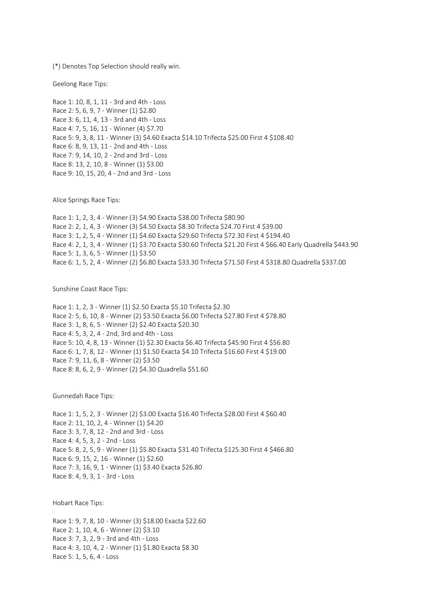(\*) Denotes Top Selection should really win.

Geelong Race Tips:

Race 1: 10, 8, 1, 11 - 3rd and 4th - Loss Race 2: 5, 6, 9, 7 - Winner (1) \$2.80 Race 3: 6, 11, 4, 13 - 3rd and 4th - Loss Race 4: 7, 5, 16, 11 - Winner (4) \$7.70 Race 5: 9, 3, 8, 11 - Winner (3) \$4.60 Exacta \$14.10 Trifecta \$25.00 First 4 \$108.40 Race 6: 8, 9, 13, 11 - 2nd and 4th - Loss Race 7: 9, 14, 10, 2 - 2nd and 3rd - Loss Race 8: 13, 2, 10, 8 - Winner (1) \$3.00 Race 9: 10, 15, 20, 4 - 2nd and 3rd - Loss

Alice Springs Race Tips:

Race 1: 1, 2, 3, 4 - Winner (3) \$4.90 Exacta \$38.00 Trifecta \$80.90 Race 2: 2, 1, 4, 3 - Winner (3) \$4.50 Exacta \$8.30 Trifecta \$24.70 First 4 \$39.00 Race 3: 1, 2, 5, 4 - Winner (1) \$4.60 Exacta \$29.60 Trifecta \$72.30 First 4 \$194.40 Race 4: 2, 1, 3, 4 - Winner (1) \$3.70 Exacta \$30.60 Trifecta \$21.20 First 4 \$66.40 Early Quadrella \$443.90 Race 5: 1, 3, 6, 5 - Winner (1) \$3.50 Race 6: 1, 5, 2, 4 - Winner (2) \$6.80 Exacta \$33.30 Trifecta \$71.50 First 4 \$318.80 Quadrella \$337.00

Sunshine Coast Race Tips:

Race 1: 1, 2, 3 - Winner (1) \$2.50 Exacta \$5.10 Trifecta \$2.30 Race 2: 5, 6, 10, 8 - Winner (2) \$3.50 Exacta \$6.00 Trifecta \$27.80 First 4 \$78.80 Race 3: 1, 8, 6, 5 - Winner (2) \$2.40 Exacta \$20.30 Race 4: 5, 3, 2, 4 - 2nd, 3rd and 4th - Loss Race 5: 10, 4, 8, 13 - Winner (1) \$2.30 Exacta \$6.40 Trifecta \$45.90 First 4 \$56.80 Race 6: 1, 7, 8, 12 - Winner (1) \$1.50 Exacta \$4.10 Trifecta \$16.60 First 4 \$19.00 Race 7: 9, 11, 6, 8 - Winner (2) \$3.50 Race 8: 8, 6, 2, 9 - Winner (2) \$4.30 Quadrella \$51.60

Gunnedah Race Tips:

Race 1: 1, 5, 2, 3 - Winner (2) \$3.00 Exacta \$16.40 Trifecta \$28.00 First 4 \$60.40 Race 2: 11, 10, 2, 4 - Winner (1) \$4.20 Race 3: 3, 7, 8, 12 - 2nd and 3rd - Loss Race 4: 4, 5, 3, 2 - 2nd - Loss Race 5: 8, 2, 5, 9 - Winner (1) \$5.80 Exacta \$31.40 Trifecta \$125.30 First 4 \$466.80 Race 6: 9, 15, 2, 16 - Winner (1) \$2.60 Race 7: 3, 16, 9, 1 - Winner (1) \$3.40 Exacta \$26.80 Race 8: 4, 9, 3, 1 - 3rd - Loss

Hobart Race Tips:

Race 1: 9, 7, 8, 10 - Winner (3) \$18.00 Exacta \$22.60 Race 2: 1, 10, 4, 6 - Winner (2) \$3.10 Race 3: 7, 3, 2, 9 - 3rd and 4th - Loss Race 4: 3, 10, 4, 2 - Winner (1) \$1.80 Exacta \$8.30 Race 5: 1, 5, 6, 4 - Loss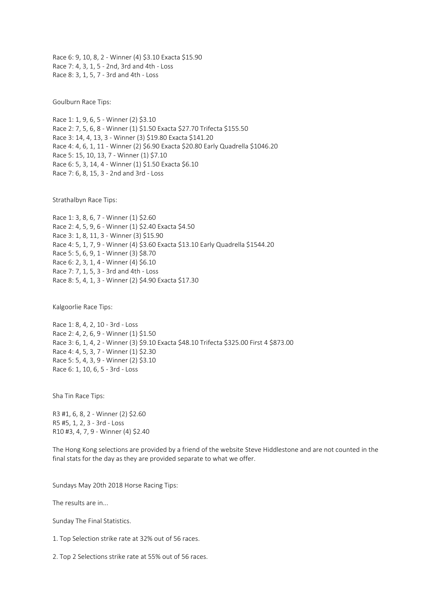Race 6: 9, 10, 8, 2 - Winner (4) \$3.10 Exacta \$15.90 Race 7: 4, 3, 1, 5 - 2nd, 3rd and 4th - Loss Race 8: 3, 1, 5, 7 - 3rd and 4th - Loss

Goulburn Race Tips:

Race 1: 1, 9, 6, 5 - Winner (2) \$3.10 Race 2: 7, 5, 6, 8 - Winner (1) \$1.50 Exacta \$27.70 Trifecta \$155.50 Race 3: 14, 4, 13, 3 - Winner (3) \$19.80 Exacta \$141.20 Race 4: 4, 6, 1, 11 - Winner (2) \$6.90 Exacta \$20.80 Early Quadrella \$1046.20 Race 5: 15, 10, 13, 7 - Winner (1) \$7.10 Race 6: 5, 3, 14, 4 - Winner (1) \$1.50 Exacta \$6.10 Race 7: 6, 8, 15, 3 - 2nd and 3rd - Loss

Strathalbyn Race Tips:

Race 1: 3, 8, 6, 7 - Winner (1) \$2.60 Race 2: 4, 5, 9, 6 - Winner (1) \$2.40 Exacta \$4.50 Race 3: 1, 8, 11, 3 - Winner (3) \$15.90 Race 4: 5, 1, 7, 9 - Winner (4) \$3.60 Exacta \$13.10 Early Quadrella \$1544.20 Race 5: 5, 6, 9, 1 - Winner (3) \$8.70 Race 6: 2, 3, 1, 4 - Winner (4) \$6.10 Race 7: 7, 1, 5, 3 - 3rd and 4th - Loss Race 8: 5, 4, 1, 3 - Winner (2) \$4.90 Exacta \$17.30

Kalgoorlie Race Tips:

Race 1: 8, 4, 2, 10 - 3rd - Loss Race 2: 4, 2, 6, 9 - Winner (1) \$1.50 Race 3: 6, 1, 4, 2 - Winner (3) \$9.10 Exacta \$48.10 Trifecta \$325.00 First 4 \$873.00 Race 4: 4, 5, 3, 7 - Winner (1) \$2.30 Race 5: 5, 4, 3, 9 - Winner (2) \$3.10 Race 6: 1, 10, 6, 5 - 3rd - Loss

Sha Tin Race Tips:

R3 #1, 6, 8, 2 - Winner (2) \$2.60 R5 #5, 1, 2, 3 - 3rd - Loss R10 #3, 4, 7, 9 - Winner (4) \$2.40

The Hong Kong selections are provided by a friend of the website Steve Hiddlestone and are not counted in the final stats for the day as they are provided separate to what we offer.

Sundays May 20th 2018 Horse Racing Tips:

The results are in...

Sunday The Final Statistics.

1. Top Selection strike rate at 32% out of 56 races.

2. Top 2 Selections strike rate at 55% out of 56 races.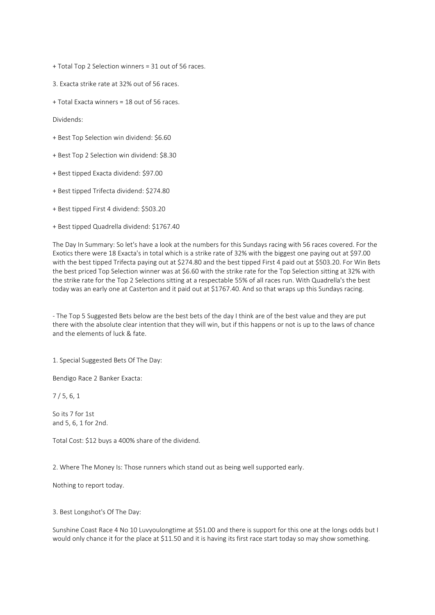+ Total Top 2 Selection winners = 31 out of 56 races.

3. Exacta strike rate at 32% out of 56 races.

+ Total Exacta winners = 18 out of 56 races.

Dividends:

- + Best Top Selection win dividend: \$6.60
- + Best Top 2 Selection win dividend: \$8.30
- + Best tipped Exacta dividend: \$97.00
- + Best tipped Trifecta dividend: \$274.80
- + Best tipped First 4 dividend: \$503.20
- + Best tipped Quadrella dividend: \$1767.40

The Day In Summary: So let's have a look at the numbers for this Sundays racing with 56 races covered. For the Exotics there were 18 Exacta's in total which is a strike rate of 32% with the biggest one paying out at \$97.00 with the best tipped Trifecta paying out at \$274.80 and the best tipped First 4 paid out at \$503.20. For Win Bets the best priced Top Selection winner was at \$6.60 with the strike rate for the Top Selection sitting at 32% with the strike rate for the Top 2 Selections sitting at a respectable 55% of all races run. With Quadrella's the best today was an early one at Casterton and it paid out at \$1767.40. And so that wraps up this Sundays racing.

- The Top 5 Suggested Bets below are the best bets of the day I think are of the best value and they are put there with the absolute clear intention that they will win, but if this happens or not is up to the laws of chance and the elements of luck & fate.

1. Special Suggested Bets Of The Day:

Bendigo Race 2 Banker Exacta:

7 / 5, 6, 1

So its 7 for 1st and 5, 6, 1 for 2nd.

Total Cost: \$12 buys a 400% share of the dividend.

2. Where The Money Is: Those runners which stand out as being well supported early.

Nothing to report today.

3. Best Longshot's Of The Day:

Sunshine Coast Race 4 No 10 Luvyoulongtime at \$51.00 and there is support for this one at the longs odds but I would only chance it for the place at \$11.50 and it is having its first race start today so may show something.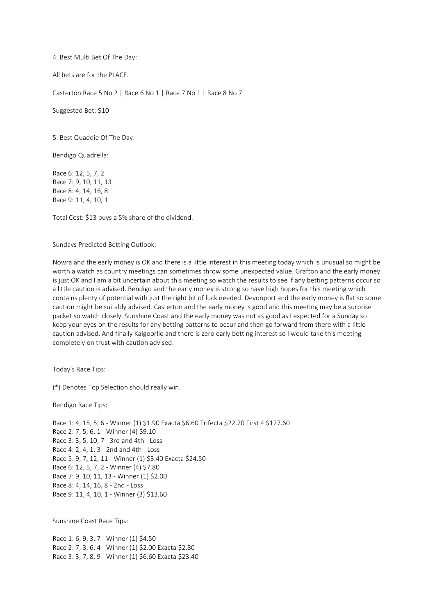4. Best Multi Bet Of The Day:

All bets are for the PLACE.

Casterton Race 5 No 2 | Race 6 No 1 | Race 7 No 1 | Race 8 No 7

Suggested Bet: \$10

5. Best Quaddie Of The Day:

Bendigo Quadrella:

Race 6: 12, 5, 7, 2 Race 7: 9, 10, 11, 13 Race 8: 4, 14, 16, 8 Race 9: 11, 4, 10, 1

Total Cost: \$13 buys a 5% share of the dividend.

Sundays Predicted Betting Outlook:

Nowra and the early money is OK and there is a little interest in this meeting today which is unusual so might be worth a watch as country meetings can sometimes throw some unexpected value. Grafton and the early money is just OK and I am a bit uncertain about this meeting so watch the results to see if any betting patterns occur so a little caution is advised. Bendigo and the early money is strong so have high hopes for this meeting which contains plenty of potential with just the right bit of luck needed. Devonport and the early money is flat so some caution might be suitably advised. Casterton and the early money is good and this meeting may be a surprise packet so watch closely. Sunshine Coast and the early money was not as good as I expected for a Sunday so keep your eyes on the results for any betting patterns to occur and then go forward from there with a little caution advised. And finally Kalgoorlie and there is zero early betting interest so I would take this meeting completely on trust with caution advised.

Today's Race Tips:

(\*) Denotes Top Selection should really win.

Bendigo Race Tips:

Race 1: 4, 15, 5, 6 - Winner (1) \$1.90 Exacta \$6.60 Trifecta \$22.70 First 4 \$127.60 Race 2: 7, 5, 6, 1 - Winner (4) \$9.10 Race 3: 3, 5, 10, 7 - 3rd and 4th - Loss Race 4: 2, 4, 1, 3 - 2nd and 4th - Loss Race 5: 9, 7, 12, 11 - Winner (1) \$3.40 Exacta \$24.50 Race 6: 12, 5, 7, 2 - Winner (4) \$7.80 Race 7: 9, 10, 11, 13 - Winner (1) \$2.00 Race 8: 4, 14, 16, 8 - 2nd - Loss Race 9: 11, 4, 10, 1 - Winner (3) \$13.60

Sunshine Coast Race Tips:

Race 1: 6, 9, 3, 7 - Winner (1) \$4.50 Race 2: 7, 3, 6, 4 - Winner (1) \$2.00 Exacta \$2.80 Race 3: 3, 7, 8, 9 - Winner (1) \$6.60 Exacta \$23.40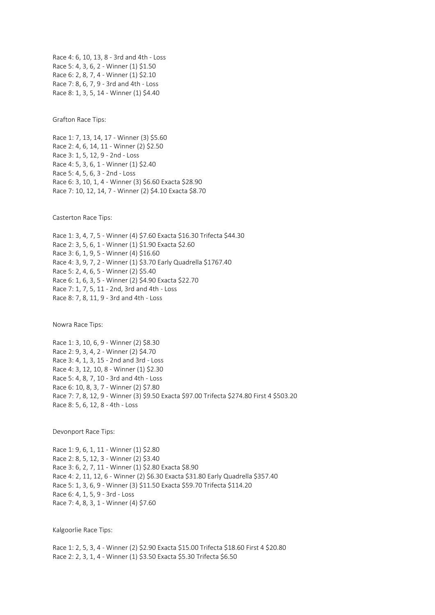Race 4: 6, 10, 13, 8 - 3rd and 4th - Loss Race 5: 4, 3, 6, 2 - Winner (1) \$1.50 Race 6: 2, 8, 7, 4 - Winner (1) \$2.10 Race 7: 8, 6, 7, 9 - 3rd and 4th - Loss Race 8: 1, 3, 5, 14 - Winner (1) \$4.40

Grafton Race Tips:

Race 1: 7, 13, 14, 17 - Winner (3) \$5.60 Race 2: 4, 6, 14, 11 - Winner (2) \$2.50 Race 3: 1, 5, 12, 9 - 2nd - Loss Race 4: 5, 3, 6, 1 - Winner (1) \$2.40 Race 5: 4, 5, 6, 3 - 2nd - Loss Race 6: 3, 10, 1, 4 - Winner (3) \$6.60 Exacta \$28.90 Race 7: 10, 12, 14, 7 - Winner (2) \$4.10 Exacta \$8.70

Casterton Race Tips:

Race 1: 3, 4, 7, 5 - Winner (4) \$7.60 Exacta \$16.30 Trifecta \$44.30 Race 2: 3, 5, 6, 1 - Winner (1) \$1.90 Exacta \$2.60 Race 3: 6, 1, 9, 5 - Winner (4) \$16.60 Race 4: 3, 9, 7, 2 - Winner (1) \$3.70 Early Quadrella \$1767.40 Race 5: 2, 4, 6, 5 - Winner (2) \$5.40 Race 6: 1, 6, 3, 5 - Winner (2) \$4.90 Exacta \$22.70 Race 7: 1, 7, 5, 11 - 2nd, 3rd and 4th - Loss Race 8: 7, 8, 11, 9 - 3rd and 4th - Loss

Nowra Race Tips:

Race 1: 3, 10, 6, 9 - Winner (2) \$8.30 Race 2: 9, 3, 4, 2 - Winner (2) \$4.70 Race 3: 4, 1, 3, 15 - 2nd and 3rd - Loss Race 4: 3, 12, 10, 8 - Winner (1) \$2.30 Race 5: 4, 8, 7, 10 - 3rd and 4th - Loss Race 6: 10, 8, 3, 7 - Winner (2) \$7.80 Race 7: 7, 8, 12, 9 - Winner (3) \$9.50 Exacta \$97.00 Trifecta \$274.80 First 4 \$503.20 Race 8: 5, 6, 12, 8 - 4th - Loss

Devonport Race Tips:

Race 1: 9, 6, 1, 11 - Winner (1) \$2.80 Race 2: 8, 5, 12, 3 - Winner (2) \$3.40 Race 3: 6, 2, 7, 11 - Winner (1) \$2.80 Exacta \$8.90 Race 4: 2, 11, 12, 6 - Winner (2) \$6.30 Exacta \$31.80 Early Quadrella \$357.40 Race 5: 1, 3, 6, 9 - Winner (3) \$11.50 Exacta \$59.70 Trifecta \$114.20 Race 6: 4, 1, 5, 9 - 3rd - Loss Race 7: 4, 8, 3, 1 - Winner (4) \$7.60

Kalgoorlie Race Tips:

Race 1: 2, 5, 3, 4 - Winner (2) \$2.90 Exacta \$15.00 Trifecta \$18.60 First 4 \$20.80 Race 2: 2, 3, 1, 4 - Winner (1) \$3.50 Exacta \$5.30 Trifecta \$6.50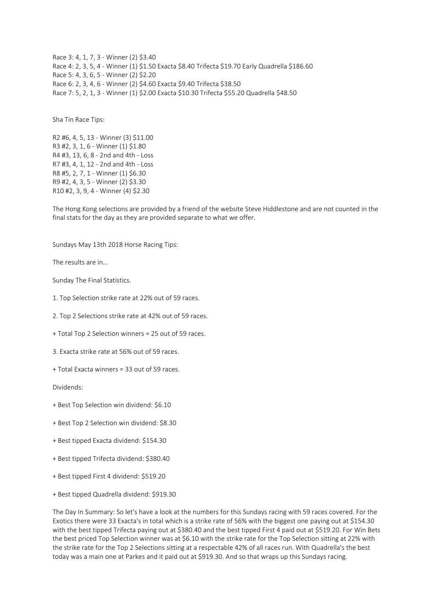Race 3: 4, 1, 7, 3 - Winner (2) \$3.40 Race 4: 2, 3, 5, 4 - Winner (1) \$1.50 Exacta \$8.40 Trifecta \$19.70 Early Quadrella \$186.60 Race 5: 4, 3, 6, 5 - Winner (2) \$2.20 Race 6: 2, 3, 4, 6 - Winner (2) \$4.60 Exacta \$9.40 Trifecta \$38.50 Race 7: 5, 2, 1, 3 - Winner (1) \$2.00 Exacta \$10.30 Trifecta \$55.20 Quadrella \$48.50

Sha Tin Race Tips:

R2 #6, 4, 5, 13 - Winner (3) \$11.00 R3 #2, 3, 1, 6 - Winner (1) \$1.80 R4 #3, 13, 6, 8 - 2nd and 4th - Loss R7 #3, 4, 1, 12 - 2nd and 4th - Loss R8 #5, 2, 7, 1 - Winner (1) \$6.30 R9 #2, 4, 3, 5 - Winner (2) \$3.30 R10 #2, 3, 9, 4 - Winner (4) \$2.30

The Hong Kong selections are provided by a friend of the website Steve Hiddlestone and are not counted in the final stats for the day as they are provided separate to what we offer.

Sundays May 13th 2018 Horse Racing Tips:

The results are in...

Sunday The Final Statistics.

- 1. Top Selection strike rate at 22% out of 59 races.
- 2. Top 2 Selections strike rate at 42% out of 59 races.
- + Total Top 2 Selection winners = 25 out of 59 races.
- 3. Exacta strike rate at 56% out of 59 races.
- + Total Exacta winners = 33 out of 59 races.

Dividends:

- + Best Top Selection win dividend: \$6.10
- + Best Top 2 Selection win dividend: \$8.30
- + Best tipped Exacta dividend: \$154.30
- + Best tipped Trifecta dividend: \$380.40
- + Best tipped First 4 dividend: \$519.20
- + Best tipped Quadrella dividend: \$919.30

The Day In Summary: So let's have a look at the numbers for this Sundays racing with 59 races covered. For the Exotics there were 33 Exacta's in total which is a strike rate of 56% with the biggest one paying out at \$154.30 with the best tipped Trifecta paying out at \$380.40 and the best tipped First 4 paid out at \$519.20. For Win Bets the best priced Top Selection winner was at \$6.10 with the strike rate for the Top Selection sitting at 22% with the strike rate for the Top 2 Selections sitting at a respectable 42% of all races run. With Quadrella's the best today was a main one at Parkes and it paid out at \$919.30. And so that wraps up this Sundays racing.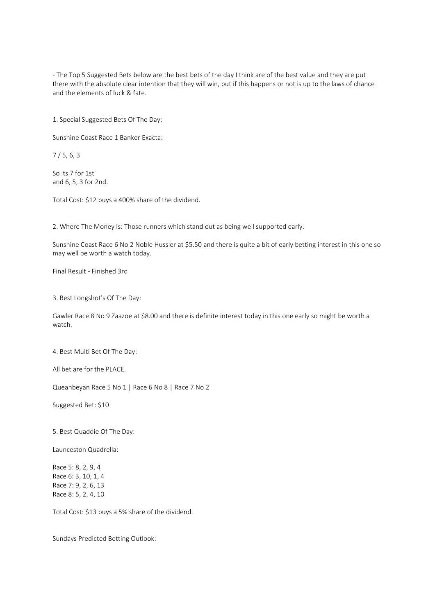- The Top 5 Suggested Bets below are the best bets of the day I think are of the best value and they are put there with the absolute clear intention that they will win, but if this happens or not is up to the laws of chance and the elements of luck & fate.

1. Special Suggested Bets Of The Day:

Sunshine Coast Race 1 Banker Exacta:

7 / 5, 6, 3

So its 7 for 1st' and 6, 5, 3 for 2nd.

Total Cost: \$12 buys a 400% share of the dividend.

2. Where The Money Is: Those runners which stand out as being well supported early.

Sunshine Coast Race 6 No 2 Noble Hussler at \$5.50 and there is quite a bit of early betting interest in this one so may well be worth a watch today.

Final Result - Finished 3rd

3. Best Longshot's Of The Day:

Gawler Race 8 No 9 Zaazoe at \$8.00 and there is definite interest today in this one early so might be worth a watch.

4. Best Multi Bet Of The Day:

All bet are for the PLACE.

Queanbeyan Race 5 No 1 | Race 6 No 8 | Race 7 No 2

Suggested Bet: \$10

5. Best Quaddie Of The Day:

Launceston Quadrella:

Race 5: 8, 2, 9, 4 Race 6: 3, 10, 1, 4 Race 7: 9, 2, 6, 13 Race 8: 5, 2, 4, 10

Total Cost: \$13 buys a 5% share of the dividend.

Sundays Predicted Betting Outlook: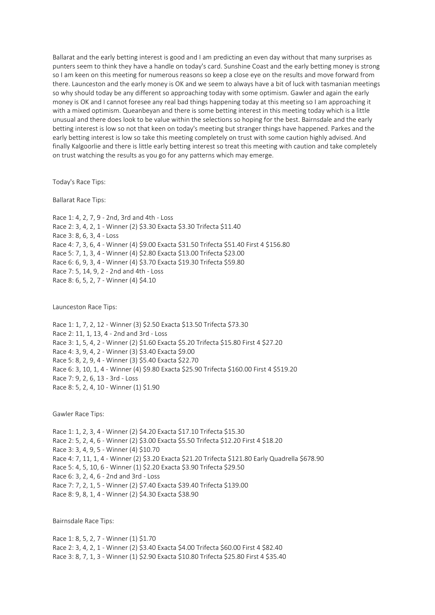Ballarat and the early betting interest is good and I am predicting an even day without that many surprises as punters seem to think they have a handle on today's card. Sunshine Coast and the early betting money is strong so I am keen on this meeting for numerous reasons so keep a close eye on the results and move forward from there. Launceston and the early money is OK and we seem to always have a bit of luck with tasmanian meetings so why should today be any different so approaching today with some optimism. Gawler and again the early money is OK and I cannot foresee any real bad things happening today at this meeting so I am approaching it with a mixed optimism. Queanbeyan and there is some betting interest in this meeting today which is a little unusual and there does look to be value within the selections so hoping for the best. Bairnsdale and the early betting interest is low so not that keen on today's meeting but stranger things have happened. Parkes and the early betting interest is low so take this meeting completely on trust with some caution highly advised. And finally Kalgoorlie and there is little early betting interest so treat this meeting with caution and take completely on trust watching the results as you go for any patterns which may emerge.

Today's Race Tips:

Ballarat Race Tips:

Race 1: 4, 2, 7, 9 - 2nd, 3rd and 4th - Loss Race 2: 3, 4, 2, 1 - Winner (2) \$3.30 Exacta \$3.30 Trifecta \$11.40 Race 3: 8, 6, 3, 4 - Loss Race 4: 7, 3, 6, 4 - Winner (4) \$9.00 Exacta \$31.50 Trifecta \$51.40 First 4 \$156.80 Race 5: 7, 1, 3, 4 - Winner (4) \$2.80 Exacta \$13.00 Trifecta \$23.00 Race 6: 6, 9, 3, 4 - Winner (4) \$3.70 Exacta \$19.30 Trifecta \$59.80 Race 7: 5, 14, 9, 2 - 2nd and 4th - Loss Race 8: 6, 5, 2, 7 - Winner (4) \$4.10

Launceston Race Tips:

Race 1: 1, 7, 2, 12 - Winner (3) \$2.50 Exacta \$13.50 Trifecta \$73.30 Race 2: 11, 1, 13, 4 - 2nd and 3rd - Loss Race 3: 1, 5, 4, 2 - Winner (2) \$1.60 Exacta \$5.20 Trifecta \$15.80 First 4 \$27.20 Race 4: 3, 9, 4, 2 - Winner (3) \$3.40 Exacta \$9.00 Race 5: 8, 2, 9, 4 - Winner (3) \$5.40 Exacta \$22.70 Race 6: 3, 10, 1, 4 - Winner (4) \$9.80 Exacta \$25.90 Trifecta \$160.00 First 4 \$519.20 Race 7: 9, 2, 6, 13 - 3rd - Loss Race 8: 5, 2, 4, 10 - Winner (1) \$1.90

Gawler Race Tips:

Race 1: 1, 2, 3, 4 - Winner (2) \$4.20 Exacta \$17.10 Trifecta \$15.30 Race 2: 5, 2, 4, 6 - Winner (2) \$3.00 Exacta \$5.50 Trifecta \$12.20 First 4 \$18.20 Race 3: 3, 4, 9, 5 - Winner (4) \$10.70 Race 4: 7, 11, 1, 4 - Winner (2) \$3.20 Exacta \$21.20 Trifecta \$121.80 Early Quadrella \$678.90 Race 5: 4, 5, 10, 6 - Winner (1) \$2.20 Exacta \$3.90 Trifecta \$29.50 Race 6: 3, 2, 4, 6 - 2nd and 3rd - Loss Race 7: 7, 2, 1, 5 - Winner (2) \$7.40 Exacta \$39.40 Trifecta \$139.00 Race 8: 9, 8, 1, 4 - Winner (2) \$4.30 Exacta \$38.90

Bairnsdale Race Tips:

Race 1: 8, 5, 2, 7 - Winner (1) \$1.70 Race 2: 3, 4, 2, 1 - Winner (2) \$3.40 Exacta \$4.00 Trifecta \$60.00 First 4 \$82.40 Race 3: 8, 7, 1, 3 - Winner (1) \$2.90 Exacta \$10.80 Trifecta \$25.80 First 4 \$35.40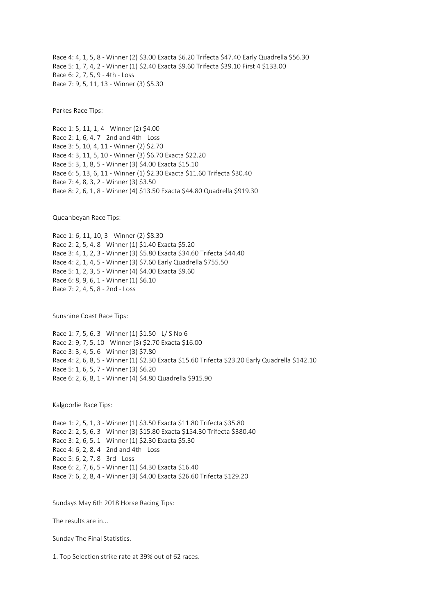Race 4: 4, 1, 5, 8 - Winner (2) \$3.00 Exacta \$6.20 Trifecta \$47.40 Early Quadrella \$56.30 Race 5: 1, 7, 4, 2 - Winner (1) \$2.40 Exacta \$9.60 Trifecta \$39.10 First 4 \$133.00 Race 6: 2, 7, 5, 9 - 4th - Loss Race 7: 9, 5, 11, 13 - Winner (3) \$5.30

Parkes Race Tips:

Race 1: 5, 11, 1, 4 - Winner (2) \$4.00 Race 2: 1, 6, 4, 7 - 2nd and 4th - Loss Race 3: 5, 10, 4, 11 - Winner (2) \$2.70 Race 4: 3, 11, 5, 10 - Winner (3) \$6.70 Exacta \$22.20 Race 5: 3, 1, 8, 5 - Winner (3) \$4.00 Exacta \$15.10 Race 6: 5, 13, 6, 11 - Winner (1) \$2.30 Exacta \$11.60 Trifecta \$30.40 Race 7: 4, 8, 3, 2 - Winner (3) \$3.50 Race 8: 2, 6, 1, 8 - Winner (4) \$13.50 Exacta \$44.80 Quadrella \$919.30

Queanbeyan Race Tips:

Race 1: 6, 11, 10, 3 - Winner (2) \$8.30 Race 2: 2, 5, 4, 8 - Winner (1) \$1.40 Exacta \$5.20 Race 3: 4, 1, 2, 3 - Winner (3) \$5.80 Exacta \$34.60 Trifecta \$44.40 Race 4: 2, 1, 4, 5 - Winner (3) \$7.60 Early Quadrella \$755.50 Race 5: 1, 2, 3, 5 - Winner (4) \$4.00 Exacta \$9.60 Race 6: 8, 9, 6, 1 - Winner (1) \$6.10 Race 7: 2, 4, 5, 8 - 2nd - Loss

Sunshine Coast Race Tips:

Race 1: 7, 5, 6, 3 - Winner (1) \$1.50 - L/ S No 6 Race 2: 9, 7, 5, 10 - Winner (3) \$2.70 Exacta \$16.00 Race 3: 3, 4, 5, 6 - Winner (3) \$7.80 Race 4: 2, 6, 8, 5 - Winner (1) \$2.30 Exacta \$15.60 Trifecta \$23.20 Early Quadrella \$142.10 Race 5: 1, 6, 5, 7 - Winner (3) \$6.20 Race 6: 2, 6, 8, 1 - Winner (4) \$4.80 Quadrella \$915.90

Kalgoorlie Race Tips:

Race 1: 2, 5, 1, 3 - Winner (1) \$3.50 Exacta \$11.80 Trifecta \$35.80 Race 2: 2, 5, 6, 3 - Winner (3) \$15.80 Exacta \$154.30 Trifecta \$380.40 Race 3: 2, 6, 5, 1 - Winner (1) \$2.30 Exacta \$5.30 Race 4: 6, 2, 8, 4 - 2nd and 4th - Loss Race 5: 6, 2, 7, 8 - 3rd - Loss Race 6: 2, 7, 6, 5 - Winner (1) \$4.30 Exacta \$16.40 Race 7: 6, 2, 8, 4 - Winner (3) \$4.00 Exacta \$26.60 Trifecta \$129.20

Sundays May 6th 2018 Horse Racing Tips:

The results are in...

Sunday The Final Statistics.

1. Top Selection strike rate at 39% out of 62 races.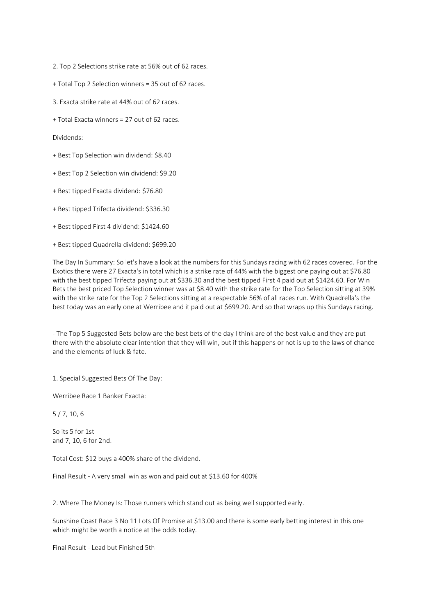2. Top 2 Selections strike rate at 56% out of 62 races.

- + Total Top 2 Selection winners = 35 out of 62 races.
- 3. Exacta strike rate at 44% out of 62 races.
- + Total Exacta winners = 27 out of 62 races.

Dividends:

- + Best Top Selection win dividend: \$8.40
- + Best Top 2 Selection win dividend: \$9.20
- + Best tipped Exacta dividend: \$76.80
- + Best tipped Trifecta dividend: \$336.30
- + Best tipped First 4 dividend: \$1424.60
- + Best tipped Quadrella dividend: \$699.20

The Day In Summary: So let's have a look at the numbers for this Sundays racing with 62 races covered. For the Exotics there were 27 Exacta's in total which is a strike rate of 44% with the biggest one paying out at \$76.80 with the best tipped Trifecta paying out at \$336.30 and the best tipped First 4 paid out at \$1424.60. For Win Bets the best priced Top Selection winner was at \$8.40 with the strike rate for the Top Selection sitting at 39% with the strike rate for the Top 2 Selections sitting at a respectable 56% of all races run. With Quadrella's the best today was an early one at Werribee and it paid out at \$699.20. And so that wraps up this Sundays racing.

- The Top 5 Suggested Bets below are the best bets of the day I think are of the best value and they are put there with the absolute clear intention that they will win, but if this happens or not is up to the laws of chance and the elements of luck & fate.

1. Special Suggested Bets Of The Day:

Werribee Race 1 Banker Exacta:

5 / 7, 10, 6

So its 5 for 1st and 7, 10, 6 for 2nd.

Total Cost: \$12 buys a 400% share of the dividend.

Final Result - A very small win as won and paid out at \$13.60 for 400%

2. Where The Money Is: Those runners which stand out as being well supported early.

Sunshine Coast Race 3 No 11 Lots Of Promise at \$13.00 and there is some early betting interest in this one which might be worth a notice at the odds today.

Final Result - Lead but Finished 5th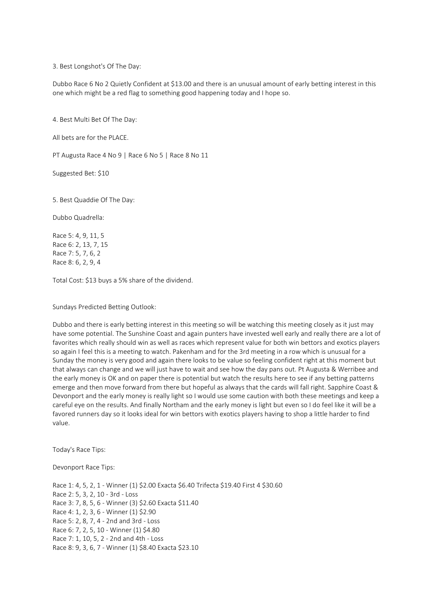3. Best Longshot's Of The Day:

Dubbo Race 6 No 2 Quietly Confident at \$13.00 and there is an unusual amount of early betting interest in this one which might be a red flag to something good happening today and I hope so.

4. Best Multi Bet Of The Day:

All bets are for the PLACE.

PT Augusta Race 4 No 9 | Race 6 No 5 | Race 8 No 11

Suggested Bet: \$10

5. Best Quaddie Of The Day:

Dubbo Quadrella:

Race 5: 4, 9, 11, 5 Race 6: 2, 13, 7, 15 Race 7: 5, 7, 6, 2 Race 8: 6, 2, 9, 4

Total Cost: \$13 buys a 5% share of the dividend.

Sundays Predicted Betting Outlook:

Dubbo and there is early betting interest in this meeting so will be watching this meeting closely as it just may have some potential. The Sunshine Coast and again punters have invested well early and really there are a lot of favorites which really should win as well as races which represent value for both win bettors and exotics players so again I feel this is a meeting to watch. Pakenham and for the 3rd meeting in a row which is unusual for a Sunday the money is very good and again there looks to be value so feeling confident right at this moment but that always can change and we will just have to wait and see how the day pans out. Pt Augusta & Werribee and the early money is OK and on paper there is potential but watch the results here to see if any betting patterns emerge and then move forward from there but hopeful as always that the cards will fall right. Sapphire Coast & Devonport and the early money is really light so I would use some caution with both these meetings and keep a careful eye on the results. And finally Northam and the early money is light but even so I do feel like it will be a favored runners day so it looks ideal for win bettors with exotics players having to shop a little harder to find value.

Today's Race Tips:

Devonport Race Tips:

Race 1: 4, 5, 2, 1 - Winner (1) \$2.00 Exacta \$6.40 Trifecta \$19.40 First 4 \$30.60 Race 2: 5, 3, 2, 10 - 3rd - Loss Race 3: 7, 8, 5, 6 - Winner (3) \$2.60 Exacta \$11.40 Race 4: 1, 2, 3, 6 - Winner (1) \$2.90 Race 5: 2, 8, 7, 4 - 2nd and 3rd - Loss Race 6: 7, 2, 5, 10 - Winner (1) \$4.80 Race 7: 1, 10, 5, 2 - 2nd and 4th - Loss Race 8: 9, 3, 6, 7 - Winner (1) \$8.40 Exacta \$23.10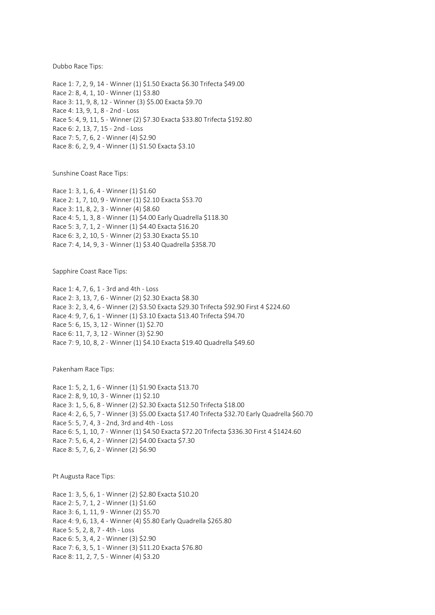Dubbo Race Tips:

Race 1: 7, 2, 9, 14 - Winner (1) \$1.50 Exacta \$6.30 Trifecta \$49.00 Race 2: 8, 4, 1, 10 - Winner (1) \$3.80 Race 3: 11, 9, 8, 12 - Winner (3) \$5.00 Exacta \$9.70 Race 4: 13, 9, 1, 8 - 2nd - Loss Race 5: 4, 9, 11, 5 - Winner (2) \$7.30 Exacta \$33.80 Trifecta \$192.80 Race 6: 2, 13, 7, 15 - 2nd - Loss Race 7: 5, 7, 6, 2 - Winner (4) \$2.90 Race 8: 6, 2, 9, 4 - Winner (1) \$1.50 Exacta \$3.10

Sunshine Coast Race Tips:

Race 1: 3, 1, 6, 4 - Winner (1) \$1.60 Race 2: 1, 7, 10, 9 - Winner (1) \$2.10 Exacta \$53.70 Race 3: 11, 8, 2, 3 - Winner (4) \$8.60 Race 4: 5, 1, 3, 8 - Winner (1) \$4.00 Early Quadrella \$118.30 Race 5: 3, 7, 1, 2 - Winner (1) \$4.40 Exacta \$16.20 Race 6: 3, 2, 10, 5 - Winner (2) \$3.30 Exacta \$5.10 Race 7: 4, 14, 9, 3 - Winner (1) \$3.40 Quadrella \$358.70

Sapphire Coast Race Tips:

Race 1: 4, 7, 6, 1 - 3rd and 4th - Loss Race 2: 3, 13, 7, 6 - Winner (2) \$2.30 Exacta \$8.30 Race 3: 2, 3, 4, 6 - Winner (2) \$3.50 Exacta \$29.30 Trifecta \$92.90 First 4 \$224.60 Race 4: 9, 7, 6, 1 - Winner (1) \$3.10 Exacta \$13.40 Trifecta \$94.70 Race 5: 6, 15, 3, 12 - Winner (1) \$2.70 Race 6: 11, 7, 3, 12 - Winner (3) \$2.90 Race 7: 9, 10, 8, 2 - Winner (1) \$4.10 Exacta \$19.40 Quadrella \$49.60

Pakenham Race Tips:

Race 1: 5, 2, 1, 6 - Winner (1) \$1.90 Exacta \$13.70 Race 2: 8, 9, 10, 3 - Winner (1) \$2.10 Race 3: 1, 5, 6, 8 - Winner (2) \$2.30 Exacta \$12.50 Trifecta \$18.00 Race 4: 2, 6, 5, 7 - Winner (3) \$5.00 Exacta \$17.40 Trifecta \$32.70 Early Quadrella \$60.70 Race 5: 5, 7, 4, 3 - 2nd, 3rd and 4th - Loss Race 6: 5, 1, 10, 7 - Winner (1) \$4.50 Exacta \$72.20 Trifecta \$336.30 First 4 \$1424.60 Race 7: 5, 6, 4, 2 - Winner (2) \$4.00 Exacta \$7.30 Race 8: 5, 7, 6, 2 - Winner (2) \$6.90

Pt Augusta Race Tips:

Race 1: 3, 5, 6, 1 - Winner (2) \$2.80 Exacta \$10.20 Race 2: 5, 7, 1, 2 - Winner (1) \$1.60 Race 3: 6, 1, 11, 9 - Winner (2) \$5.70 Race 4: 9, 6, 13, 4 - Winner (4) \$5.80 Early Quadrella \$265.80 Race 5: 5, 2, 8, 7 - 4th - Loss Race 6: 5, 3, 4, 2 - Winner (3) \$2.90 Race 7: 6, 3, 5, 1 - Winner (3) \$11.20 Exacta \$76.80 Race 8: 11, 2, 7, 5 - Winner (4) \$3.20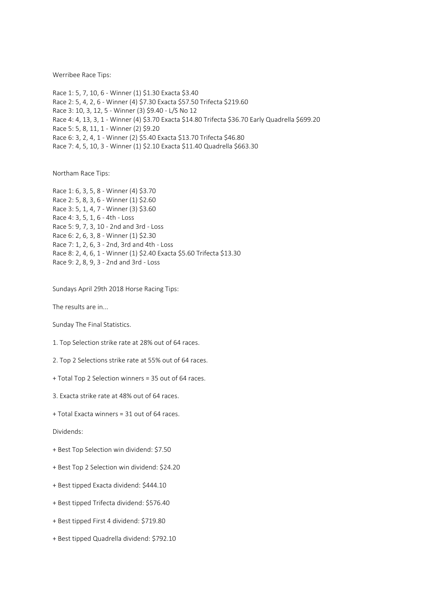Werribee Race Tips:

Race 1: 5, 7, 10, 6 - Winner (1) \$1.30 Exacta \$3.40 Race 2: 5, 4, 2, 6 - Winner (4) \$7.30 Exacta \$57.50 Trifecta \$219.60 Race 3: 10, 3, 12, 5 - Winner (3) \$9.40 - L/S No 12 Race 4: 4, 13, 3, 1 - Winner (4) \$3.70 Exacta \$14.80 Trifecta \$36.70 Early Quadrella \$699.20 Race 5: 5, 8, 11, 1 - Winner (2) \$9.20 Race 6: 3, 2, 4, 1 - Winner (2) \$5.40 Exacta \$13.70 Trifecta \$46.80 Race 7: 4, 5, 10, 3 - Winner (1) \$2.10 Exacta \$11.40 Quadrella \$663.30

Northam Race Tips:

Race 1: 6, 3, 5, 8 - Winner (4) \$3.70 Race 2: 5, 8, 3, 6 - Winner (1) \$2.60 Race 3: 5, 1, 4, 7 - Winner (3) \$3.60 Race 4: 3, 5, 1, 6 - 4th - Loss Race 5: 9, 7, 3, 10 - 2nd and 3rd - Loss Race 6: 2, 6, 3, 8 - Winner (1) \$2.30 Race 7: 1, 2, 6, 3 - 2nd, 3rd and 4th - Loss Race 8: 2, 4, 6, 1 - Winner (1) \$2.40 Exacta \$5.60 Trifecta \$13.30 Race 9: 2, 8, 9, 3 - 2nd and 3rd - Loss

Sundays April 29th 2018 Horse Racing Tips:

The results are in...

Sunday The Final Statistics.

1. Top Selection strike rate at 28% out of 64 races.

2. Top 2 Selections strike rate at 55% out of 64 races.

+ Total Top 2 Selection winners = 35 out of 64 races.

3. Exacta strike rate at 48% out of 64 races.

+ Total Exacta winners = 31 out of 64 races.

Dividends:

+ Best Top Selection win dividend: \$7.50

+ Best Top 2 Selection win dividend: \$24.20

+ Best tipped Exacta dividend: \$444.10

+ Best tipped Trifecta dividend: \$576.40

+ Best tipped First 4 dividend: \$719.80

+ Best tipped Quadrella dividend: \$792.10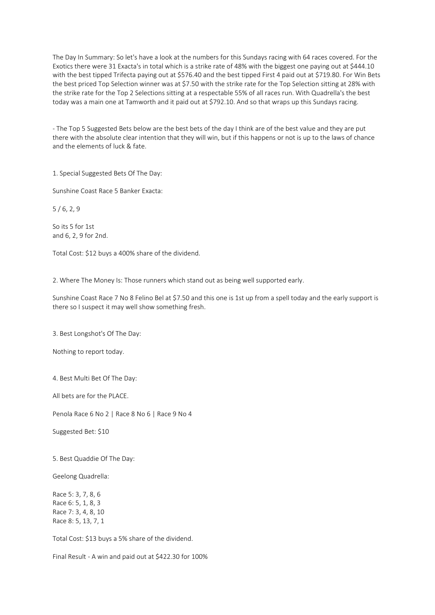The Day In Summary: So let's have a look at the numbers for this Sundays racing with 64 races covered. For the Exotics there were 31 Exacta's in total which is a strike rate of 48% with the biggest one paying out at \$444.10 with the best tipped Trifecta paying out at \$576.40 and the best tipped First 4 paid out at \$719.80. For Win Bets the best priced Top Selection winner was at \$7.50 with the strike rate for the Top Selection sitting at 28% with the strike rate for the Top 2 Selections sitting at a respectable 55% of all races run. With Quadrella's the best today was a main one at Tamworth and it paid out at \$792.10. And so that wraps up this Sundays racing.

- The Top 5 Suggested Bets below are the best bets of the day I think are of the best value and they are put there with the absolute clear intention that they will win, but if this happens or not is up to the laws of chance and the elements of luck & fate.

1. Special Suggested Bets Of The Day:

Sunshine Coast Race 5 Banker Exacta:

5 / 6, 2, 9

So its 5 for 1st and 6, 2, 9 for 2nd.

Total Cost: \$12 buys a 400% share of the dividend.

2. Where The Money Is: Those runners which stand out as being well supported early.

Sunshine Coast Race 7 No 8 Felino Bel at \$7.50 and this one is 1st up from a spell today and the early support is there so I suspect it may well show something fresh.

3. Best Longshot's Of The Day:

Nothing to report today.

4. Best Multi Bet Of The Day:

All bets are for the PLACE.

Penola Race 6 No 2 | Race 8 No 6 | Race 9 No 4

Suggested Bet: \$10

5. Best Quaddie Of The Day:

Geelong Quadrella:

Race 5: 3, 7, 8, 6 Race 6: 5, 1, 8, 3 Race 7: 3, 4, 8, 10 Race 8: 5, 13, 7, 1

Total Cost: \$13 buys a 5% share of the dividend.

Final Result - A win and paid out at \$422.30 for 100%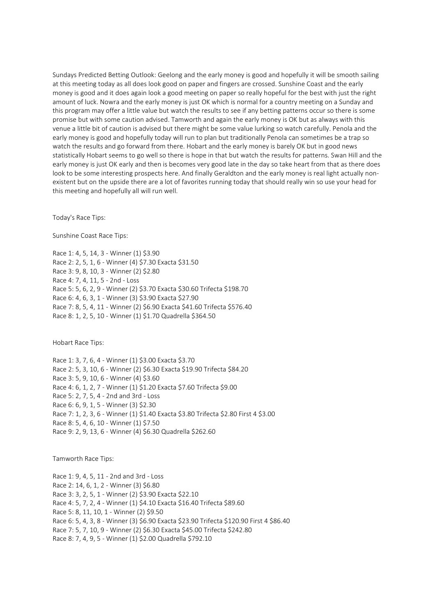Sundays Predicted Betting Outlook: Geelong and the early money is good and hopefully it will be smooth sailing at this meeting today as all does look good on paper and fingers are crossed. Sunshine Coast and the early money is good and it does again look a good meeting on paper so really hopeful for the best with just the right amount of luck. Nowra and the early money is just OK which is normal for a country meeting on a Sunday and this program may offer a little value but watch the results to see if any betting patterns occur so there is some promise but with some caution advised. Tamworth and again the early money is OK but as always with this venue a little bit of caution is advised but there might be some value lurking so watch carefully. Penola and the early money is good and hopefully today will run to plan but traditionally Penola can sometimes be a trap so watch the results and go forward from there. Hobart and the early money is barely OK but in good news statistically Hobart seems to go well so there is hope in that but watch the results for patterns. Swan Hill and the early money is just OK early and then is becomes very good late in the day so take heart from that as there does look to be some interesting prospects here. And finally Geraldton and the early money is real light actually nonexistent but on the upside there are a lot of favorites running today that should really win so use your head for this meeting and hopefully all will run well.

Today's Race Tips:

Sunshine Coast Race Tips:

Race 1: 4, 5, 14, 3 - Winner (1) \$3.90 Race 2: 2, 5, 1, 6 - Winner (4) \$7.30 Exacta \$31.50 Race 3: 9, 8, 10, 3 - Winner (2) \$2.80 Race 4: 7, 4, 11, 5 - 2nd - Loss Race 5: 5, 6, 2, 9 - Winner (2) \$3.70 Exacta \$30.60 Trifecta \$198.70 Race 6: 4, 6, 3, 1 - Winner (3) \$3.90 Exacta \$27.90 Race 7: 8, 5, 4, 11 - Winner (2) \$6.90 Exacta \$41.60 Trifecta \$576.40 Race 8: 1, 2, 5, 10 - Winner (1) \$1.70 Quadrella \$364.50

Hobart Race Tips:

Race 1: 3, 7, 6, 4 - Winner (1) \$3.00 Exacta \$3.70 Race 2: 5, 3, 10, 6 - Winner (2) \$6.30 Exacta \$19.90 Trifecta \$84.20 Race 3: 5, 9, 10, 6 - Winner (4) \$3.60 Race 4: 6, 1, 2, 7 - Winner (1) \$1.20 Exacta \$7.60 Trifecta \$9.00 Race 5: 2, 7, 5, 4 - 2nd and 3rd - Loss Race 6: 6, 9, 1, 5 - Winner (3) \$2.30 Race 7: 1, 2, 3, 6 - Winner (1) \$1.40 Exacta \$3.80 Trifecta \$2.80 First 4 \$3.00 Race 8: 5, 4, 6, 10 - Winner (1) \$7.50 Race 9: 2, 9, 13, 6 - Winner (4) \$6.30 Quadrella \$262.60

Tamworth Race Tips:

Race 1: 9, 4, 5, 11 - 2nd and 3rd - Loss Race 2: 14, 6, 1, 2 - Winner (3) \$6.80 Race 3: 3, 2, 5, 1 - Winner (2) \$3.90 Exacta \$22.10 Race 4: 5, 7, 2, 4 - Winner (1) \$4.10 Exacta \$16.40 Trifecta \$89.60 Race 5: 8, 11, 10, 1 - Winner (2) \$9.50 Race 6: 5, 4, 3, 8 - Winner (3) \$6.90 Exacta \$23.90 Trifecta \$120.90 First 4 \$86.40 Race 7: 5, 7, 10, 9 - Winner (2) \$6.30 Exacta \$45.00 Trifecta \$242.80 Race 8: 7, 4, 9, 5 - Winner (1) \$2.00 Quadrella \$792.10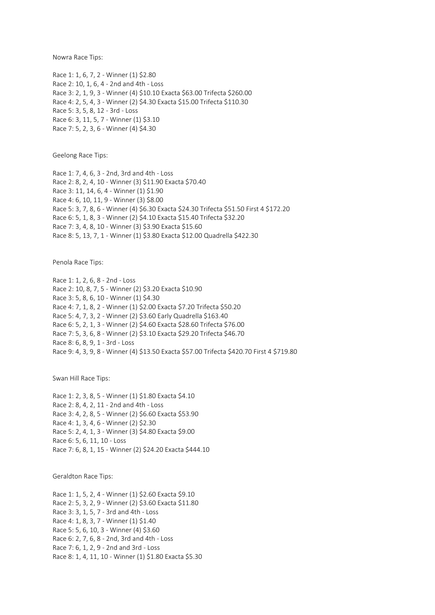Nowra Race Tips:

Race 1: 1, 6, 7, 2 - Winner (1) \$2.80 Race 2: 10, 1, 6, 4 - 2nd and 4th - Loss Race 3: 2, 1, 9, 3 - Winner (4) \$10.10 Exacta \$63.00 Trifecta \$260.00 Race 4: 2, 5, 4, 3 - Winner (2) \$4.30 Exacta \$15.00 Trifecta \$110.30 Race 5: 3, 5, 8, 12 - 3rd - Loss Race 6: 3, 11, 5, 7 - Winner (1) \$3.10 Race 7: 5, 2, 3, 6 - Winner (4) \$4.30

Geelong Race Tips:

Race 1: 7, 4, 6, 3 - 2nd, 3rd and 4th - Loss Race 2: 8, 2, 4, 10 - Winner (3) \$11.90 Exacta \$70.40 Race 3: 11, 14, 6, 4 - Winner (1) \$1.90 Race 4: 6, 10, 11, 9 - Winner (3) \$8.00 Race 5: 3, 7, 8, 6 - Winner (4) \$6.30 Exacta \$24.30 Trifecta \$51.50 First 4 \$172.20 Race 6: 5, 1, 8, 3 - Winner (2) \$4.10 Exacta \$15.40 Trifecta \$32.20 Race 7: 3, 4, 8, 10 - Winner (3) \$3.90 Exacta \$15.60 Race 8: 5, 13, 7, 1 - Winner (1) \$3.80 Exacta \$12.00 Quadrella \$422.30

Penola Race Tips:

Race 1: 1, 2, 6, 8 - 2nd - Loss Race 2: 10, 8, 7, 5 - Winner (2) \$3.20 Exacta \$10.90 Race 3: 5, 8, 6, 10 - Winner (1) \$4.30 Race 4: 7, 1, 8, 2 - Winner (1) \$2.00 Exacta \$7.20 Trifecta \$50.20 Race 5: 4, 7, 3, 2 - Winner (2) \$3.60 Early Quadrella \$163.40 Race 6: 5, 2, 1, 3 - Winner (2) \$4.60 Exacta \$28.60 Trifecta \$76.00 Race 7: 5, 3, 6, 8 - Winner (2) \$3.10 Exacta \$29.20 Trifecta \$46.70 Race 8: 6, 8, 9, 1 - 3rd - Loss Race 9: 4, 3, 9, 8 - Winner (4) \$13.50 Exacta \$57.00 Trifecta \$420.70 First 4 \$719.80

Swan Hill Race Tips:

Race 1: 2, 3, 8, 5 - Winner (1) \$1.80 Exacta \$4.10 Race 2: 8, 4, 2, 11 - 2nd and 4th - Loss Race 3: 4, 2, 8, 5 - Winner (2) \$6.60 Exacta \$53.90 Race 4: 1, 3, 4, 6 - Winner (2) \$2.30 Race 5: 2, 4, 1, 3 - Winner (3) \$4.80 Exacta \$9.00 Race 6: 5, 6, 11, 10 - Loss Race 7: 6, 8, 1, 15 - Winner (2) \$24.20 Exacta \$444.10

Geraldton Race Tips:

Race 1: 1, 5, 2, 4 - Winner (1) \$2.60 Exacta \$9.10 Race 2: 5, 3, 2, 9 - Winner (2) \$3.60 Exacta \$11.80 Race 3: 3, 1, 5, 7 - 3rd and 4th - Loss Race 4: 1, 8, 3, 7 - Winner (1) \$1.40 Race 5: 5, 6, 10, 3 - Winner (4) \$3.60 Race 6: 2, 7, 6, 8 - 2nd, 3rd and 4th - Loss Race 7: 6, 1, 2, 9 - 2nd and 3rd - Loss Race 8: 1, 4, 11, 10 - Winner (1) \$1.80 Exacta \$5.30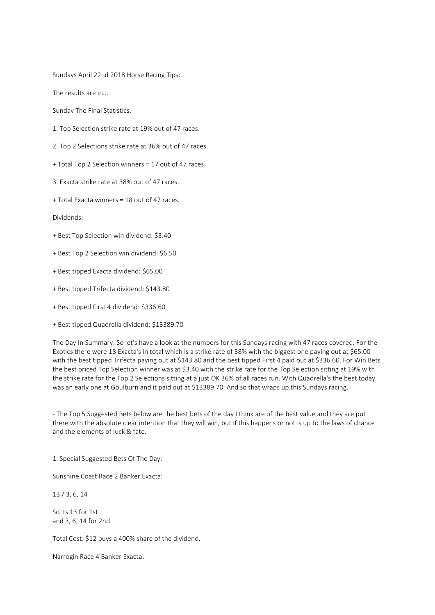Sundays April 22nd 2018 Horse Racing Tips:

The results are in...

Sunday The Final Statistics.

- 1. Top Selection strike rate at 19% out of 47 races.
- 2. Top 2 Selections strike rate at 36% out of 47 races.
- + Total Top 2 Selection winners = 17 out of 47 races.
- 3. Exacta strike rate at 38% out of 47 races.
- + Total Exacta winners = 18 out of 47 races.

Dividends:

- + Best Top Selection win dividend: \$3.40
- + Best Top 2 Selection win dividend: \$6.50
- + Best tipped Exacta dividend: \$65.00
- + Best tipped Trifecta dividend: \$143.80
- + Best tipped First 4 dividend: \$336.60
- + Best tipped Quadrella dividend: \$13389.70

The Day In Summary: So let's have a look at the numbers for this Sundays racing with 47 races covered. For the Exotics there were 18 Exacta's in total which is a strike rate of 38% with the biggest one paying out at \$65.00 with the best tipped Trifecta paying out at \$143.80 and the best tipped First 4 paid out at \$336.60. For Win Bets the best priced Top Selection winner was at \$3.40 with the strike rate for the Top Selection sitting at 19% with the strike rate for the Top 2 Selections sitting at a just OK 36% of all races run. With Quadrella's the best today was an early one at Goulburn and it paid out at \$13389.70. And so that wraps up this Sundays racing.

- The Top 5 Suggested Bets below are the best bets of the day I think are of the best value and they are put there with the absolute clear intention that they will win, but if this happens or not is up to the laws of chance and the elements of luck & fate.

1. Special Suggested Bets Of The Day:

Sunshine Coast Race 2 Banker Exacta:

13 / 3, 6, 14

So its 13 for 1st and 3, 6, 14 for 2nd.

Total Cost: \$12 buys a 400% share of the dividend.

Narrogin Race 4 Banker Exacta: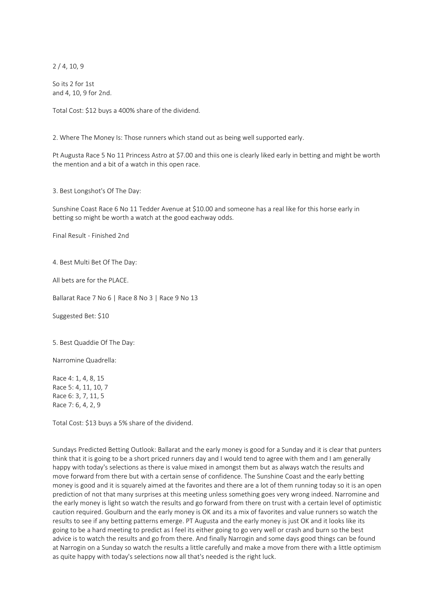2 / 4, 10, 9

So its 2 for 1st and 4, 10, 9 for 2nd.

Total Cost: \$12 buys a 400% share of the dividend.

2. Where The Money Is: Those runners which stand out as being well supported early.

Pt Augusta Race 5 No 11 Princess Astro at \$7.00 and thiis one is clearly liked early in betting and might be worth the mention and a bit of a watch in this open race.

3. Best Longshot's Of The Day:

Sunshine Coast Race 6 No 11 Tedder Avenue at \$10.00 and someone has a real like for this horse early in betting so might be worth a watch at the good eachway odds.

Final Result - Finished 2nd

4. Best Multi Bet Of The Day:

All bets are for the PLACE.

Ballarat Race 7 No 6 | Race 8 No 3 | Race 9 No 13

Suggested Bet: \$10

5. Best Quaddie Of The Day:

Narromine Quadrella:

Race 4: 1, 4, 8, 15 Race 5: 4, 11, 10, 7 Race 6: 3, 7, 11, 5 Race 7: 6, 4, 2, 9

Total Cost: \$13 buys a 5% share of the dividend.

Sundays Predicted Betting Outlook: Ballarat and the early money is good for a Sunday and it is clear that punters think that it is going to be a short priced runners day and I would tend to agree with them and I am generally happy with today's selections as there is value mixed in amongst them but as always watch the results and move forward from there but with a certain sense of confidence. The Sunshine Coast and the early betting money is good and it is squarely aimed at the favorites and there are a lot of them running today so it is an open prediction of not that many surprises at this meeting unless something goes very wrong indeed. Narromine and the early money is light so watch the results and go forward from there on trust with a certain level of optimistic caution required. Goulburn and the early money is OK and its a mix of favorites and value runners so watch the results to see if any betting patterns emerge. PT Augusta and the early money is just OK and it looks like its going to be a hard meeting to predict as I feel its either going to go very well or crash and burn so the best advice is to watch the results and go from there. And finally Narrogin and some days good things can be found at Narrogin on a Sunday so watch the results a little carefully and make a move from there with a little optimism as quite happy with today's selections now all that's needed is the right luck.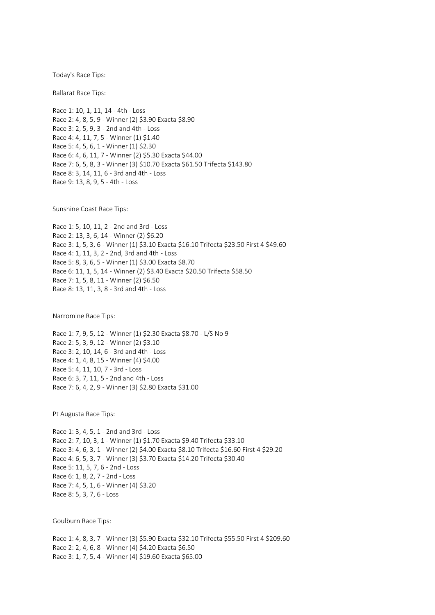Today's Race Tips:

Ballarat Race Tips:

Race 1: 10, 1, 11, 14 - 4th - Loss Race 2: 4, 8, 5, 9 - Winner (2) \$3.90 Exacta \$8.90 Race 3: 2, 5, 9, 3 - 2nd and 4th - Loss Race 4: 4, 11, 7, 5 - Winner (1) \$1.40 Race 5: 4, 5, 6, 1 - Winner (1) \$2.30 Race 6: 4, 6, 11, 7 - Winner (2) \$5.30 Exacta \$44.00 Race 7: 6, 5, 8, 3 - Winner (3) \$10.70 Exacta \$61.50 Trifecta \$143.80 Race 8: 3, 14, 11, 6 - 3rd and 4th - Loss Race 9: 13, 8, 9, 5 - 4th - Loss

Sunshine Coast Race Tips:

Race 1: 5, 10, 11, 2 - 2nd and 3rd - Loss Race 2: 13, 3, 6, 14 - Winner (2) \$6.20 Race 3: 1, 5, 3, 6 - Winner (1) \$3.10 Exacta \$16.10 Trifecta \$23.50 First 4 \$49.60 Race 4: 1, 11, 3, 2 - 2nd, 3rd and 4th - Loss Race 5: 8, 3, 6, 5 - Winner (1) \$3.00 Exacta \$8.70 Race 6: 11, 1, 5, 14 - Winner (2) \$3.40 Exacta \$20.50 Trifecta \$58.50 Race 7: 1, 5, 8, 11 - Winner (2) \$6.50 Race 8: 13, 11, 3, 8 - 3rd and 4th - Loss

Narromine Race Tips:

Race 1: 7, 9, 5, 12 - Winner (1) \$2.30 Exacta \$8.70 - L/S No 9 Race 2: 5, 3, 9, 12 - Winner (2) \$3.10 Race 3: 2, 10, 14, 6 - 3rd and 4th - Loss Race 4: 1, 4, 8, 15 - Winner (4) \$4.00 Race 5: 4, 11, 10, 7 - 3rd - Loss Race 6: 3, 7, 11, 5 - 2nd and 4th - Loss Race 7: 6, 4, 2, 9 - Winner (3) \$2.80 Exacta \$31.00

Pt Augusta Race Tips:

Race 1: 3, 4, 5, 1 - 2nd and 3rd - Loss Race 2: 7, 10, 3, 1 - Winner (1) \$1.70 Exacta \$9.40 Trifecta \$33.10 Race 3: 4, 6, 3, 1 - Winner (2) \$4.00 Exacta \$8.10 Trifecta \$16.60 First 4 \$29.20 Race 4: 6, 5, 3, 7 - Winner (3) \$3.70 Exacta \$14.20 Trifecta \$30.40 Race 5: 11, 5, 7, 6 - 2nd - Loss Race 6: 1, 8, 2, 7 - 2nd - Loss Race 7: 4, 5, 1, 6 - Winner (4) \$3.20 Race 8: 5, 3, 7, 6 - Loss

Goulburn Race Tips:

Race 1: 4, 8, 3, 7 - Winner (3) \$5.90 Exacta \$32.10 Trifecta \$55.50 First 4 \$209.60 Race 2: 2, 4, 6, 8 - Winner (4) \$4.20 Exacta \$6.50 Race 3: 1, 7, 5, 4 - Winner (4) \$19.60 Exacta \$65.00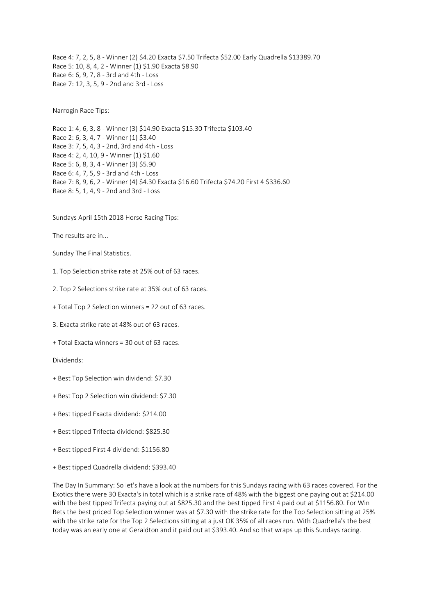Race 4: 7, 2, 5, 8 - Winner (2) \$4.20 Exacta \$7.50 Trifecta \$52.00 Early Quadrella \$13389.70 Race 5: 10, 8, 4, 2 - Winner (1) \$1.90 Exacta \$8.90 Race 6: 6, 9, 7, 8 - 3rd and 4th - Loss Race 7: 12, 3, 5, 9 - 2nd and 3rd - Loss

Narrogin Race Tips:

Race 1: 4, 6, 3, 8 - Winner (3) \$14.90 Exacta \$15.30 Trifecta \$103.40 Race 2: 6, 3, 4, 7 - Winner (1) \$3.40 Race 3: 7, 5, 4, 3 - 2nd, 3rd and 4th - Loss Race 4: 2, 4, 10, 9 - Winner (1) \$1.60 Race 5: 6, 8, 3, 4 - Winner (3) \$5.90 Race 6: 4, 7, 5, 9 - 3rd and 4th - Loss Race 7: 8, 9, 6, 2 - Winner (4) \$4.30 Exacta \$16.60 Trifecta \$74.20 First 4 \$336.60 Race 8: 5, 1, 4, 9 - 2nd and 3rd - Loss

Sundays April 15th 2018 Horse Racing Tips:

The results are in...

Sunday The Final Statistics.

- 1. Top Selection strike rate at 25% out of 63 races.
- 2. Top 2 Selections strike rate at 35% out of 63 races.
- + Total Top 2 Selection winners = 22 out of 63 races.
- 3. Exacta strike rate at 48% out of 63 races.
- + Total Exacta winners = 30 out of 63 races.

Dividends:

- + Best Top Selection win dividend: \$7.30
- + Best Top 2 Selection win dividend: \$7.30
- + Best tipped Exacta dividend: \$214.00
- + Best tipped Trifecta dividend: \$825.30
- + Best tipped First 4 dividend: \$1156.80
- + Best tipped Quadrella dividend: \$393.40

The Day In Summary: So let's have a look at the numbers for this Sundays racing with 63 races covered. For the Exotics there were 30 Exacta's in total which is a strike rate of 48% with the biggest one paying out at \$214.00 with the best tipped Trifecta paying out at \$825.30 and the best tipped First 4 paid out at \$1156.80. For Win Bets the best priced Top Selection winner was at \$7.30 with the strike rate for the Top Selection sitting at 25% with the strike rate for the Top 2 Selections sitting at a just OK 35% of all races run. With Quadrella's the best today was an early one at Geraldton and it paid out at \$393.40. And so that wraps up this Sundays racing.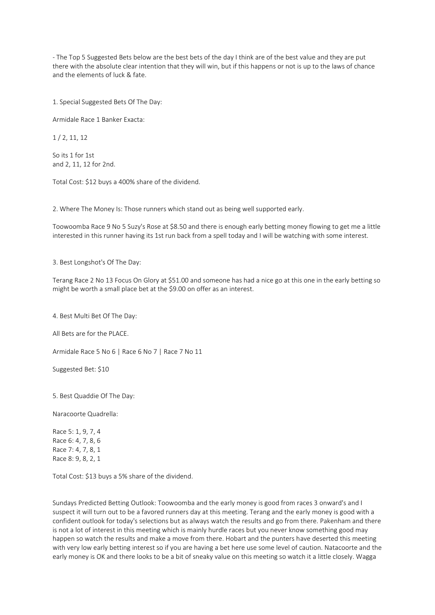- The Top 5 Suggested Bets below are the best bets of the day I think are of the best value and they are put there with the absolute clear intention that they will win, but if this happens or not is up to the laws of chance and the elements of luck & fate.

1. Special Suggested Bets Of The Day:

Armidale Race 1 Banker Exacta:

1 / 2, 11, 12

So its 1 for 1st and 2, 11, 12 for 2nd.

Total Cost: \$12 buys a 400% share of the dividend.

2. Where The Money Is: Those runners which stand out as being well supported early.

Toowoomba Race 9 No 5 Suzy's Rose at \$8.50 and there is enough early betting money flowing to get me a little interested in this runner having its 1st run back from a spell today and I will be watching with some interest.

3. Best Longshot's Of The Day:

Terang Race 2 No 13 Focus On Glory at \$51.00 and someone has had a nice go at this one in the early betting so might be worth a small place bet at the \$9.00 on offer as an interest.

4. Best Multi Bet Of The Day:

All Bets are for the PLACE.

Armidale Race 5 No 6 | Race 6 No 7 | Race 7 No 11

Suggested Bet: \$10

5. Best Quaddie Of The Day:

Naracoorte Quadrella:

Race 5: 1, 9, 7, 4 Race 6: 4, 7, 8, 6 Race 7: 4, 7, 8, 1 Race 8: 9, 8, 2, 1

Total Cost: \$13 buys a 5% share of the dividend.

Sundays Predicted Betting Outlook: Toowoomba and the early money is good from races 3 onward's and I suspect it will turn out to be a favored runners day at this meeting. Terang and the early money is good with a confident outlook for today's selections but as always watch the results and go from there. Pakenham and there is not a lot of interest in this meeting which is mainly hurdle races but you never know something good may happen so watch the results and make a move from there. Hobart and the punters have deserted this meeting with very low early betting interest so if you are having a bet here use some level of caution. Natacoorte and the early money is OK and there looks to be a bit of sneaky value on this meeting so watch it a little closely. Wagga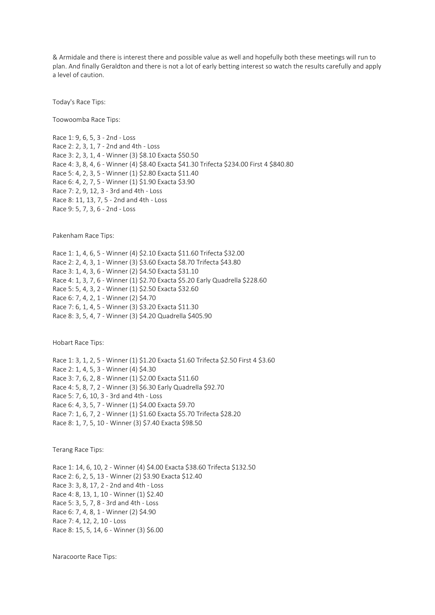& Armidale and there is interest there and possible value as well and hopefully both these meetings will run to plan. And finally Geraldton and there is not a lot of early betting interest so watch the results carefully and apply a level of caution.

Today's Race Tips:

Toowoomba Race Tips:

Race 1: 9, 6, 5, 3 - 2nd - Loss Race 2: 2, 3, 1, 7 - 2nd and 4th - Loss Race 3: 2, 3, 1, 4 - Winner (3) \$8.10 Exacta \$50.50 Race 4: 3, 8, 4, 6 - Winner (4) \$8.40 Exacta \$41.30 Trifecta \$234.00 First 4 \$840.80 Race 5: 4, 2, 3, 5 - Winner (1) \$2.80 Exacta \$11.40 Race 6: 4, 2, 7, 5 - Winner (1) \$1.90 Exacta \$3.90 Race 7: 2, 9, 12, 3 - 3rd and 4th - Loss Race 8: 11, 13, 7, 5 - 2nd and 4th - Loss Race 9: 5, 7, 3, 6 - 2nd - Loss

Pakenham Race Tips:

Race 1: 1, 4, 6, 5 - Winner (4) \$2.10 Exacta \$11.60 Trifecta \$32.00 Race 2: 2, 4, 3, 1 - Winner (3) \$3.60 Exacta \$8.70 Trifecta \$43.80 Race 3: 1, 4, 3, 6 - Winner (2) \$4.50 Exacta \$31.10 Race 4: 1, 3, 7, 6 - Winner (1) \$2.70 Exacta \$5.20 Early Quadrella \$228.60 Race 5: 5, 4, 3, 2 - Winner (1) \$2.50 Exacta \$32.60 Race 6: 7, 4, 2, 1 - Winner (2) \$4.70 Race 7: 6, 1, 4, 5 - Winner (3) \$3.20 Exacta \$11.30 Race 8: 3, 5, 4, 7 - Winner (3) \$4.20 Quadrella \$405.90

Hobart Race Tips:

Race 1: 3, 1, 2, 5 - Winner (1) \$1.20 Exacta \$1.60 Trifecta \$2.50 First 4 \$3.60 Race 2: 1, 4, 5, 3 - Winner (4) \$4.30 Race 3: 7, 6, 2, 8 - Winner (1) \$2.00 Exacta \$11.60 Race 4: 5, 8, 7, 2 - Winner (3) \$6.30 Early Quadrella \$92.70 Race 5: 7, 6, 10, 3 - 3rd and 4th - Loss Race 6: 4, 3, 5, 7 - Winner (1) \$4.00 Exacta \$9.70 Race 7: 1, 6, 7, 2 - Winner (1) \$1.60 Exacta \$5.70 Trifecta \$28.20 Race 8: 1, 7, 5, 10 - Winner (3) \$7.40 Exacta \$98.50

Terang Race Tips:

Race 1: 14, 6, 10, 2 - Winner (4) \$4.00 Exacta \$38.60 Trifecta \$132.50 Race 2: 6, 2, 5, 13 - Winner (2) \$3.90 Exacta \$12.40 Race 3: 3, 8, 17, 2 - 2nd and 4th - Loss Race 4: 8, 13, 1, 10 - Winner (1) \$2.40 Race 5: 3, 5, 7, 8 - 3rd and 4th - Loss Race 6: 7, 4, 8, 1 - Winner (2) \$4.90 Race 7: 4, 12, 2, 10 - Loss Race 8: 15, 5, 14, 6 - Winner (3) \$6.00

Naracoorte Race Tips: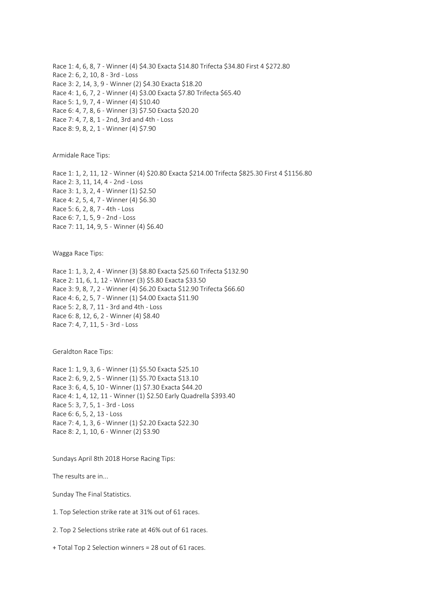Race 1: 4, 6, 8, 7 - Winner (4) \$4.30 Exacta \$14.80 Trifecta \$34.80 First 4 \$272.80 Race 2: 6, 2, 10, 8 - 3rd - Loss Race 3: 2, 14, 3, 9 - Winner (2) \$4.30 Exacta \$18.20 Race 4: 1, 6, 7, 2 - Winner (4) \$3.00 Exacta \$7.80 Trifecta \$65.40 Race 5: 1, 9, 7, 4 - Winner (4) \$10.40 Race 6: 4, 7, 8, 6 - Winner (3) \$7.50 Exacta \$20.20 Race 7: 4, 7, 8, 1 - 2nd, 3rd and 4th - Loss Race 8: 9, 8, 2, 1 - Winner (4) \$7.90

Armidale Race Tips:

Race 1: 1, 2, 11, 12 - Winner (4) \$20.80 Exacta \$214.00 Trifecta \$825.30 First 4 \$1156.80 Race 2: 3, 11, 14, 4 - 2nd - Loss Race 3: 1, 3, 2, 4 - Winner (1) \$2.50 Race 4: 2, 5, 4, 7 - Winner (4) \$6.30 Race 5: 6, 2, 8, 7 - 4th - Loss Race 6: 7, 1, 5, 9 - 2nd - Loss Race 7: 11, 14, 9, 5 - Winner (4) \$6.40

Wagga Race Tips:

Race 1: 1, 3, 2, 4 - Winner (3) \$8.80 Exacta \$25.60 Trifecta \$132.90 Race 2: 11, 6, 1, 12 - Winner (3) \$5.80 Exacta \$33.50 Race 3: 9, 8, 7, 2 - Winner (4) \$6.20 Exacta \$12.90 Trifecta \$66.60 Race 4: 6, 2, 5, 7 - Winner (1) \$4.00 Exacta \$11.90 Race 5: 2, 8, 7, 11 - 3rd and 4th - Loss Race 6: 8, 12, 6, 2 - Winner (4) \$8.40 Race 7: 4, 7, 11, 5 - 3rd - Loss

Geraldton Race Tips:

Race 1: 1, 9, 3, 6 - Winner (1) \$5.50 Exacta \$25.10 Race 2: 6, 9, 2, 5 - Winner (1) \$5.70 Exacta \$13.10 Race 3: 6, 4, 5, 10 - Winner (1) \$7.30 Exacta \$44.20 Race 4: 1, 4, 12, 11 - Winner (1) \$2.50 Early Quadrella \$393.40 Race 5: 3, 7, 5, 1 - 3rd - Loss Race 6: 6, 5, 2, 13 - Loss Race 7: 4, 1, 3, 6 - Winner (1) \$2.20 Exacta \$22.30 Race 8: 2, 1, 10, 6 - Winner (2) \$3.90

Sundays April 8th 2018 Horse Racing Tips:

The results are in...

Sunday The Final Statistics.

1. Top Selection strike rate at 31% out of 61 races.

2. Top 2 Selections strike rate at 46% out of 61 races.

+ Total Top 2 Selection winners = 28 out of 61 races.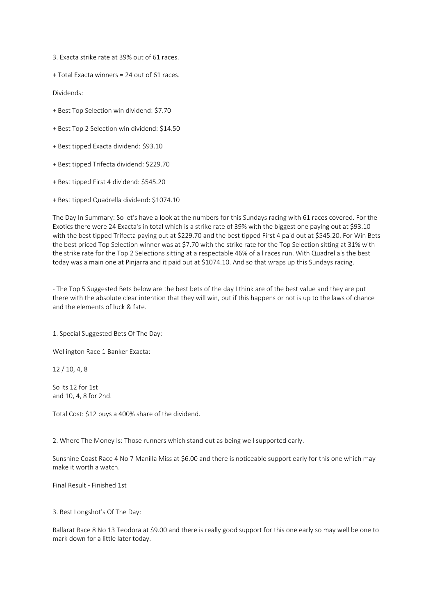3. Exacta strike rate at 39% out of 61 races.

+ Total Exacta winners = 24 out of 61 races.

Dividends:

+ Best Top Selection win dividend: \$7.70

+ Best Top 2 Selection win dividend: \$14.50

- + Best tipped Exacta dividend: \$93.10
- + Best tipped Trifecta dividend: \$229.70
- + Best tipped First 4 dividend: \$545.20
- + Best tipped Quadrella dividend: \$1074.10

The Day In Summary: So let's have a look at the numbers for this Sundays racing with 61 races covered. For the Exotics there were 24 Exacta's in total which is a strike rate of 39% with the biggest one paying out at \$93.10 with the best tipped Trifecta paying out at \$229.70 and the best tipped First 4 paid out at \$545.20. For Win Bets the best priced Top Selection winner was at \$7.70 with the strike rate for the Top Selection sitting at 31% with the strike rate for the Top 2 Selections sitting at a respectable 46% of all races run. With Quadrella's the best today was a main one at Pinjarra and it paid out at \$1074.10. And so that wraps up this Sundays racing.

- The Top 5 Suggested Bets below are the best bets of the day I think are of the best value and they are put there with the absolute clear intention that they will win, but if this happens or not is up to the laws of chance and the elements of luck & fate.

1. Special Suggested Bets Of The Day:

Wellington Race 1 Banker Exacta:

12 / 10, 4, 8

So its 12 for 1st and 10, 4, 8 for 2nd.

Total Cost: \$12 buys a 400% share of the dividend.

2. Where The Money Is: Those runners which stand out as being well supported early.

Sunshine Coast Race 4 No 7 Manilla Miss at \$6.00 and there is noticeable support early for this one which may make it worth a watch.

Final Result - Finished 1st

3. Best Longshot's Of The Day:

Ballarat Race 8 No 13 Teodora at \$9.00 and there is really good support for this one early so may well be one to mark down for a little later today.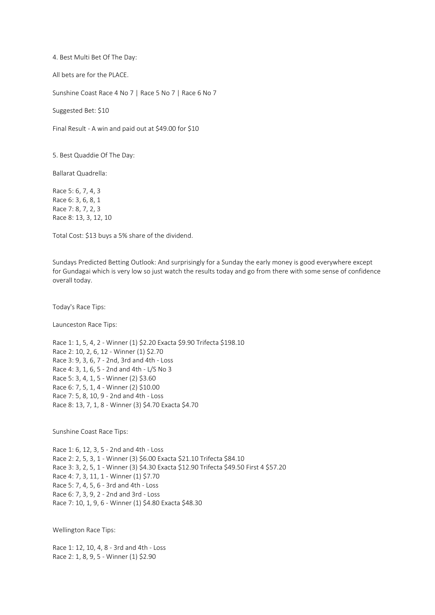4. Best Multi Bet Of The Day:

All bets are for the PLACE.

Sunshine Coast Race 4 No 7 | Race 5 No 7 | Race 6 No 7

Suggested Bet: \$10

Final Result - A win and paid out at \$49.00 for \$10

5. Best Quaddie Of The Day:

Ballarat Quadrella:

Race 5: 6, 7, 4, 3 Race 6: 3, 6, 8, 1 Race 7: 8, 7, 2, 3 Race 8: 13, 3, 12, 10

Total Cost: \$13 buys a 5% share of the dividend.

Sundays Predicted Betting Outlook: And surprisingly for a Sunday the early money is good everywhere except for Gundagai which is very low so just watch the results today and go from there with some sense of confidence overall today.

Today's Race Tips:

Launceston Race Tips:

Race 1: 1, 5, 4, 2 - Winner (1) \$2.20 Exacta \$9.90 Trifecta \$198.10 Race 2: 10, 2, 6, 12 - Winner (1) \$2.70 Race 3: 9, 3, 6, 7 - 2nd, 3rd and 4th - Loss Race 4: 3, 1, 6, 5 - 2nd and 4th - L/S No 3 Race 5: 3, 4, 1, 5 - Winner (2) \$3.60 Race 6: 7, 5, 1, 4 - Winner (2) \$10.00 Race 7: 5, 8, 10, 9 - 2nd and 4th - Loss Race 8: 13, 7, 1, 8 - Winner (3) \$4.70 Exacta \$4.70

Sunshine Coast Race Tips:

Race 1: 6, 12, 3, 5 - 2nd and 4th - Loss Race 2: 2, 5, 3, 1 - Winner (3) \$6.00 Exacta \$21.10 Trifecta \$84.10 Race 3: 3, 2, 5, 1 - Winner (3) \$4.30 Exacta \$12.90 Trifecta \$49.50 First 4 \$57.20 Race 4: 7, 3, 11, 1 - Winner (1) \$7.70 Race 5: 7, 4, 5, 6 - 3rd and 4th - Loss Race 6: 7, 3, 9, 2 - 2nd and 3rd - Loss Race 7: 10, 1, 9, 6 - Winner (1) \$4.80 Exacta \$48.30

Wellington Race Tips:

Race 1: 12, 10, 4, 8 - 3rd and 4th - Loss Race 2: 1, 8, 9, 5 - Winner (1) \$2.90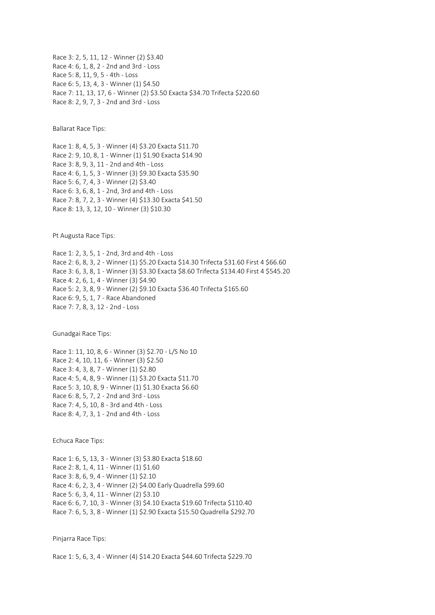Race 3: 2, 5, 11, 12 - Winner (2) \$3.40 Race 4: 6, 1, 8, 2 - 2nd and 3rd - Loss Race 5: 8, 11, 9, 5 - 4th - Loss Race 6: 5, 13, 4, 3 - Winner (1) \$4.50 Race 7: 11, 13, 17, 6 - Winner (2) \$3.50 Exacta \$34.70 Trifecta \$220.60 Race 8: 2, 9, 7, 3 - 2nd and 3rd - Loss

Ballarat Race Tips:

Race 1: 8, 4, 5, 3 - Winner (4) \$3.20 Exacta \$11.70 Race 2: 9, 10, 8, 1 - Winner (1) \$1.90 Exacta \$14.90 Race 3: 8, 9, 3, 11 - 2nd and 4th - Loss Race 4: 6, 1, 5, 3 - Winner (3) \$9.30 Exacta \$35.90 Race 5: 6, 7, 4, 3 - Winner (2) \$3.40 Race 6: 3, 6, 8, 1 - 2nd, 3rd and 4th - Loss Race 7: 8, 7, 2, 3 - Winner (4) \$13.30 Exacta \$41.50 Race 8: 13, 3, 12, 10 - Winner (3) \$10.30

Pt Augusta Race Tips:

Race 1: 2, 3, 5, 1 - 2nd, 3rd and 4th - Loss Race 2: 6, 8, 3, 2 - Winner (1) \$5.20 Exacta \$14.30 Trifecta \$31.60 First 4 \$66.60 Race 3: 6, 3, 8, 1 - Winner (3) \$3.30 Exacta \$8.60 Trifecta \$134.40 First 4 \$545.20 Race 4: 2, 6, 1, 4 - Winner (3) \$4.90 Race 5: 2, 3, 8, 9 - Winner (2) \$9.10 Exacta \$36.40 Trifecta \$165.60 Race 6: 9, 5, 1, 7 - Race Abandoned Race 7: 7, 8, 3, 12 - 2nd - Loss

Gunadgai Race Tips:

Race 1: 11, 10, 8, 6 - Winner (3) \$2.70 - L/S No 10 Race 2: 4, 10, 11, 6 - Winner (3) \$2.50 Race 3: 4, 3, 8, 7 - Winner (1) \$2.80 Race 4: 5, 4, 8, 9 - Winner (1) \$3.20 Exacta \$11.70 Race 5: 3, 10, 8, 9 - Winner (1) \$1.30 Exacta \$6.60 Race 6: 8, 5, 7, 2 - 2nd and 3rd - Loss Race 7: 4, 5, 10, 8 - 3rd and 4th - Loss Race 8: 4, 7, 3, 1 - 2nd and 4th - Loss

Echuca Race Tips:

Race 1: 6, 5, 13, 3 - Winner (3) \$3.80 Exacta \$18.60 Race 2: 8, 1, 4, 11 - Winner (1) \$1.60 Race 3: 8, 6, 9, 4 - Winner (1) \$2.10 Race 4: 6, 2, 3, 4 - Winner (2) \$4.00 Early Quadrella \$99.60 Race 5: 6, 3, 4, 11 - Winner (2) \$3.10 Race 6: 6, 7, 10, 3 - Winner (3) \$4.10 Exacta \$19.60 Trifecta \$110.40 Race 7: 6, 5, 3, 8 - Winner (1) \$2.90 Exacta \$15.50 Quadrella \$292.70

Pinjarra Race Tips:

Race 1: 5, 6, 3, 4 - Winner (4) \$14.20 Exacta \$44.60 Trifecta \$229.70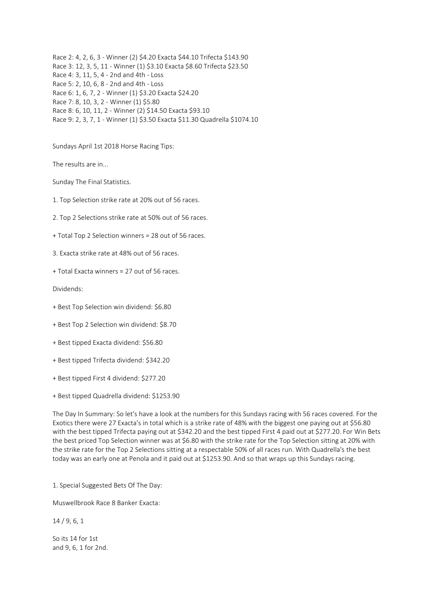Race 2: 4, 2, 6, 3 - Winner (2) \$4.20 Exacta \$44.10 Trifecta \$143.90 Race 3: 12, 3, 5, 11 - Winner (1) \$3.10 Exacta \$8.60 Trifecta \$23.50 Race 4: 3, 11, 5, 4 - 2nd and 4th - Loss Race 5: 2, 10, 6, 8 - 2nd and 4th - Loss Race 6: 1, 6, 7, 2 - Winner (1) \$3.20 Exacta \$24.20 Race 7: 8, 10, 3, 2 - Winner (1) \$5.80 Race 8: 6, 10, 11, 2 - Winner (2) \$14.50 Exacta \$93.10 Race 9: 2, 3, 7, 1 - Winner (1) \$3.50 Exacta \$11.30 Quadrella \$1074.10

Sundays April 1st 2018 Horse Racing Tips:

The results are in...

Sunday The Final Statistics.

1. Top Selection strike rate at 20% out of 56 races.

2. Top 2 Selections strike rate at 50% out of 56 races.

+ Total Top 2 Selection winners = 28 out of 56 races.

3. Exacta strike rate at 48% out of 56 races.

+ Total Exacta winners = 27 out of 56 races.

Dividends:

- + Best Top Selection win dividend: \$6.80
- + Best Top 2 Selection win dividend: \$8.70
- + Best tipped Exacta dividend: \$56.80
- + Best tipped Trifecta dividend: \$342.20
- + Best tipped First 4 dividend: \$277.20
- + Best tipped Quadrella dividend: \$1253.90

The Day In Summary: So let's have a look at the numbers for this Sundays racing with 56 races covered. For the Exotics there were 27 Exacta's in total which is a strike rate of 48% with the biggest one paying out at \$56.80 with the best tipped Trifecta paying out at \$342.20 and the best tipped First 4 paid out at \$277.20. For Win Bets the best priced Top Selection winner was at \$6.80 with the strike rate for the Top Selection sitting at 20% with the strike rate for the Top 2 Selections sitting at a respectable 50% of all races run. With Quadrella's the best today was an early one at Penola and it paid out at \$1253.90. And so that wraps up this Sundays racing.

1. Special Suggested Bets Of The Day:

Muswellbrook Race 8 Banker Exacta:

14 / 9, 6, 1

So its 14 for 1st and 9, 6, 1 for 2nd.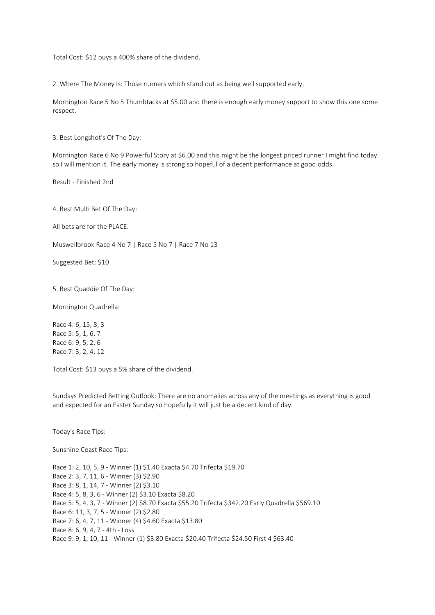Total Cost: \$12 buys a 400% share of the dividend.

2. Where The Money Is: Those runners which stand out as being well supported early.

Mornington Race 5 No 5 Thumbtacks at \$5.00 and there is enough early money support to show this one some respect.

3. Best Longshot's Of The Day:

Mornington Race 6 No 9 Powerful Story at \$6.00 and this might be the longest priced runner I might find today so I will mention it. The early money is strong so hopeful of a decent performance at good odds.

Result - Finished 2nd

4. Best Multi Bet Of The Day:

All bets are for the PLACE.

Muswellbrook Race 4 No 7 | Race 5 No 7 | Race 7 No 13

Suggested Bet: \$10

5. Best Quaddie Of The Day:

Mornington Quadrella:

Race 4: 6, 15, 8, 3 Race 5: 5, 1, 6, 7 Race 6: 9, 5, 2, 6 Race 7: 3, 2, 4, 12

Total Cost: \$13 buys a 5% share of the dividend.

Sundays Predicted Betting Outlook: There are no anomalies across any of the meetings as everything is good and expected for an Easter Sunday so hopefully it will just be a decent kind of day.

Today's Race Tips:

Sunshine Coast Race Tips:

Race 1: 2, 10, 5, 9 - Winner (1) \$1.40 Exacta \$4.70 Trifecta \$19.70 Race 2: 3, 7, 11, 6 - Winner (3) \$2.90 Race 3: 8, 1, 14, 7 - Winner (2) \$3.10 Race 4: 5, 8, 3, 6 - Winner (2) \$3.10 Exacta \$8.20 Race 5: 5, 4, 3, 7 - Winner (2) \$8.70 Exacta \$55.20 Trifecta \$342.20 Early Quadrella \$569.10 Race 6: 11, 3, 7, 5 - Winner (2) \$2.80 Race 7: 6, 4, 7, 11 - Winner (4) \$4.60 Exacta \$13.80 Race 8: 6, 9, 4, 7 - 4th - Loss Race 9: 9, 1, 10, 11 - Winner (1) \$3.80 Exacta \$20.40 Trifecta \$24.50 First 4 \$63.40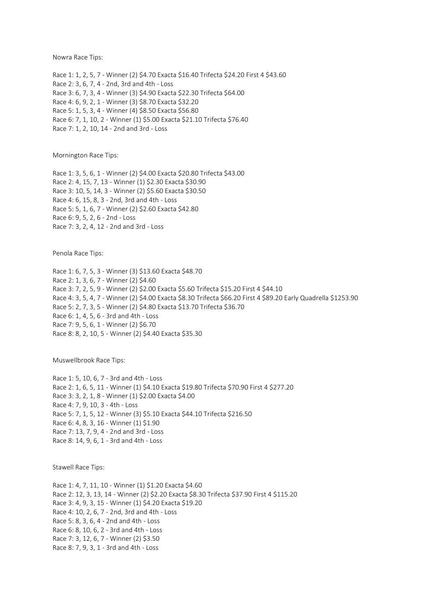Nowra Race Tips:

Race 1: 1, 2, 5, 7 - Winner (2) \$4.70 Exacta \$16.40 Trifecta \$24.20 First 4 \$43.60 Race 2: 3, 6, 7, 4 - 2nd, 3rd and 4th - Loss Race 3: 6, 7, 3, 4 - Winner (3) \$4.90 Exacta \$22.30 Trifecta \$64.00 Race 4: 6, 9, 2, 1 - Winner (3) \$8.70 Exacta \$32.20 Race 5: 1, 5, 3, 4 - Winner (4) \$8.50 Exacta \$56.80 Race 6: 7, 1, 10, 2 - Winner (1) \$5.00 Exacta \$21.10 Trifecta \$76.40 Race 7: 1, 2, 10, 14 - 2nd and 3rd - Loss

Mornington Race Tips:

Race 1: 3, 5, 6, 1 - Winner (2) \$4.00 Exacta \$20.80 Trifecta \$43.00 Race 2: 4, 15, 7, 13 - Winner (1) \$2.30 Exacta \$30.90 Race 3: 10, 5, 14, 3 - Winner (2) \$5.60 Exacta \$30.50 Race 4: 6, 15, 8, 3 - 2nd, 3rd and 4th - Loss Race 5: 5, 1, 6, 7 - Winner (2) \$2.60 Exacta \$42.80 Race 6: 9, 5, 2, 6 - 2nd - Loss Race 7: 3, 2, 4, 12 - 2nd and 3rd - Loss

Penola Race Tips:

Race 1: 6, 7, 5, 3 - Winner (3) \$13.60 Exacta \$48.70 Race 2: 1, 3, 6, 7 - Winner (2) \$4.60 Race 3: 7, 2, 5, 9 - Winner (2) \$2.00 Exacta \$5.60 Trifecta \$15.20 First 4 \$44.10 Race 4: 3, 5, 4, 7 - Winner (2) \$4.00 Exacta \$8.30 Trifecta \$66.20 First 4 \$89.20 Early Quadrella \$1253.90 Race 5: 2, 7, 3, 5 - Winner (2) \$4.80 Exacta \$13.70 Trifecta \$36.70 Race 6: 1, 4, 5, 6 - 3rd and 4th - Loss Race 7: 9, 5, 6, 1 - Winner (2) \$6.70 Race 8: 8, 2, 10, 5 - Winner (2) \$4.40 Exacta \$35.30

Muswellbrook Race Tips:

Race 1: 5, 10, 6, 7 - 3rd and 4th - Loss Race 2: 1, 6, 5, 11 - Winner (1) \$4.10 Exacta \$19.80 Trifecta \$70.90 First 4 \$277.20 Race 3: 3, 2, 1, 8 - Winner (1) \$2.00 Exacta \$4.00 Race 4: 7, 9, 10, 3 - 4th - Loss Race 5: 7, 1, 5, 12 - Winner (3) \$5.10 Exacta \$44.10 Trifecta \$216.50 Race 6: 4, 8, 3, 16 - Winner (1) \$1.90 Race 7: 13, 7, 9, 4 - 2nd and 3rd - Loss Race 8: 14, 9, 6, 1 - 3rd and 4th - Loss

Stawell Race Tips:

Race 1: 4, 7, 11, 10 - Winner (1) \$1.20 Exacta \$4.60 Race 2: 12, 3, 13, 14 - Winner (2) \$2.20 Exacta \$8.30 Trifecta \$37.90 First 4 \$115.20 Race 3: 4, 9, 3, 15 - Winner (1) \$4.20 Exacta \$19.20 Race 4: 10, 2, 6, 7 - 2nd, 3rd and 4th - Loss Race 5: 8, 3, 6, 4 - 2nd and 4th - Loss Race 6: 8, 10, 6, 2 - 3rd and 4th - Loss Race 7: 3, 12, 6, 7 - Winner (2) \$3.50 Race 8: 7, 9, 3, 1 - 3rd and 4th - Loss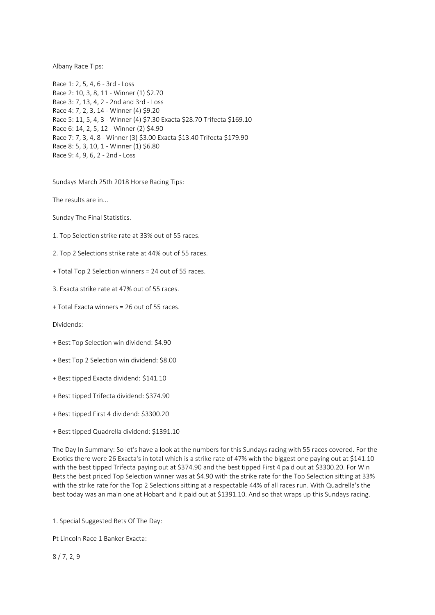Albany Race Tips:

Race 1: 2, 5, 4, 6 - 3rd - Loss Race 2: 10, 3, 8, 11 - Winner (1) \$2.70 Race 3: 7, 13, 4, 2 - 2nd and 3rd - Loss Race 4: 7, 2, 3, 14 - Winner (4) \$9.20 Race 5: 11, 5, 4, 3 - Winner (4) \$7.30 Exacta \$28.70 Trifecta \$169.10 Race 6: 14, 2, 5, 12 - Winner (2) \$4.90 Race 7: 7, 3, 4, 8 - Winner (3) \$3.00 Exacta \$13.40 Trifecta \$179.90 Race 8: 5, 3, 10, 1 - Winner (1) \$6.80 Race 9: 4, 9, 6, 2 - 2nd - Loss

Sundays March 25th 2018 Horse Racing Tips:

The results are in...

Sunday The Final Statistics.

1. Top Selection strike rate at 33% out of 55 races.

2. Top 2 Selections strike rate at 44% out of 55 races.

+ Total Top 2 Selection winners = 24 out of 55 races.

3. Exacta strike rate at 47% out of 55 races.

+ Total Exacta winners = 26 out of 55 races.

Dividends:

- + Best Top Selection win dividend: \$4.90
- + Best Top 2 Selection win dividend: \$8.00
- + Best tipped Exacta dividend: \$141.10
- + Best tipped Trifecta dividend: \$374.90
- + Best tipped First 4 dividend: \$3300.20
- + Best tipped Quadrella dividend: \$1391.10

The Day In Summary: So let's have a look at the numbers for this Sundays racing with 55 races covered. For the Exotics there were 26 Exacta's in total which is a strike rate of 47% with the biggest one paying out at \$141.10 with the best tipped Trifecta paying out at \$374.90 and the best tipped First 4 paid out at \$3300.20. For Win Bets the best priced Top Selection winner was at \$4.90 with the strike rate for the Top Selection sitting at 33% with the strike rate for the Top 2 Selections sitting at a respectable 44% of all races run. With Quadrella's the best today was an main one at Hobart and it paid out at \$1391.10. And so that wraps up this Sundays racing.

1. Special Suggested Bets Of The Day:

Pt Lincoln Race 1 Banker Exacta:

8 / 7, 2, 9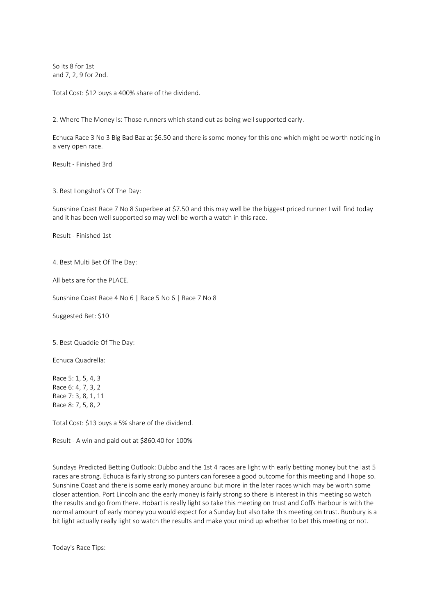So its 8 for 1st and 7, 2, 9 for 2nd.

Total Cost: \$12 buys a 400% share of the dividend.

2. Where The Money Is: Those runners which stand out as being well supported early.

Echuca Race 3 No 3 Big Bad Baz at \$6.50 and there is some money for this one which might be worth noticing in a very open race.

Result - Finished 3rd

3. Best Longshot's Of The Day:

Sunshine Coast Race 7 No 8 Superbee at \$7.50 and this may well be the biggest priced runner I will find today and it has been well supported so may well be worth a watch in this race.

Result - Finished 1st

4. Best Multi Bet Of The Day:

All bets are for the PLACE.

Sunshine Coast Race 4 No 6 | Race 5 No 6 | Race 7 No 8

Suggested Bet: \$10

5. Best Quaddie Of The Day:

Echuca Quadrella:

Race 5: 1, 5, 4, 3 Race 6: 4, 7, 3, 2 Race 7: 3, 8, 1, 11 Race 8: 7, 5, 8, 2

Total Cost: \$13 buys a 5% share of the dividend.

Result - A win and paid out at \$860.40 for 100%

Sundays Predicted Betting Outlook: Dubbo and the 1st 4 races are light with early betting money but the last 5 races are strong. Echuca is fairly strong so punters can foresee a good outcome for this meeting and I hope so. Sunshine Coast and there is some early money around but more in the later races which may be worth some closer attention. Port Lincoln and the early money is fairly strong so there is interest in this meeting so watch the results and go from there. Hobart is really light so take this meeting on trust and Coffs Harbour is with the normal amount of early money you would expect for a Sunday but also take this meeting on trust. Bunbury is a bit light actually really light so watch the results and make your mind up whether to bet this meeting or not.

Today's Race Tips: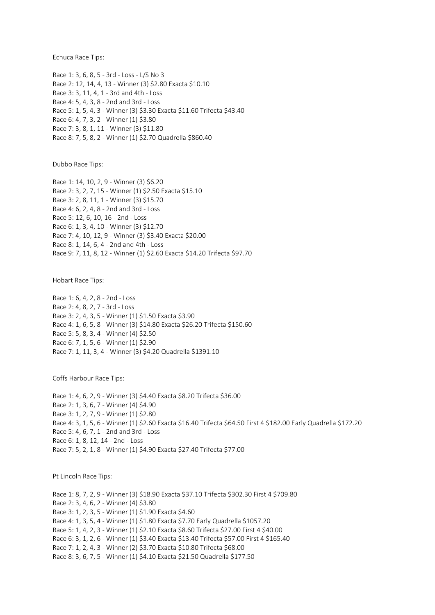Echuca Race Tips:

Race 1: 3, 6, 8, 5 - 3rd - Loss - L/S No 3 Race 2: 12, 14, 4, 13 - Winner (3) \$2.80 Exacta \$10.10 Race 3: 3, 11, 4, 1 - 3rd and 4th - Loss Race 4: 5, 4, 3, 8 - 2nd and 3rd - Loss Race 5: 1, 5, 4, 3 - Winner (3) \$3.30 Exacta \$11.60 Trifecta \$43.40 Race 6: 4, 7, 3, 2 - Winner (1) \$3.80 Race 7: 3, 8, 1, 11 - Winner (3) \$11.80 Race 8: 7, 5, 8, 2 - Winner (1) \$2.70 Quadrella \$860.40

Dubbo Race Tips:

Race 1: 14, 10, 2, 9 - Winner (3) \$6.20 Race 2: 3, 2, 7, 15 - Winner (1) \$2.50 Exacta \$15.10 Race 3: 2, 8, 11, 1 - Winner (3) \$15.70 Race 4: 6, 2, 4, 8 - 2nd and 3rd - Loss Race 5: 12, 6, 10, 16 - 2nd - Loss Race 6: 1, 3, 4, 10 - Winner (3) \$12.70 Race 7: 4, 10, 12, 9 - Winner (3) \$3.40 Exacta \$20.00 Race 8: 1, 14, 6, 4 - 2nd and 4th - Loss Race 9: 7, 11, 8, 12 - Winner (1) \$2.60 Exacta \$14.20 Trifecta \$97.70

Hobart Race Tips:

Race 1: 6, 4, 2, 8 - 2nd - Loss Race 2: 4, 8, 2, 7 - 3rd - Loss Race 3: 2, 4, 3, 5 - Winner (1) \$1.50 Exacta \$3.90 Race 4: 1, 6, 5, 8 - Winner (3) \$14.80 Exacta \$26.20 Trifecta \$150.60 Race 5: 5, 8, 3, 4 - Winner (4) \$2.50 Race 6: 7, 1, 5, 6 - Winner (1) \$2.90 Race 7: 1, 11, 3, 4 - Winner (3) \$4.20 Quadrella \$1391.10

Coffs Harbour Race Tips:

Race 1: 4, 6, 2, 9 - Winner (3) \$4.40 Exacta \$8.20 Trifecta \$36.00 Race 2: 1, 3, 6, 7 - Winner (4) \$4.90 Race 3: 1, 2, 7, 9 - Winner (1) \$2.80 Race 4: 3, 1, 5, 6 - Winner (1) \$2.60 Exacta \$16.40 Trifecta \$64.50 First 4 \$182.00 Early Quadrella \$172.20 Race 5: 4, 6, 7, 1 - 2nd and 3rd - Loss Race 6: 1, 8, 12, 14 - 2nd - Loss Race 7: 5, 2, 1, 8 - Winner (1) \$4.90 Exacta \$27.40 Trifecta \$77.00

Pt Lincoln Race Tips:

Race 1: 8, 7, 2, 9 - Winner (3) \$18.90 Exacta \$37.10 Trifecta \$302.30 First 4 \$709.80 Race 2: 3, 4, 6, 2 - Winner (4) \$3.80 Race 3: 1, 2, 3, 5 - Winner (1) \$1.90 Exacta \$4.60 Race 4: 1, 3, 5, 4 - Winner (1) \$1.80 Exacta \$7.70 Early Quadrella \$1057.20 Race 5: 1, 4, 2, 3 - Winner (1) \$2.10 Exacta \$8.60 Trifecta \$27.00 First 4 \$40.00 Race 6: 3, 1, 2, 6 - Winner (1) \$3.40 Exacta \$13.40 Trifecta \$57.00 First 4 \$165.40 Race 7: 1, 2, 4, 3 - Winner (2) \$3.70 Exacta \$10.80 Trifecta \$68.00 Race 8: 3, 6, 7, 5 - Winner (1) \$4.10 Exacta \$21.50 Quadrella \$177.50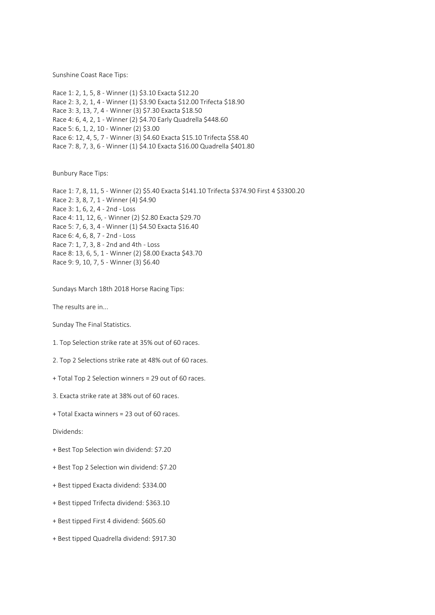Sunshine Coast Race Tips:

Race 1: 2, 1, 5, 8 - Winner (1) \$3.10 Exacta \$12.20 Race 2: 3, 2, 1, 4 - Winner (1) \$3.90 Exacta \$12.00 Trifecta \$18.90 Race 3: 3, 13, 7, 4 - Winner (3) \$7.30 Exacta \$18.50 Race 4: 6, 4, 2, 1 - Winner (2) \$4.70 Early Quadrella \$448.60 Race 5: 6, 1, 2, 10 - Winner (2) \$3.00 Race 6: 12, 4, 5, 7 - Winner (3) \$4.60 Exacta \$15.10 Trifecta \$58.40 Race 7: 8, 7, 3, 6 - Winner (1) \$4.10 Exacta \$16.00 Quadrella \$401.80

Bunbury Race Tips:

Race 1: 7, 8, 11, 5 - Winner (2) \$5.40 Exacta \$141.10 Trifecta \$374.90 First 4 \$3300.20 Race 2: 3, 8, 7, 1 - Winner (4) \$4.90 Race 3: 1, 6, 2, 4 - 2nd - Loss Race 4: 11, 12, 6, - Winner (2) \$2.80 Exacta \$29.70 Race 5: 7, 6, 3, 4 - Winner (1) \$4.50 Exacta \$16.40 Race 6: 4, 6, 8, 7 - 2nd - Loss Race 7: 1, 7, 3, 8 - 2nd and 4th - Loss Race 8: 13, 6, 5, 1 - Winner (2) \$8.00 Exacta \$43.70 Race 9: 9, 10, 7, 5 - Winner (3) \$6.40

Sundays March 18th 2018 Horse Racing Tips:

The results are in...

Sunday The Final Statistics.

1. Top Selection strike rate at 35% out of 60 races.

2. Top 2 Selections strike rate at 48% out of 60 races.

+ Total Top 2 Selection winners = 29 out of 60 races.

3. Exacta strike rate at 38% out of 60 races.

+ Total Exacta winners = 23 out of 60 races.

Dividends:

+ Best Top Selection win dividend: \$7.20

+ Best Top 2 Selection win dividend: \$7.20

+ Best tipped Exacta dividend: \$334.00

+ Best tipped Trifecta dividend: \$363.10

+ Best tipped First 4 dividend: \$605.60

+ Best tipped Quadrella dividend: \$917.30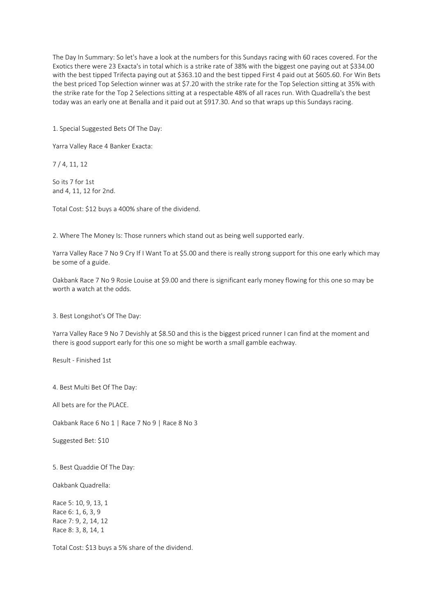The Day In Summary: So let's have a look at the numbers for this Sundays racing with 60 races covered. For the Exotics there were 23 Exacta's in total which is a strike rate of 38% with the biggest one paying out at \$334.00 with the best tipped Trifecta paying out at \$363.10 and the best tipped First 4 paid out at \$605.60. For Win Bets the best priced Top Selection winner was at \$7.20 with the strike rate for the Top Selection sitting at 35% with the strike rate for the Top 2 Selections sitting at a respectable 48% of all races run. With Quadrella's the best today was an early one at Benalla and it paid out at \$917.30. And so that wraps up this Sundays racing.

1. Special Suggested Bets Of The Day:

Yarra Valley Race 4 Banker Exacta:

7 / 4, 11, 12

So its 7 for 1st and 4, 11, 12 for 2nd.

Total Cost: \$12 buys a 400% share of the dividend.

2. Where The Money Is: Those runners which stand out as being well supported early.

Yarra Valley Race 7 No 9 Cry If I Want To at \$5.00 and there is really strong support for this one early which may be some of a guide.

Oakbank Race 7 No 9 Rosie Louise at \$9.00 and there is significant early money flowing for this one so may be worth a watch at the odds.

3. Best Longshot's Of The Day:

Yarra Valley Race 9 No 7 Devishly at \$8.50 and this is the biggest priced runner I can find at the moment and there is good support early for this one so might be worth a small gamble eachway.

Result - Finished 1st

4. Best Multi Bet Of The Day:

All bets are for the PLACE.

Oakbank Race 6 No 1 | Race 7 No 9 | Race 8 No 3

Suggested Bet: \$10

5. Best Quaddie Of The Day:

Oakbank Quadrella:

Race 5: 10, 9, 13, 1 Race 6: 1, 6, 3, 9 Race 7: 9, 2, 14, 12 Race 8: 3, 8, 14, 1

Total Cost: \$13 buys a 5% share of the dividend.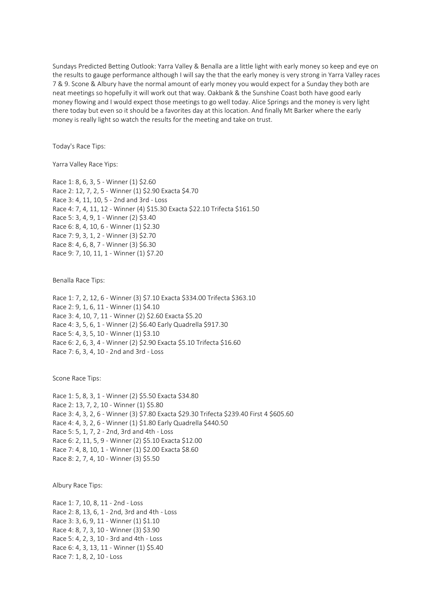Sundays Predicted Betting Outlook: Yarra Valley & Benalla are a little light with early money so keep and eye on the results to gauge performance although I will say the that the early money is very strong in Yarra Valley races 7 & 9. Scone & Albury have the normal amount of early money you would expect for a Sunday they both are neat meetings so hopefully it will work out that way. Oakbank & the Sunshine Coast both have good early money flowing and I would expect those meetings to go well today. Alice Springs and the money is very light there today but even so it should be a favorites day at this location. And finally Mt Barker where the early money is really light so watch the results for the meeting and take on trust.

Today's Race Tips:

Yarra Valley Race Yips:

Race 1: 8, 6, 3, 5 - Winner (1) \$2.60 Race 2: 12, 7, 2, 5 - Winner (1) \$2.90 Exacta \$4.70 Race 3: 4, 11, 10, 5 - 2nd and 3rd - Loss Race 4: 7, 4, 11, 12 - Winner (4) \$15.30 Exacta \$22.10 Trifecta \$161.50 Race 5: 3, 4, 9, 1 - Winner (2) \$3.40 Race 6: 8, 4, 10, 6 - Winner (1) \$2.30 Race 7: 9, 3, 1, 2 - Winner (3) \$2.70 Race 8: 4, 6, 8, 7 - Winner (3) \$6.30 Race 9: 7, 10, 11, 1 - Winner (1) \$7.20

Benalla Race Tips:

Race 1: 7, 2, 12, 6 - Winner (3) \$7.10 Exacta \$334.00 Trifecta \$363.10 Race 2: 9, 1, 6, 11 - Winner (1) \$4.10 Race 3: 4, 10, 7, 11 - Winner (2) \$2.60 Exacta \$5.20 Race 4: 3, 5, 6, 1 - Winner (2) \$6.40 Early Quadrella \$917.30 Race 5: 4, 3, 5, 10 - Winner (1) \$3.10 Race 6: 2, 6, 3, 4 - Winner (2) \$2.90 Exacta \$5.10 Trifecta \$16.60 Race 7: 6, 3, 4, 10 - 2nd and 3rd - Loss

Scone Race Tips:

Race 1: 5, 8, 3, 1 - Winner (2) \$5.50 Exacta \$34.80 Race 2: 13, 7, 2, 10 - Winner (1) \$5.80 Race 3: 4, 3, 2, 6 - Winner (3) \$7.80 Exacta \$29.30 Trifecta \$239.40 First 4 \$605.60 Race 4: 4, 3, 2, 6 - Winner (1) \$1.80 Early Quadrella \$440.50 Race 5: 5, 1, 7, 2 - 2nd, 3rd and 4th - Loss Race 6: 2, 11, 5, 9 - Winner (2) \$5.10 Exacta \$12.00 Race 7: 4, 8, 10, 1 - Winner (1) \$2.00 Exacta \$8.60 Race 8: 2, 7, 4, 10 - Winner (3) \$5.50

Albury Race Tips:

Race 1: 7, 10, 8, 11 - 2nd - Loss Race 2: 8, 13, 6, 1 - 2nd, 3rd and 4th - Loss Race 3: 3, 6, 9, 11 - Winner (1) \$1.10 Race 4: 8, 7, 3, 10 - Winner (3) \$3.90 Race 5: 4, 2, 3, 10 - 3rd and 4th - Loss Race 6: 4, 3, 13, 11 - Winner (1) \$5.40 Race 7: 1, 8, 2, 10 - Loss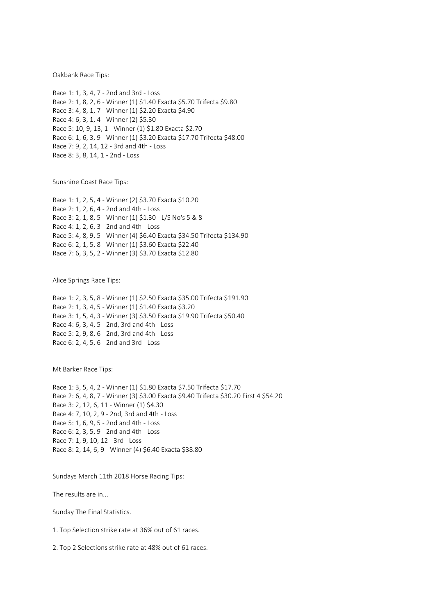Oakbank Race Tips:

Race 1: 1, 3, 4, 7 - 2nd and 3rd - Loss Race 2: 1, 8, 2, 6 - Winner (1) \$1.40 Exacta \$5.70 Trifecta \$9.80 Race 3: 4, 8, 1, 7 - Winner (1) \$2.20 Exacta \$4.90 Race 4: 6, 3, 1, 4 - Winner (2) \$5.30 Race 5: 10, 9, 13, 1 - Winner (1) \$1.80 Exacta \$2.70 Race 6: 1, 6, 3, 9 - Winner (1) \$3.20 Exacta \$17.70 Trifecta \$48.00 Race 7: 9, 2, 14, 12 - 3rd and 4th - Loss Race 8: 3, 8, 14, 1 - 2nd - Loss

Sunshine Coast Race Tips:

Race 1: 1, 2, 5, 4 - Winner (2) \$3.70 Exacta \$10.20 Race 2: 1, 2, 6, 4 - 2nd and 4th - Loss Race 3: 2, 1, 8, 5 - Winner (1) \$1.30 - L/S No's 5 & 8 Race 4: 1, 2, 6, 3 - 2nd and 4th - Loss Race 5: 4, 8, 9, 5 - Winner (4) \$6.40 Exacta \$34.50 Trifecta \$134.90 Race 6: 2, 1, 5, 8 - Winner (1) \$3.60 Exacta \$22.40 Race 7: 6, 3, 5, 2 - Winner (3) \$3.70 Exacta \$12.80

Alice Springs Race Tips:

Race 1: 2, 3, 5, 8 - Winner (1) \$2.50 Exacta \$35.00 Trifecta \$191.90 Race 2: 1, 3, 4, 5 - Winner (1) \$1.40 Exacta \$3.20 Race 3: 1, 5, 4, 3 - Winner (3) \$3.50 Exacta \$19.90 Trifecta \$50.40 Race 4: 6, 3, 4, 5 - 2nd, 3rd and 4th - Loss Race 5: 2, 9, 8, 6 - 2nd, 3rd and 4th - Loss Race 6: 2, 4, 5, 6 - 2nd and 3rd - Loss

Mt Barker Race Tips:

Race 1: 3, 5, 4, 2 - Winner (1) \$1.80 Exacta \$7.50 Trifecta \$17.70 Race 2: 6, 4, 8, 7 - Winner (3) \$3.00 Exacta \$9.40 Trifecta \$30.20 First 4 \$54.20 Race 3: 2, 12, 6, 11 - Winner (1) \$4.30 Race 4: 7, 10, 2, 9 - 2nd, 3rd and 4th - Loss Race 5: 1, 6, 9, 5 - 2nd and 4th - Loss Race 6: 2, 3, 5, 9 - 2nd and 4th - Loss Race 7: 1, 9, 10, 12 - 3rd - Loss Race 8: 2, 14, 6, 9 - Winner (4) \$6.40 Exacta \$38.80

Sundays March 11th 2018 Horse Racing Tips:

The results are in...

Sunday The Final Statistics.

1. Top Selection strike rate at 36% out of 61 races.

2. Top 2 Selections strike rate at 48% out of 61 races.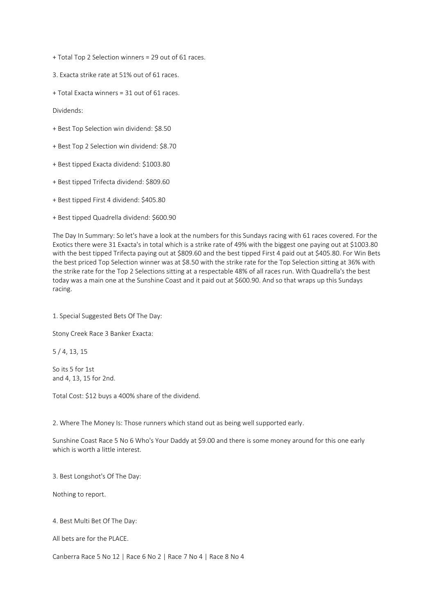+ Total Top 2 Selection winners = 29 out of 61 races.

3. Exacta strike rate at 51% out of 61 races.

+ Total Exacta winners = 31 out of 61 races.

Dividends:

- + Best Top Selection win dividend: \$8.50
- + Best Top 2 Selection win dividend: \$8.70
- + Best tipped Exacta dividend: \$1003.80
- + Best tipped Trifecta dividend: \$809.60
- + Best tipped First 4 dividend: \$405.80
- + Best tipped Quadrella dividend: \$600.90

The Day In Summary: So let's have a look at the numbers for this Sundays racing with 61 races covered. For the Exotics there were 31 Exacta's in total which is a strike rate of 49% with the biggest one paying out at \$1003.80 with the best tipped Trifecta paying out at \$809.60 and the best tipped First 4 paid out at \$405.80. For Win Bets the best priced Top Selection winner was at \$8.50 with the strike rate for the Top Selection sitting at 36% with the strike rate for the Top 2 Selections sitting at a respectable 48% of all races run. With Quadrella's the best today was a main one at the Sunshine Coast and it paid out at \$600.90. And so that wraps up this Sundays racing.

1. Special Suggested Bets Of The Day:

Stony Creek Race 3 Banker Exacta:

5 / 4, 13, 15

So its 5 for 1st and 4, 13, 15 for 2nd.

Total Cost: \$12 buys a 400% share of the dividend.

2. Where The Money Is: Those runners which stand out as being well supported early.

Sunshine Coast Race 5 No 6 Who's Your Daddy at \$9.00 and there is some money around for this one early which is worth a little interest.

3. Best Longshot's Of The Day:

Nothing to report.

4. Best Multi Bet Of The Day:

All bets are for the PLACE.

Canberra Race 5 No 12 | Race 6 No 2 | Race 7 No 4 | Race 8 No 4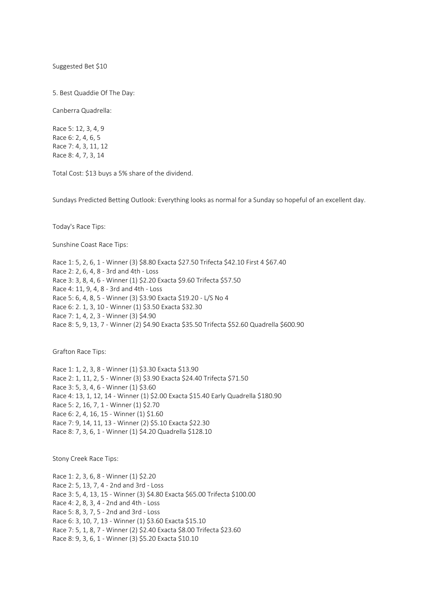Suggested Bet \$10

5. Best Quaddie Of The Day:

Canberra Quadrella:

Race 5: 12, 3, 4, 9 Race 6: 2, 4, 6, 5 Race 7: 4, 3, 11, 12 Race 8: 4, 7, 3, 14

Total Cost: \$13 buys a 5% share of the dividend.

Sundays Predicted Betting Outlook: Everything looks as normal for a Sunday so hopeful of an excellent day.

Today's Race Tips:

Sunshine Coast Race Tips:

Race 1: 5, 2, 6, 1 - Winner (3) \$8.80 Exacta \$27.50 Trifecta \$42.10 First 4 \$67.40 Race 2: 2, 6, 4, 8 - 3rd and 4th - Loss Race 3: 3, 8, 4, 6 - Winner (1) \$2.20 Exacta \$9.60 Trifecta \$57.50 Race 4: 11, 9, 4, 8 - 3rd and 4th - Loss Race 5: 6, 4, 8, 5 - Winner (3) \$3.90 Exacta \$19.20 - L/S No 4 Race 6: 2. 1, 3, 10 - Winner (1) \$3.50 Exacta \$32.30 Race 7: 1, 4, 2, 3 - Winner (3) \$4.90 Race 8: 5, 9, 13, 7 - Winner (2) \$4.90 Exacta \$35.50 Trifecta \$52.60 Quadrella \$600.90

Grafton Race Tips:

Race 1: 1, 2, 3, 8 - Winner (1) \$3.30 Exacta \$13.90 Race 2: 1, 11, 2, 5 - Winner (3) \$3.90 Exacta \$24.40 Trifecta \$71.50 Race 3: 5, 3, 4, 6 - Winner (1) \$3.60 Race 4: 13, 1, 12, 14 - Winner (1) \$2.00 Exacta \$15.40 Early Quadrella \$180.90 Race 5: 2, 16, 7, 1 - Winner (1) \$2.70 Race 6: 2, 4, 16, 15 - Winner (1) \$1.60 Race 7: 9, 14, 11, 13 - Winner (2) \$5.10 Exacta \$22.30 Race 8: 7, 3, 6, 1 - Winner (1) \$4.20 Quadrella \$128.10

Stony Creek Race Tips:

Race 1: 2, 3, 6, 8 - Winner (1) \$2.20 Race 2: 5, 13, 7, 4 - 2nd and 3rd - Loss Race 3: 5, 4, 13, 15 - Winner (3) \$4.80 Exacta \$65.00 Trifecta \$100.00 Race 4: 2, 8, 3, 4 - 2nd and 4th - Loss Race 5: 8, 3, 7, 5 - 2nd and 3rd - Loss Race 6: 3, 10, 7, 13 - Winner (1) \$3.60 Exacta \$15.10 Race 7: 5, 1, 8, 7 - Winner (2) \$2.40 Exacta \$8.00 Trifecta \$23.60 Race 8: 9, 3, 6, 1 - Winner (3) \$5.20 Exacta \$10.10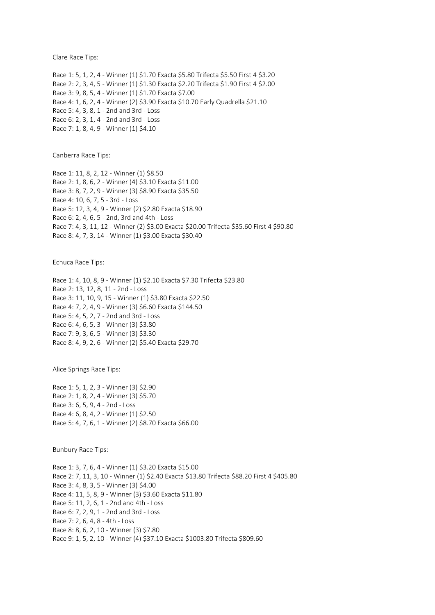Clare Race Tips:

Race 1: 5, 1, 2, 4 - Winner (1) \$1.70 Exacta \$5.80 Trifecta \$5.50 First 4 \$3.20 Race 2: 2, 3, 4, 5 - Winner (1) \$1.30 Exacta \$2.20 Trifecta \$1.90 First 4 \$2.00 Race 3: 9, 8, 5, 4 - Winner (1) \$1.70 Exacta \$7.00 Race 4: 1, 6, 2, 4 - Winner (2) \$3.90 Exacta \$10.70 Early Quadrella \$21.10 Race 5: 4, 3, 8, 1 - 2nd and 3rd - Loss Race 6: 2, 3, 1, 4 - 2nd and 3rd - Loss Race 7: 1, 8, 4, 9 - Winner (1) \$4.10

Canberra Race Tips:

Race 1: 11, 8, 2, 12 - Winner (1) \$8.50 Race 2: 1, 8, 6, 2 - Winner (4) \$3.10 Exacta \$11.00 Race 3: 8, 7, 2, 9 - Winner (3) \$8.90 Exacta \$35.50 Race 4: 10, 6, 7, 5 - 3rd - Loss Race 5: 12, 3, 4, 9 - Winner (2) \$2.80 Exacta \$18.90 Race 6: 2, 4, 6, 5 - 2nd, 3rd and 4th - Loss Race 7: 4, 3, 11, 12 - Winner (2) \$3.00 Exacta \$20.00 Trifecta \$35.60 First 4 \$90.80 Race 8: 4, 7, 3, 14 - Winner (1) \$3.00 Exacta \$30.40

Echuca Race Tips:

Race 1: 4, 10, 8, 9 - Winner (1) \$2.10 Exacta \$7.30 Trifecta \$23.80 Race 2: 13, 12, 8, 11 - 2nd - Loss Race 3: 11, 10, 9, 15 - Winner (1) \$3.80 Exacta \$22.50 Race 4: 7, 2, 4, 9 - Winner (3) \$6.60 Exacta \$144.50 Race 5: 4, 5, 2, 7 - 2nd and 3rd - Loss Race 6: 4, 6, 5, 3 - Winner (3) \$3.80 Race 7: 9, 3, 6, 5 - Winner (3) \$3.30 Race 8: 4, 9, 2, 6 - Winner (2) \$5.40 Exacta \$29.70

Alice Springs Race Tips:

Race 1: 5, 1, 2, 3 - Winner (3) \$2.90 Race 2: 1, 8, 2, 4 - Winner (3) \$5.70 Race 3: 6, 5, 9, 4 - 2nd - Loss Race 4: 6, 8, 4, 2 - Winner (1) \$2.50 Race 5: 4, 7, 6, 1 - Winner (2) \$8.70 Exacta \$66.00

Bunbury Race Tips:

Race 1: 3, 7, 6, 4 - Winner (1) \$3.20 Exacta \$15.00 Race 2: 7, 11, 3, 10 - Winner (1) \$2.40 Exacta \$13.80 Trifecta \$88.20 First 4 \$405.80 Race 3: 4, 8, 3, 5 - Winner (3) \$4.00 Race 4: 11, 5, 8, 9 - Winner (3) \$3.60 Exacta \$11.80 Race 5: 11, 2, 6, 1 - 2nd and 4th - Loss Race 6: 7, 2, 9, 1 - 2nd and 3rd - Loss Race 7: 2, 6, 4, 8 - 4th - Loss Race 8: 8, 6, 2, 10 - Winner (3) \$7.80 Race 9: 1, 5, 2, 10 - Winner (4) \$37.10 Exacta \$1003.80 Trifecta \$809.60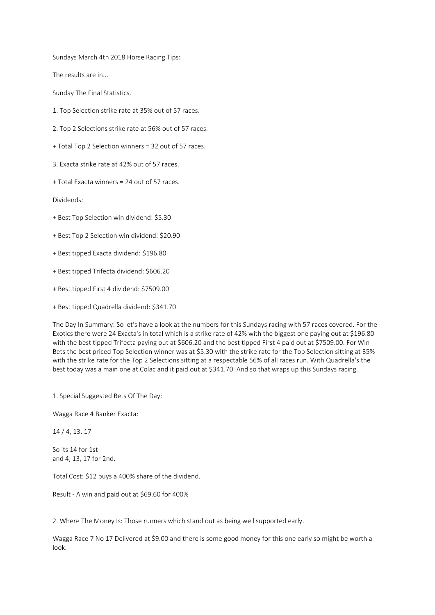Sundays March 4th 2018 Horse Racing Tips:

The results are in...

Sunday The Final Statistics.

- 1. Top Selection strike rate at 35% out of 57 races.
- 2. Top 2 Selections strike rate at 56% out of 57 races.
- + Total Top 2 Selection winners = 32 out of 57 races.

3. Exacta strike rate at 42% out of 57 races.

+ Total Exacta winners = 24 out of 57 races.

Dividends:

- + Best Top Selection win dividend: \$5.30
- + Best Top 2 Selection win dividend: \$20.90
- + Best tipped Exacta dividend: \$196.80
- + Best tipped Trifecta dividend: \$606.20
- + Best tipped First 4 dividend: \$7509.00
- + Best tipped Quadrella dividend: \$341.70

The Day In Summary: So let's have a look at the numbers for this Sundays racing with 57 races covered. For the Exotics there were 24 Exacta's in total which is a strike rate of 42% with the biggest one paying out at \$196.80 with the best tipped Trifecta paying out at \$606.20 and the best tipped First 4 paid out at \$7509.00. For Win Bets the best priced Top Selection winner was at \$5.30 with the strike rate for the Top Selection sitting at 35% with the strike rate for the Top 2 Selections sitting at a respectable 56% of all races run. With Quadrella's the best today was a main one at Colac and it paid out at \$341.70. And so that wraps up this Sundays racing.

1. Special Suggested Bets Of The Day:

Wagga Race 4 Banker Exacta:

14 / 4, 13, 17

So its 14 for 1st and 4, 13, 17 for 2nd.

Total Cost: \$12 buys a 400% share of the dividend.

Result - A win and paid out at \$69.60 for 400%

2. Where The Money Is: Those runners which stand out as being well supported early.

Wagga Race 7 No 17 Delivered at \$9.00 and there is some good money for this one early so might be worth a look.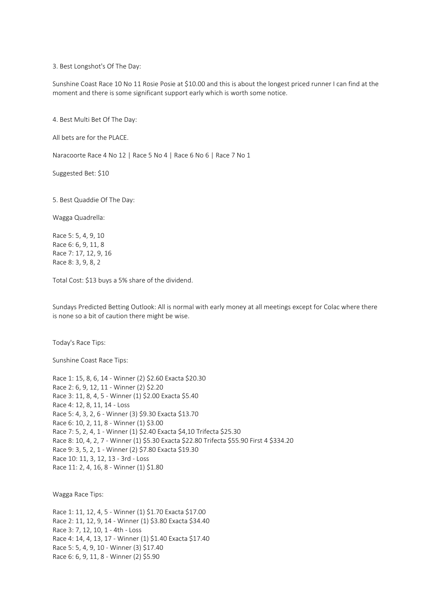3. Best Longshot's Of The Day:

Sunshine Coast Race 10 No 11 Rosie Posie at \$10.00 and this is about the longest priced runner I can find at the moment and there is some significant support early which is worth some notice.

4. Best Multi Bet Of The Day:

All bets are for the PLACE.

Naracoorte Race 4 No 12 | Race 5 No 4 | Race 6 No 6 | Race 7 No 1

Suggested Bet: \$10

5. Best Quaddie Of The Day:

Wagga Quadrella:

Race 5: 5, 4, 9, 10 Race 6: 6, 9, 11, 8 Race 7: 17, 12, 9, 16 Race 8: 3, 9, 8, 2

Total Cost: \$13 buys a 5% share of the dividend.

Sundays Predicted Betting Outlook: All is normal with early money at all meetings except for Colac where there is none so a bit of caution there might be wise.

Today's Race Tips:

Sunshine Coast Race Tips:

Race 1: 15, 8, 6, 14 - Winner (2) \$2.60 Exacta \$20.30 Race 2: 6, 9, 12, 11 - Winner (2) \$2.20 Race 3: 11, 8, 4, 5 - Winner (1) \$2.00 Exacta \$5.40 Race 4: 12, 8, 11, 14 - Loss Race 5: 4, 3, 2, 6 - Winner (3) \$9.30 Exacta \$13.70 Race 6: 10, 2, 11, 8 - Winner (1) \$3.00 Race 7: 5, 2, 4, 1 - Winner (1) \$2.40 Exacta \$4,10 Trifecta \$25.30 Race 8: 10, 4, 2, 7 - Winner (1) \$5.30 Exacta \$22.80 Trifecta \$55.90 First 4 \$334.20 Race 9: 3, 5, 2, 1 - Winner (2) \$7.80 Exacta \$19.30 Race 10: 11, 3, 12, 13 - 3rd - Loss Race 11: 2, 4, 16, 8 - Winner (1) \$1.80

Wagga Race Tips:

Race 1: 11, 12, 4, 5 - Winner (1) \$1.70 Exacta \$17.00 Race 2: 11, 12, 9, 14 - Winner (1) \$3.80 Exacta \$34.40 Race 3: 7, 12, 10, 1 - 4th - Loss Race 4: 14, 4, 13, 17 - Winner (1) \$1.40 Exacta \$17.40 Race 5: 5, 4, 9, 10 - Winner (3) \$17.40 Race 6: 6, 9, 11, 8 - Winner (2) \$5.90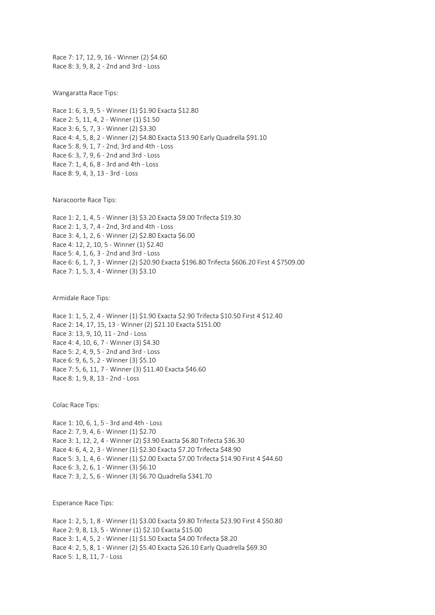Race 7: 17, 12, 9, 16 - Winner (2) \$4.60 Race 8: 3, 9, 8, 2 - 2nd and 3rd - Loss

Wangaratta Race Tips:

Race 1: 6, 3, 9, 5 - Winner (1) \$1.90 Exacta \$12.80 Race 2: 5, 11, 4, 2 - Winner (1) \$1.50 Race 3: 6, 5, 7, 3 - Winner (2) \$3.30 Race 4: 4, 5, 8, 2 - Winner (2) \$4.80 Exacta \$13.90 Early Quadrella \$91.10 Race 5: 8, 9, 1, 7 - 2nd, 3rd and 4th - Loss Race 6: 3, 7, 9, 6 - 2nd and 3rd - Loss Race 7: 1, 4, 6, 8 - 3rd and 4th - Loss Race 8: 9, 4, 3, 13 - 3rd - Loss

Naracoorte Race Tips:

Race 1: 2, 1, 4, 5 - Winner (3) \$3.20 Exacta \$9.00 Trifecta \$19.30 Race 2: 1, 3, 7, 4 - 2nd, 3rd and 4th - Loss Race 3: 4, 1, 2, 6 - Winner (2) \$2.80 Exacta \$6.00 Race 4: 12, 2, 10, 5 - Winner (1) \$2.40 Race 5: 4, 1, 6, 3 - 2nd and 3rd - Loss Race 6: 6, 1, 7, 3 - Winner (2) \$20.90 Exacta \$196.80 Trifecta \$606.20 First 4 \$7509.00 Race 7: 1, 5, 3, 4 - Winner (3) \$3.10

Armidale Race Tips:

Race 1: 1, 5, 2, 4 - Winner (1) \$1.90 Exacta \$2.90 Trifecta \$10.50 First 4 \$12.40 Race 2: 14, 17, 15, 13 - Winner (2) \$21.10 Exacta \$151.00 Race 3: 13, 9, 10, 11 - 2nd - Loss Race 4: 4, 10, 6, 7 - Winner (3) \$4.30 Race 5: 2, 4, 9, 5 - 2nd and 3rd - Loss Race 6: 9, 6, 5, 2 - Winner (3) \$5.10 Race 7: 5, 6, 11, 7 - Winner (3) \$11.40 Exacta \$46.60 Race 8: 1, 9, 8, 13 - 2nd - Loss

Colac Race Tips:

Race 1: 10, 6, 1, 5 - 3rd and 4th - Loss Race 2: 7, 9, 4, 6 - Winner (1) \$2.70 Race 3: 1, 12, 2, 4 - Winner (2) \$3.90 Exacta \$6.80 Trifecta \$36.30 Race 4: 6, 4, 2, 3 - Winner (1) \$2.30 Exacta \$7.20 Trifecta \$48.90 Race 5: 3, 1, 4, 6 - Winner (1) \$2.00 Exacta \$7.00 Trifecta \$14.90 First 4 \$44.60 Race 6: 3, 2, 6, 1 - Winner (3) \$6.10 Race 7: 3, 2, 5, 6 - Winner (3) \$6.70 Quadrella \$341.70

Esperance Race Tips:

Race 1: 2, 5, 1, 8 - Winner (1) \$3.00 Exacta \$9.80 Trifecta \$23.90 First 4 \$50.80 Race 2: 9, 8, 13, 5 - Winner (1) \$2.10 Exacta \$15.00 Race 3: 1, 4, 5, 2 - Winner (1) \$1.50 Exacta \$4.00 Trifecta \$8.20 Race 4: 2, 5, 8, 1 - Winner (2) \$5.40 Exacta \$26.10 Early Quadrella \$69.30 Race 5: 1, 8, 11, 7 - Loss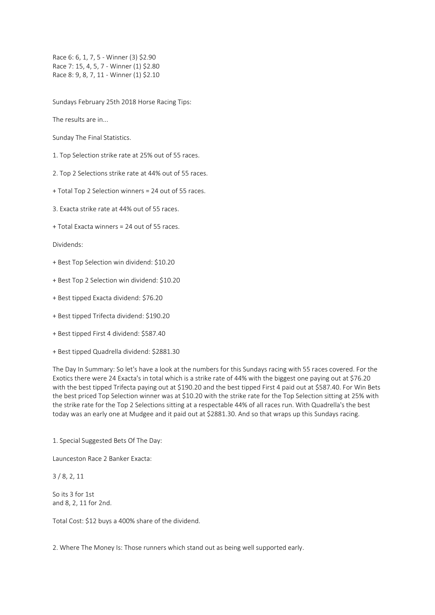Race 6: 6, 1, 7, 5 - Winner (3) \$2.90 Race 7: 15, 4, 5, 7 - Winner (1) \$2.80 Race 8: 9, 8, 7, 11 - Winner (1) \$2.10

Sundays February 25th 2018 Horse Racing Tips:

The results are in...

Sunday The Final Statistics.

1. Top Selection strike rate at 25% out of 55 races.

2. Top 2 Selections strike rate at 44% out of 55 races.

+ Total Top 2 Selection winners = 24 out of 55 races.

3. Exacta strike rate at 44% out of 55 races.

+ Total Exacta winners = 24 out of 55 races.

Dividends:

- + Best Top Selection win dividend: \$10.20
- + Best Top 2 Selection win dividend: \$10.20
- + Best tipped Exacta dividend: \$76.20
- + Best tipped Trifecta dividend: \$190.20
- + Best tipped First 4 dividend: \$587.40
- + Best tipped Quadrella dividend: \$2881.30

The Day In Summary: So let's have a look at the numbers for this Sundays racing with 55 races covered. For the Exotics there were 24 Exacta's in total which is a strike rate of 44% with the biggest one paying out at \$76.20 with the best tipped Trifecta paying out at \$190.20 and the best tipped First 4 paid out at \$587.40. For Win Bets the best priced Top Selection winner was at \$10.20 with the strike rate for the Top Selection sitting at 25% with the strike rate for the Top 2 Selections sitting at a respectable 44% of all races run. With Quadrella's the best today was an early one at Mudgee and it paid out at \$2881.30. And so that wraps up this Sundays racing.

1. Special Suggested Bets Of The Day:

Launceston Race 2 Banker Exacta:

3 / 8, 2, 11

So its 3 for 1st and 8, 2, 11 for 2nd.

Total Cost: \$12 buys a 400% share of the dividend.

2. Where The Money Is: Those runners which stand out as being well supported early.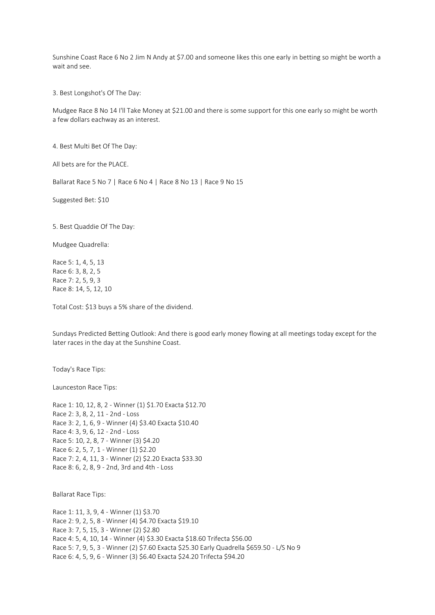Sunshine Coast Race 6 No 2 Jim N Andy at \$7.00 and someone likes this one early in betting so might be worth a wait and see.

3. Best Longshot's Of The Day:

Mudgee Race 8 No 14 I'll Take Money at \$21.00 and there is some support for this one early so might be worth a few dollars eachway as an interest.

4. Best Multi Bet Of The Day:

All bets are for the PLACE.

Ballarat Race 5 No 7 | Race 6 No 4 | Race 8 No 13 | Race 9 No 15

Suggested Bet: \$10

5. Best Quaddie Of The Day:

Mudgee Quadrella:

Race 5: 1, 4, 5, 13 Race 6: 3, 8, 2, 5 Race 7: 2, 5, 9, 3 Race 8: 14, 5, 12, 10

Total Cost: \$13 buys a 5% share of the dividend.

Sundays Predicted Betting Outlook: And there is good early money flowing at all meetings today except for the later races in the day at the Sunshine Coast.

Today's Race Tips:

Launceston Race Tips:

Race 1: 10, 12, 8, 2 - Winner (1) \$1.70 Exacta \$12.70 Race 2: 3, 8, 2, 11 - 2nd - Loss Race 3: 2, 1, 6, 9 - Winner (4) \$3.40 Exacta \$10.40 Race 4: 3, 9, 6, 12 - 2nd - Loss Race 5: 10, 2, 8, 7 - Winner (3) \$4.20 Race 6: 2, 5, 7, 1 - Winner (1) \$2.20 Race 7: 2, 4, 11, 3 - Winner (2) \$2.20 Exacta \$33.30 Race 8: 6, 2, 8, 9 - 2nd, 3rd and 4th - Loss

Ballarat Race Tips:

Race 1: 11, 3, 9, 4 - Winner (1) \$3.70 Race 2: 9, 2, 5, 8 - Winner (4) \$4.70 Exacta \$19.10 Race 3: 7, 5, 15, 3 - Winner (2) \$2.80 Race 4: 5, 4, 10, 14 - Winner (4) \$3.30 Exacta \$18.60 Trifecta \$56.00 Race 5: 7, 9, 5, 3 - Winner (2) \$7.60 Exacta \$25.30 Early Quadrella \$659.50 - L/S No 9 Race 6: 4, 5, 9, 6 - Winner (3) \$6.40 Exacta \$24.20 Trifecta \$94.20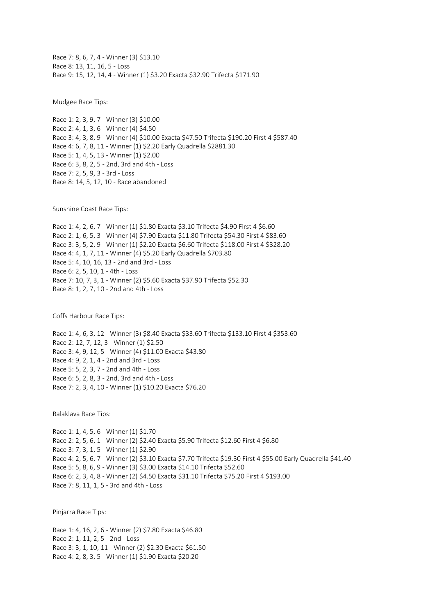Race 7: 8, 6, 7, 4 - Winner (3) \$13.10 Race 8: 13, 11, 16, 5 - Loss Race 9: 15, 12, 14, 4 - Winner (1) \$3.20 Exacta \$32.90 Trifecta \$171.90

Mudgee Race Tips:

Race 1: 2, 3, 9, 7 - Winner (3) \$10.00 Race 2: 4, 1, 3, 6 - Winner (4) \$4.50 Race 3: 4, 3, 8, 9 - Winner (4) \$10.00 Exacta \$47.50 Trifecta \$190.20 First 4 \$587.40 Race 4: 6, 7, 8, 11 - Winner (1) \$2.20 Early Quadrella \$2881.30 Race 5: 1, 4, 5, 13 - Winner (1) \$2.00 Race 6: 3, 8, 2, 5 - 2nd, 3rd and 4th - Loss Race 7: 2, 5, 9, 3 - 3rd - Loss Race 8: 14, 5, 12, 10 - Race abandoned

Sunshine Coast Race Tips:

Race 1: 4, 2, 6, 7 - Winner (1) \$1.80 Exacta \$3.10 Trifecta \$4.90 First 4 \$6.60 Race 2: 1, 6, 5, 3 - Winner (4) \$7.90 Exacta \$11.80 Trifecta \$54.30 First 4 \$83.60 Race 3: 3, 5, 2, 9 - Winner (1) \$2.20 Exacta \$6.60 Trifecta \$118.00 First 4 \$328.20 Race 4: 4, 1, 7, 11 - Winner (4) \$5.20 Early Quadrella \$703.80 Race 5: 4, 10, 16, 13 - 2nd and 3rd - Loss Race 6: 2, 5, 10, 1 - 4th - Loss Race 7: 10, 7, 3, 1 - Winner (2) \$5.60 Exacta \$37.90 Trifecta \$52.30 Race 8: 1, 2, 7, 10 - 2nd and 4th - Loss

Coffs Harbour Race Tips:

Race 1: 4, 6, 3, 12 - Winner (3) \$8.40 Exacta \$33.60 Trifecta \$133.10 First 4 \$353.60 Race 2: 12, 7, 12, 3 - Winner (1) \$2.50 Race 3: 4, 9, 12, 5 - Winner (4) \$11.00 Exacta \$43.80 Race 4: 9, 2, 1, 4 - 2nd and 3rd - Loss Race 5: 5, 2, 3, 7 - 2nd and 4th - Loss Race 6: 5, 2, 8, 3 - 2nd, 3rd and 4th - Loss Race 7: 2, 3, 4, 10 - Winner (1) \$10.20 Exacta \$76.20

Balaklava Race Tips:

Race 1: 1, 4, 5, 6 - Winner (1) \$1.70 Race 2: 2, 5, 6, 1 - Winner (2) \$2.40 Exacta \$5.90 Trifecta \$12.60 First 4 \$6.80 Race 3: 7, 3, 1, 5 - Winner (1) \$2.90 Race 4: 2, 5, 6, 7 - Winner (2) \$3.10 Exacta \$7.70 Trifecta \$19.30 First 4 \$55.00 Early Quadrella \$41.40 Race 5: 5, 8, 6, 9 - Winner (3) \$3.00 Exacta \$14.10 Trifecta \$52.60 Race 6: 2, 3, 4, 8 - Winner (2) \$4.50 Exacta \$31.10 Trifecta \$75.20 First 4 \$193.00 Race 7: 8, 11, 1, 5 - 3rd and 4th - Loss

Pinjarra Race Tips:

Race 1: 4, 16, 2, 6 - Winner (2) \$7.80 Exacta \$46.80 Race 2: 1, 11, 2, 5 - 2nd - Loss Race 3: 3, 1, 10, 11 - Winner (2) \$2.30 Exacta \$61.50 Race 4: 2, 8, 3, 5 - Winner (1) \$1.90 Exacta \$20.20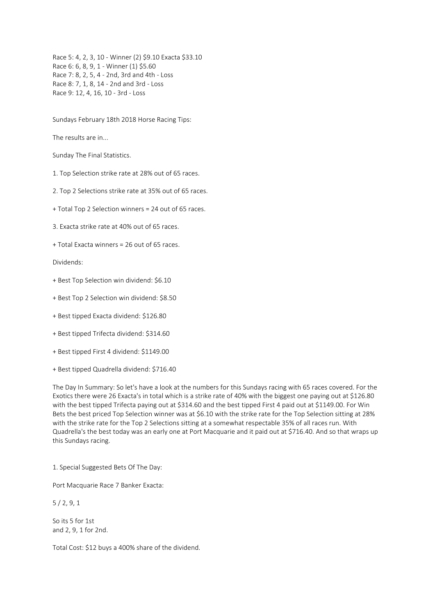Race 5: 4, 2, 3, 10 - Winner (2) \$9.10 Exacta \$33.10 Race 6: 6, 8, 9, 1 - Winner (1) \$5.60 Race 7: 8, 2, 5, 4 - 2nd, 3rd and 4th - Loss Race 8: 7, 1, 8, 14 - 2nd and 3rd - Loss Race 9: 12, 4, 16, 10 - 3rd - Loss

Sundays February 18th 2018 Horse Racing Tips:

The results are in...

Sunday The Final Statistics.

1. Top Selection strike rate at 28% out of 65 races.

2. Top 2 Selections strike rate at 35% out of 65 races.

+ Total Top 2 Selection winners = 24 out of 65 races.

3. Exacta strike rate at 40% out of 65 races.

+ Total Exacta winners = 26 out of 65 races.

Dividends:

- + Best Top Selection win dividend: \$6.10
- + Best Top 2 Selection win dividend: \$8.50
- + Best tipped Exacta dividend: \$126.80
- + Best tipped Trifecta dividend: \$314.60
- + Best tipped First 4 dividend: \$1149.00
- + Best tipped Quadrella dividend: \$716.40

The Day In Summary: So let's have a look at the numbers for this Sundays racing with 65 races covered. For the Exotics there were 26 Exacta's in total which is a strike rate of 40% with the biggest one paying out at \$126.80 with the best tipped Trifecta paying out at \$314.60 and the best tipped First 4 paid out at \$1149.00. For Win Bets the best priced Top Selection winner was at \$6.10 with the strike rate for the Top Selection sitting at 28% with the strike rate for the Top 2 Selections sitting at a somewhat respectable 35% of all races run. With Quadrella's the best today was an early one at Port Macquarie and it paid out at \$716.40. And so that wraps up this Sundays racing.

1. Special Suggested Bets Of The Day:

Port Macquarie Race 7 Banker Exacta:

5 / 2, 9, 1

So its 5 for 1st and 2, 9, 1 for 2nd.

Total Cost: \$12 buys a 400% share of the dividend.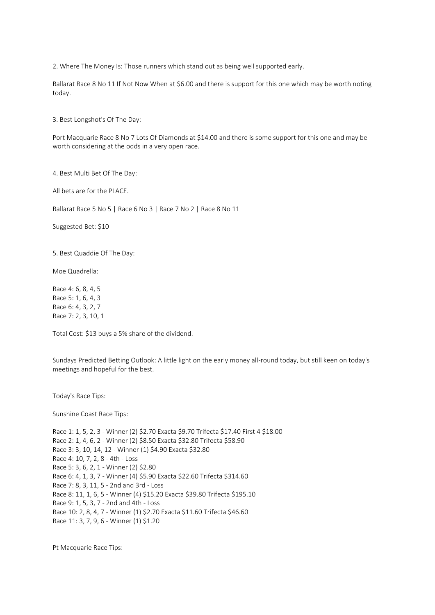2. Where The Money Is: Those runners which stand out as being well supported early.

Ballarat Race 8 No 11 If Not Now When at \$6.00 and there is support for this one which may be worth noting today.

3. Best Longshot's Of The Day:

Port Macquarie Race 8 No 7 Lots Of Diamonds at \$14.00 and there is some support for this one and may be worth considering at the odds in a very open race.

4. Best Multi Bet Of The Day:

All bets are for the PLACE.

Ballarat Race 5 No 5 | Race 6 No 3 | Race 7 No 2 | Race 8 No 11

Suggested Bet: \$10

5. Best Quaddie Of The Day:

Moe Quadrella:

Race 4: 6, 8, 4, 5 Race 5: 1, 6, 4, 3 Race 6: 4, 3, 2, 7 Race 7: 2, 3, 10, 1

Total Cost: \$13 buys a 5% share of the dividend.

Sundays Predicted Betting Outlook: A little light on the early money all-round today, but still keen on today's meetings and hopeful for the best.

Today's Race Tips:

Sunshine Coast Race Tips:

Race 1: 1, 5, 2, 3 - Winner (2) \$2.70 Exacta \$9.70 Trifecta \$17.40 First 4 \$18.00 Race 2: 1, 4, 6, 2 - Winner (2) \$8.50 Exacta \$32.80 Trifecta \$58.90 Race 3: 3, 10, 14, 12 - Winner (1) \$4.90 Exacta \$32.80 Race 4: 10, 7, 2, 8 - 4th - Loss Race 5: 3, 6, 2, 1 - Winner (2) \$2.80 Race 6: 4, 1, 3, 7 - Winner (4) \$5.90 Exacta \$22.60 Trifecta \$314.60 Race 7: 8, 3, 11, 5 - 2nd and 3rd - Loss Race 8: 11, 1, 6, 5 - Winner (4) \$15.20 Exacta \$39.80 Trifecta \$195.10 Race 9: 1, 5, 3, 7 - 2nd and 4th - Loss Race 10: 2, 8, 4, 7 - Winner (1) \$2.70 Exacta \$11.60 Trifecta \$46.60 Race 11: 3, 7, 9, 6 - Winner (1) \$1.20

Pt Macquarie Race Tips: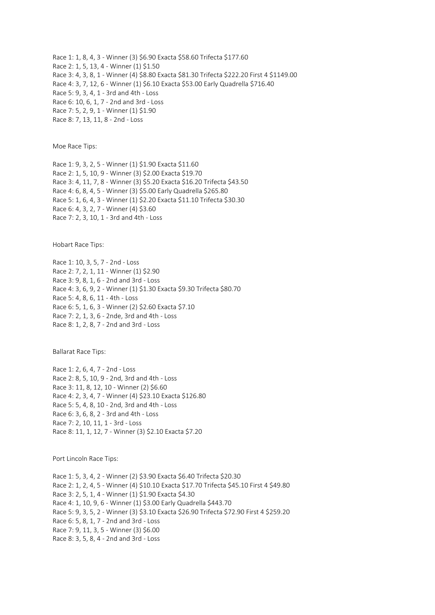Race 1: 1, 8, 4, 3 - Winner (3) \$6.90 Exacta \$58.60 Trifecta \$177.60 Race 2: 1, 5, 13, 4 - Winner (1) \$1.50 Race 3: 4, 3, 8, 1 - Winner (4) \$8.80 Exacta \$81.30 Trifecta \$222.20 First 4 \$1149.00 Race 4: 3, 7, 12, 6 - Winner (1) \$6.10 Exacta \$53.00 Early Quadrella \$716.40 Race 5: 9, 3, 4, 1 - 3rd and 4th - Loss Race 6: 10, 6, 1, 7 - 2nd and 3rd - Loss Race 7: 5, 2, 9, 1 - Winner (1) \$1.90 Race 8: 7, 13, 11, 8 - 2nd - Loss

Moe Race Tips:

Race 1: 9, 3, 2, 5 - Winner (1) \$1.90 Exacta \$11.60 Race 2: 1, 5, 10, 9 - Winner (3) \$2.00 Exacta \$19.70 Race 3: 4, 11, 7, 8 - Winner (3) \$5.20 Exacta \$16.20 Trifecta \$43.50 Race 4: 6, 8, 4, 5 - Winner (3) \$5.00 Early Quadrella \$265.80 Race 5: 1, 6, 4, 3 - Winner (1) \$2.20 Exacta \$11.10 Trifecta \$30.30 Race 6: 4, 3, 2, 7 - Winner (4) \$3.60 Race 7: 2, 3, 10, 1 - 3rd and 4th - Loss

Hobart Race Tips:

Race 1: 10, 3, 5, 7 - 2nd - Loss Race 2: 7, 2, 1, 11 - Winner (1) \$2.90 Race 3: 9, 8, 1, 6 - 2nd and 3rd - Loss Race 4: 3, 6, 9, 2 - Winner (1) \$1.30 Exacta \$9.30 Trifecta \$80.70 Race 5: 4, 8, 6, 11 - 4th - Loss Race 6: 5, 1, 6, 3 - Winner (2) \$2.60 Exacta \$7.10 Race 7: 2, 1, 3, 6 - 2nde, 3rd and 4th - Loss Race 8: 1, 2, 8, 7 - 2nd and 3rd - Loss

Ballarat Race Tips:

Race 1: 2, 6, 4, 7 - 2nd - Loss Race 2: 8, 5, 10, 9 - 2nd, 3rd and 4th - Loss Race 3: 11, 8, 12, 10 - Winner (2) \$6.60 Race 4: 2, 3, 4, 7 - Winner (4) \$23.10 Exacta \$126.80 Race 5: 5, 4, 8, 10 - 2nd, 3rd and 4th - Loss Race 6: 3, 6, 8, 2 - 3rd and 4th - Loss Race 7: 2, 10, 11, 1 - 3rd - Loss Race 8: 11, 1, 12, 7 - Winner (3) \$2.10 Exacta \$7.20

Port Lincoln Race Tips:

Race 1: 5, 3, 4, 2 - Winner (2) \$3.90 Exacta \$6.40 Trifecta \$20.30 Race 2: 1, 2, 4, 5 - Winner (4) \$10.10 Exacta \$17.70 Trifecta \$45.10 First 4 \$49.80 Race 3: 2, 5, 1, 4 - Winner (1) \$1.90 Exacta \$4.30 Race 4: 1, 10, 9, 6 - Winner (1) \$3.00 Early Quadrella \$443.70 Race 5: 9, 3, 5, 2 - Winner (3) \$3.10 Exacta \$26.90 Trifecta \$72.90 First 4 \$259.20 Race 6: 5, 8, 1, 7 - 2nd and 3rd - Loss Race 7: 9, 11, 3, 5 - Winner (3) \$6.00 Race 8: 3, 5, 8, 4 - 2nd and 3rd - Loss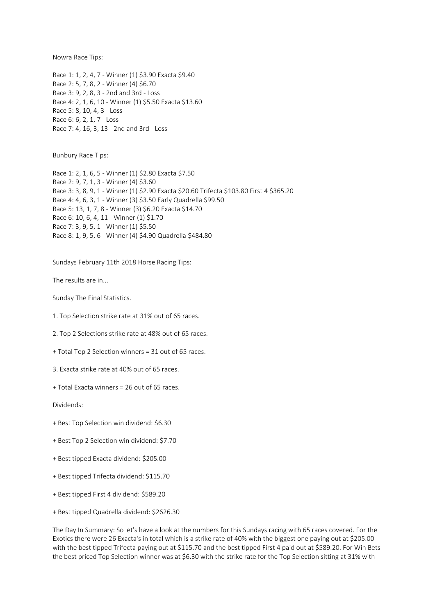Nowra Race Tips:

Race 1: 1, 2, 4, 7 - Winner (1) \$3.90 Exacta \$9.40 Race 2: 5, 7, 8, 2 - Winner (4) \$6.70 Race 3: 9, 2, 8, 3 - 2nd and 3rd - Loss Race 4: 2, 1, 6, 10 - Winner (1) \$5.50 Exacta \$13.60 Race 5: 8, 10, 4, 3 - Loss Race 6: 6, 2, 1, 7 - Loss Race 7: 4, 16, 3, 13 - 2nd and 3rd - Loss

Bunbury Race Tips:

Race 1: 2, 1, 6, 5 - Winner (1) \$2.80 Exacta \$7.50 Race 2: 9, 7, 1, 3 - Winner (4) \$3.60 Race 3: 3, 8, 9, 1 - Winner (1) \$2.90 Exacta \$20.60 Trifecta \$103.80 First 4 \$365.20 Race 4: 4, 6, 3, 1 - Winner (3) \$3.50 Early Quadrella \$99.50 Race 5: 13, 1, 7, 8 - Winner (3) \$6.20 Exacta \$14.70 Race 6: 10, 6, 4, 11 - Winner (1) \$1.70 Race 7: 3, 9, 5, 1 - Winner (1) \$5.50 Race 8: 1, 9, 5, 6 - Winner (4) \$4.90 Quadrella \$484.80

Sundays February 11th 2018 Horse Racing Tips:

The results are in...

Sunday The Final Statistics.

1. Top Selection strike rate at 31% out of 65 races.

2. Top 2 Selections strike rate at 48% out of 65 races.

+ Total Top 2 Selection winners = 31 out of 65 races.

3. Exacta strike rate at 40% out of 65 races.

+ Total Exacta winners = 26 out of 65 races.

Dividends:

- + Best Top Selection win dividend: \$6.30
- + Best Top 2 Selection win dividend: \$7.70
- + Best tipped Exacta dividend: \$205.00
- + Best tipped Trifecta dividend: \$115.70
- + Best tipped First 4 dividend: \$589.20
- + Best tipped Quadrella dividend: \$2626.30

The Day In Summary: So let's have a look at the numbers for this Sundays racing with 65 races covered. For the Exotics there were 26 Exacta's in total which is a strike rate of 40% with the biggest one paying out at \$205.00 with the best tipped Trifecta paying out at \$115.70 and the best tipped First 4 paid out at \$589.20. For Win Bets the best priced Top Selection winner was at \$6.30 with the strike rate for the Top Selection sitting at 31% with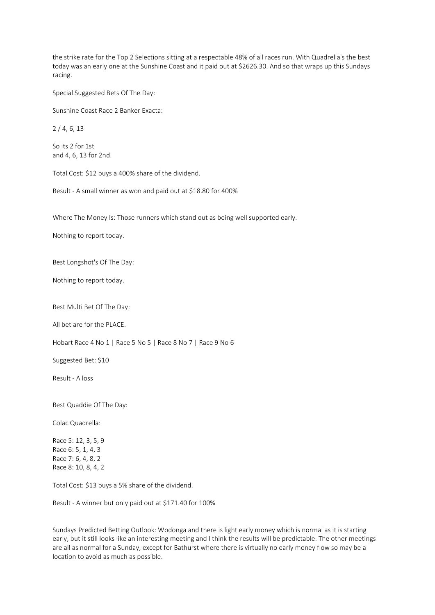the strike rate for the Top 2 Selections sitting at a respectable 48% of all races run. With Quadrella's the best today was an early one at the Sunshine Coast and it paid out at \$2626.30. And so that wraps up this Sundays racing.

Special Suggested Bets Of The Day:

Sunshine Coast Race 2 Banker Exacta:

2 / 4, 6, 13

So its 2 for 1st and 4, 6, 13 for 2nd.

Total Cost: \$12 buys a 400% share of the dividend.

Result - A small winner as won and paid out at \$18.80 for 400%

Where The Money Is: Those runners which stand out as being well supported early.

Nothing to report today.

Best Longshot's Of The Day:

Nothing to report today.

Best Multi Bet Of The Day:

All bet are for the PLACE.

Hobart Race 4 No 1 | Race 5 No 5 | Race 8 No 7 | Race 9 No 6

Suggested Bet: \$10

Result - A loss

Best Quaddie Of The Day:

Colac Quadrella:

Race 5: 12, 3, 5, 9 Race 6: 5, 1, 4, 3 Race 7: 6, 4, 8, 2 Race 8: 10, 8, 4, 2

Total Cost: \$13 buys a 5% share of the dividend.

Result - A winner but only paid out at \$171.40 for 100%

Sundays Predicted Betting Outlook: Wodonga and there is light early money which is normal as it is starting early, but it still looks like an interesting meeting and I think the results will be predictable. The other meetings are all as normal for a Sunday, except for Bathurst where there is virtually no early money flow so may be a location to avoid as much as possible.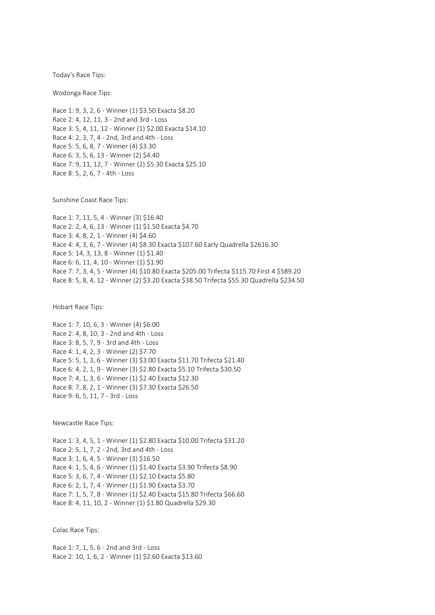Today's Race Tips:

Wodonga Race Tips:

Race 1: 9, 3, 2, 6 - Winner (1) \$3.50 Exacta \$8.20 Race 2: 4, 12, 11, 3 - 2nd and 3rd - Loss Race 3: 5, 4, 11, 12 - Winner (1) \$2.00 Exacta \$14.10 Race 4: 2, 3, 7, 4 - 2nd, 3rd and 4th - Loss Race 5: 5, 6, 8, 7 - Winner (4) \$3.30 Race 6: 3, 5, 6, 13 - Winner (2) \$4.40 Race 7: 9, 11, 12, 7 - Winner (2) \$5.30 Exacta \$25.10 Race 8: 5, 2, 6, 7 - 4th - Loss

Sunshine Coast Race Tips:

Race 1: 7, 11, 5, 4 - Winner (3) \$16.40 Race 2: 2, 4, 6, 13 - Winner (1) \$1.50 Exacta \$4.70 Race 3: 4, 8, 2, 1 - Winner (4) \$4.60 Race 4: 4, 3, 6, 7 - Winner (4) \$8.30 Exacta \$107.60 Early Quadrella \$2616.30 Race 5: 14, 3, 13, 8 - Winner (1) \$1.40 Race 6: 6, 11, 4, 10 - Winner (1) \$1.90 Race 7: 7, 3, 4, 5 - Winner (4) \$10.80 Exacta \$205.00 Trifecta \$115.70 First 4 \$589.20 Race 8: 5, 8, 4, 12 - Winner (2) \$3.20 Exacta \$38.50 Trifecta \$55.30 Quadrella \$234.50

Hobart Race Tips:

Race 1: 7, 10, 6, 3 - Winner (4) \$6.00 Race 2: 4, 8, 10, 3 - 2nd and 4th - Loss Race 3: 8, 5, 7, 9 - 3rd and 4th - Loss Race 4: 1, 4, 2, 3 - Winner (2) \$7.70 Race 5: 5, 1, 3, 6 - Winner (3) \$3.00 Exacta \$11.70 Trifecta \$21.40 Race 6: 4, 2, 1, 9 - Winner (3) \$2.80 Exacta \$5.10 Trifecta \$30.50 Race 7: 4, 1, 3, 6 - Winner (1) \$2.40 Exacta \$12.30 Race 8: 7, 8, 2, 1 - Winner (3) \$7.30 Exacta \$26.50 Race 9: 6, 5, 11, 7 - 3rd - Loss

Newcastle Race Tips:

Race 1: 3, 4, 5, 1 - Winner (1) \$2.80 Exacta \$10.00 Trifecta \$31.20 Race 2: 5, 1, 7, 2 - 2nd, 3rd and 4th - Loss Race 3: 1, 6, 4, 5 - Winner (3) \$16.50 Race 4: 1, 5, 4, 6 - Winner (1) \$1.40 Exacta \$3.90 Trifecta \$8.90 Race 5: 3, 6, 7, 4 - Winner (1) \$2.10 Exacta \$5.80 Race 6: 2, 1, 7, 4 - Winner (1) \$1.90 Exacta \$3.70 Race 7: 1, 5, 7, 8 - Winner (1) \$2.40 Exacta \$15.80 Trifecta \$66.60 Race 8: 4, 11, 10, 2 - Winner (1) \$1.80 Quadrella \$29.30

Colac Race Tips:

Race 1: 7, 1, 5, 6 - 2nd and 3rd - Loss Race 2: 10, 1, 6, 2 - Winner (1) \$2.60 Exacta \$13.60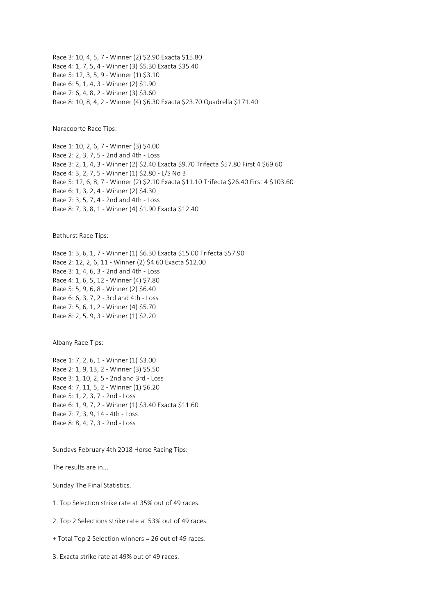Race 3: 10, 4, 5, 7 - Winner (2) \$2.90 Exacta \$15.80 Race 4: 1, 7, 5, 4 - Winner (3) \$5.30 Exacta \$35.40 Race 5: 12, 3, 5, 9 - Winner (1) \$3.10 Race 6: 5, 1, 4, 3 - Winner (2) \$1.90 Race 7: 6, 4, 8, 2 - Winner (3) \$3.60 Race 8: 10, 8, 4, 2 - Winner (4) \$6.30 Exacta \$23.70 Quadrella \$171.40

Naracoorte Race Tips:

Race 1: 10, 2, 6, 7 - Winner (3) \$4.00 Race 2: 2, 3, 7, 5 - 2nd and 4th - Loss Race 3: 2, 1, 4, 3 - Winner (2) \$2.40 Exacta \$9.70 Trifecta \$57.80 First 4 \$69.60 Race 4: 3, 2, 7, 5 - Winner (1) \$2.80 - L/S No 3 Race 5: 12, 6, 8, 7 - Winner (2) \$2.10 Exacta \$11.10 Trifecta \$26.40 First 4 \$103.60 Race 6: 1, 3, 2, 4 - Winner (2) \$4.30 Race 7: 3, 5, 7, 4 - 2nd and 4th - Loss Race 8: 7, 3, 8, 1 - Winner (4) \$1.90 Exacta \$12.40

Bathurst Race Tips:

Race 1: 3, 6, 1, 7 - Winner (1) \$6.30 Exacta \$15.00 Trifecta \$57.90 Race 2: 12, 2, 6, 11 - Winner (2) \$4.60 Exacta \$12.00 Race 3: 1, 4, 6, 3 - 2nd and 4th - Loss Race 4: 1, 6, 5, 12 - Winner (4) \$7.80 Race 5: 5, 9, 6, 8 - Winner (2) \$6.40 Race 6: 6, 3, 7, 2 - 3rd and 4th - Loss Race 7: 5, 6, 1, 2 - Winner (4) \$5.70 Race 8: 2, 5, 9, 3 - Winner (1) \$2.20

Albany Race Tips:

Race 1: 7, 2, 6, 1 - Winner (1) \$3.00 Race 2: 1, 9, 13, 2 - Winner (3) \$5.50 Race 3: 1, 10, 2, 5 - 2nd and 3rd - Loss Race 4: 7, 11, 5, 2 - Winner (1) \$6.20 Race 5: 1, 2, 3, 7 - 2nd - Loss Race 6: 1, 9, 7, 2 - Winner (1) \$3.40 Exacta \$11.60 Race 7: 7, 3, 9, 14 - 4th - Loss Race 8: 8, 4, 7, 3 - 2nd - Loss

Sundays February 4th 2018 Horse Racing Tips:

The results are in...

Sunday The Final Statistics.

1. Top Selection strike rate at 35% out of 49 races.

2. Top 2 Selections strike rate at 53% out of 49 races.

+ Total Top 2 Selection winners = 26 out of 49 races.

3. Exacta strike rate at 49% out of 49 races.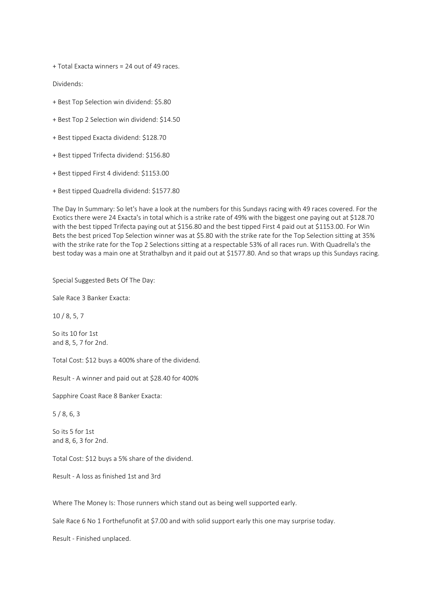+ Total Exacta winners = 24 out of 49 races.

Dividends:

- + Best Top Selection win dividend: \$5.80
- + Best Top 2 Selection win dividend: \$14.50
- + Best tipped Exacta dividend: \$128.70
- + Best tipped Trifecta dividend: \$156.80
- + Best tipped First 4 dividend: \$1153.00
- + Best tipped Quadrella dividend: \$1577.80

The Day In Summary: So let's have a look at the numbers for this Sundays racing with 49 races covered. For the Exotics there were 24 Exacta's in total which is a strike rate of 49% with the biggest one paying out at \$128.70 with the best tipped Trifecta paying out at \$156.80 and the best tipped First 4 paid out at \$1153.00. For Win Bets the best priced Top Selection winner was at \$5.80 with the strike rate for the Top Selection sitting at 35% with the strike rate for the Top 2 Selections sitting at a respectable 53% of all races run. With Quadrella's the best today was a main one at Strathalbyn and it paid out at \$1577.80. And so that wraps up this Sundays racing.

Special Suggested Bets Of The Day:

Sale Race 3 Banker Exacta:

10 / 8, 5, 7

So its 10 for 1st and 8, 5, 7 for 2nd.

Total Cost: \$12 buys a 400% share of the dividend.

Result - A winner and paid out at \$28.40 for 400%

Sapphire Coast Race 8 Banker Exacta:

5 / 8, 6, 3

So its 5 for 1st and 8, 6, 3 for 2nd.

Total Cost: \$12 buys a 5% share of the dividend.

Result - A loss as finished 1st and 3rd

Where The Money Is: Those runners which stand out as being well supported early.

Sale Race 6 No 1 Forthefunofit at \$7.00 and with solid support early this one may surprise today.

Result - Finished unplaced.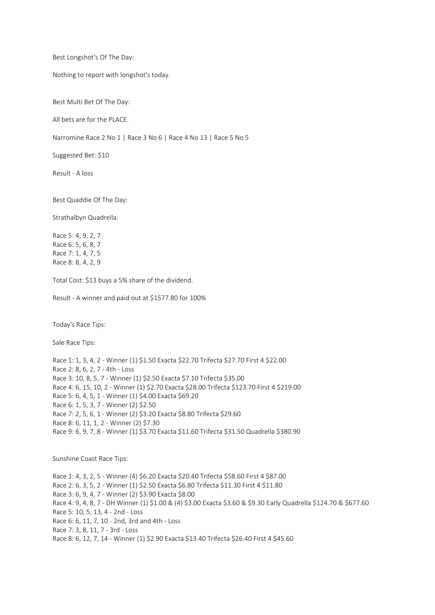Best Longshot's Of The Day:

Nothing to report with longshot's today.

Best Multi Bet Of The Day:

All bets are for the PLACE.

Narromine Race 2 No 1 | Race 3 No 6 | Race 4 No 13 | Race 5 No 5

Suggested Bet: \$10

Result - A loss

Best Quaddie Of The Day:

Strathalbyn Quadrella:

Race 5: 4, 9, 2, 7 Race 6: 5, 6, 8, 7 Race 7: 1, 4, 7, 5 Race 8: 8, 4, 2, 9

Total Cost: \$13 buys a 5% share of the dividend.

Result - A winner and paid out at \$1577.80 for 100%

Today's Race Tips:

Sale Race Tips:

Race 1: 1, 3, 4, 2 - Winner (1) \$1.50 Exacta \$22.70 Trifecta \$27.70 First 4 \$22.00 Race 2: 8, 6, 2, 7 - 4th - Loss Race 3: 10, 8, 5, 7 - Winner (1) \$2.50 Exacta \$7.10 Trifecta \$35.00 Race 4: 6, 15, 10, 2 - Winner (1) \$2.70 Exacta \$28.00 Trifecta \$123.70 First 4 \$219.00 Race 5: 6, 4, 5, 1 - Winner (1) \$4.00 Exacta \$69.20 Race 6: 1, 5, 3, 7 - Winner (2) \$2.50 Race 7: 2, 5, 6, 1 - Winner (2) \$3.20 Exacta \$8.80 Trifecta \$29.60 Race 8: 6, 11, 1, 2 - Winner (2) \$7.30 Race 9: 6, 9, 7, 8 - Winner (1) \$3.70 Exacta \$11.60 Trifecta \$31.50 Quadrella \$380.90

Sunshine Coast Race Tips:

Race 1: 4, 3, 2, 5 - Winner (4) \$6.20 Exacta \$20.40 Trifecta \$58.60 First 4 \$87.00 Race 2: 6, 3, 5, 2 - Winner (1) \$2.50 Exacta \$6.80 Trifecta \$11.30 First 4 \$11.80 Race 3: 6, 9, 4, 7 - Winner (2) \$3.90 Exacta \$8.00 Race 4: 9, 4, 8, 7 - DH Winner (1) \$1.00 & (4) \$3.00 Exacta \$3.60 & \$9.30 Early Quadrella \$124.70 & \$677.60 Race 5: 10, 5, 13, 4 - 2nd - Loss Race 6: 6, 11, 7, 10 - 2nd, 3rd and 4th - Loss Race 7: 3, 8, 11, 7 - 3rd - Loss Race 8: 6, 12, 7, 14 - Winner (1) \$2.90 Exacta \$13.40 Trifecta \$26.40 First 4 \$45.60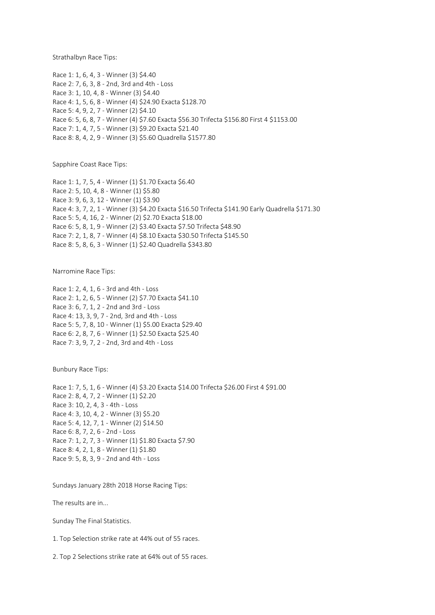Strathalbyn Race Tips:

Race 1: 1, 6, 4, 3 - Winner (3) \$4.40 Race 2: 7, 6, 3, 8 - 2nd, 3rd and 4th - Loss Race 3: 1, 10, 4, 8 - Winner (3) \$4.40 Race 4: 1, 5, 6, 8 - Winner (4) \$24.90 Exacta \$128.70 Race 5: 4, 9, 2, 7 - Winner (2) \$4.10 Race 6: 5, 6, 8, 7 - Winner (4) \$7.60 Exacta \$56.30 Trifecta \$156.80 First 4 \$1153.00 Race 7: 1, 4, 7, 5 - Winner (3) \$9.20 Exacta \$21.40 Race 8: 8, 4, 2, 9 - Winner (3) \$5.60 Quadrella \$1577.80

Sapphire Coast Race Tips:

Race 1: 1, 7, 5, 4 - Winner (1) \$1.70 Exacta \$6.40 Race 2: 5, 10, 4, 8 - Winner (1) \$5.80 Race 3: 9, 6, 3, 12 - Winner (1) \$3.90 Race 4: 3, 7, 2, 1 - Winner (3) \$4.20 Exacta \$16.50 Trifecta \$141.90 Early Quadrella \$171.30 Race 5: 5, 4, 16, 2 - Winner (2) \$2.70 Exacta \$18.00 Race 6: 5, 8, 1, 9 - Winner (2) \$3.40 Exacta \$7.50 Trifecta \$48.90 Race 7: 2, 1, 8, 7 - Winner (4) \$8.10 Exacta \$30.50 Trifecta \$145.50 Race 8: 5, 8, 6, 3 - Winner (1) \$2.40 Quadrella \$343.80

Narromine Race Tips:

Race 1: 2, 4, 1, 6 - 3rd and 4th - Loss Race 2: 1, 2, 6, 5 - Winner (2) \$7.70 Exacta \$41.10 Race 3: 6, 7, 1, 2 - 2nd and 3rd - Loss Race 4: 13, 3, 9, 7 - 2nd, 3rd and 4th - Loss Race 5: 5, 7, 8, 10 - Winner (1) \$5.00 Exacta \$29.40 Race 6: 2, 8, 7, 6 - Winner (1) \$2.50 Exacta \$25.40 Race 7: 3, 9, 7, 2 - 2nd, 3rd and 4th - Loss

Bunbury Race Tips:

Race 1: 7, 5, 1, 6 - Winner (4) \$3.20 Exacta \$14.00 Trifecta \$26.00 First 4 \$91.00 Race 2: 8, 4, 7, 2 - Winner (1) \$2.20 Race 3: 10, 2, 4, 3 - 4th - Loss Race 4: 3, 10, 4, 2 - Winner (3) \$5.20 Race 5: 4, 12, 7, 1 - Winner (2) \$14.50 Race 6: 8, 7, 2, 6 - 2nd - Loss Race 7: 1, 2, 7, 3 - Winner (1) \$1.80 Exacta \$7.90 Race 8: 4, 2, 1, 8 - Winner (1) \$1.80 Race 9: 5, 8, 3, 9 - 2nd and 4th - Loss

Sundays January 28th 2018 Horse Racing Tips:

The results are in...

Sunday The Final Statistics.

1. Top Selection strike rate at 44% out of 55 races.

2. Top 2 Selections strike rate at 64% out of 55 races.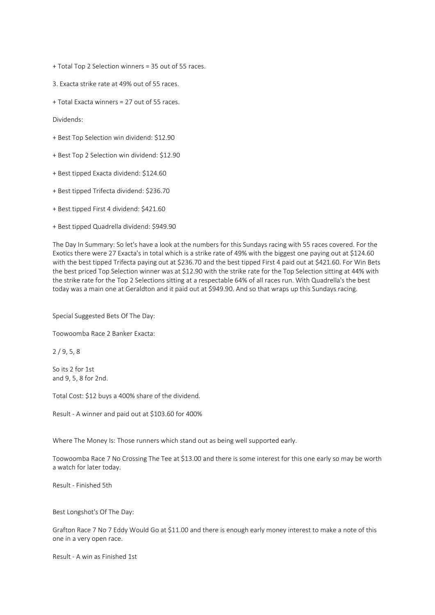+ Total Top 2 Selection winners = 35 out of 55 races.

3. Exacta strike rate at 49% out of 55 races.

+ Total Exacta winners = 27 out of 55 races.

Dividends:

+ Best Top Selection win dividend: \$12.90

+ Best Top 2 Selection win dividend: \$12.90

+ Best tipped Exacta dividend: \$124.60

+ Best tipped Trifecta dividend: \$236.70

+ Best tipped First 4 dividend: \$421.60

+ Best tipped Quadrella dividend: \$949.90

The Day In Summary: So let's have a look at the numbers for this Sundays racing with 55 races covered. For the Exotics there were 27 Exacta's in total which is a strike rate of 49% with the biggest one paying out at \$124.60 with the best tipped Trifecta paying out at \$236.70 and the best tipped First 4 paid out at \$421.60. For Win Bets the best priced Top Selection winner was at \$12.90 with the strike rate for the Top Selection sitting at 44% with the strike rate for the Top 2 Selections sitting at a respectable 64% of all races run. With Quadrella's the best today was a main one at Geraldton and it paid out at \$949.90. And so that wraps up this Sundays racing.

Special Suggested Bets Of The Day:

Toowoomba Race 2 Banker Exacta:

2 / 9, 5, 8

So its 2 for 1st and 9, 5, 8 for 2nd.

Total Cost: \$12 buys a 400% share of the dividend.

Result - A winner and paid out at \$103.60 for 400%

Where The Money Is: Those runners which stand out as being well supported early.

Toowoomba Race 7 No Crossing The Tee at \$13.00 and there is some interest for this one early so may be worth a watch for later today.

Result - Finished 5th

Best Longshot's Of The Day:

Grafton Race 7 No 7 Eddy Would Go at \$11.00 and there is enough early money interest to make a note of this one in a very open race.

Result - A win as Finished 1st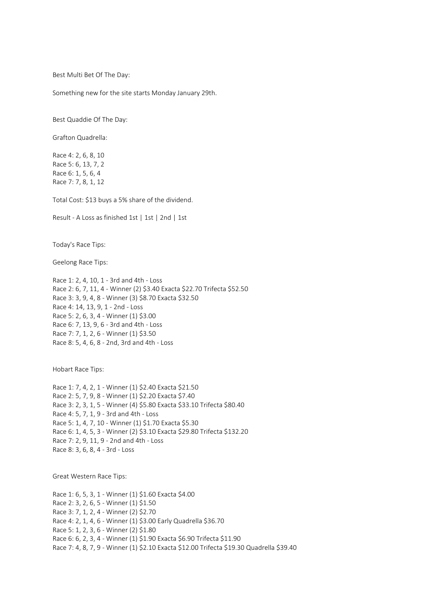Best Multi Bet Of The Day:

Something new for the site starts Monday January 29th.

Best Quaddie Of The Day:

Grafton Quadrella:

Race 4: 2, 6, 8, 10 Race 5: 6, 13, 7, 2 Race 6: 1, 5, 6, 4 Race 7: 7, 8, 1, 12

Total Cost: \$13 buys a 5% share of the dividend.

Result - A Loss as finished 1st | 1st | 2nd | 1st

Today's Race Tips:

Geelong Race Tips:

Race 1: 2, 4, 10, 1 - 3rd and 4th - Loss Race 2: 6, 7, 11, 4 - Winner (2) \$3.40 Exacta \$22.70 Trifecta \$52.50 Race 3: 3, 9, 4, 8 - Winner (3) \$8.70 Exacta \$32.50 Race 4: 14, 13, 9, 1 - 2nd - Loss Race 5: 2, 6, 3, 4 - Winner (1) \$3.00 Race 6: 7, 13, 9, 6 - 3rd and 4th - Loss Race 7: 7, 1, 2, 6 - Winner (1) \$3.50 Race 8: 5, 4, 6, 8 - 2nd, 3rd and 4th - Loss

Hobart Race Tips:

Race 1: 7, 4, 2, 1 - Winner (1) \$2.40 Exacta \$21.50 Race 2: 5, 7, 9, 8 - Winner (1) \$2.20 Exacta \$7.40 Race 3: 2, 3, 1, 5 - Winner (4) \$5.80 Exacta \$33.10 Trifecta \$80.40 Race 4: 5, 7, 1, 9 - 3rd and 4th - Loss Race 5: 1, 4, 7, 10 - Winner (1) \$1.70 Exacta \$5.30 Race 6: 1, 4, 5, 3 - Winner (2) \$3.10 Exacta \$29.80 Trifecta \$132.20 Race 7: 2, 9, 11, 9 - 2nd and 4th - Loss Race 8: 3, 6, 8, 4 - 3rd - Loss

Great Western Race Tips:

Race 1: 6, 5, 3, 1 - Winner (1) \$1.60 Exacta \$4.00 Race 2: 3, 2, 6, 5 - Winner (1) \$1.50 Race 3: 7, 1, 2, 4 - Winner (2) \$2.70 Race 4: 2, 1, 4, 6 - Winner (1) \$3.00 Early Quadrella \$36.70 Race 5: 1, 2, 3, 6 - Winner (2) \$1.80 Race 6: 6, 2, 3, 4 - Winner (1) \$1.90 Exacta \$6.90 Trifecta \$11.90 Race 7: 4, 8, 7, 9 - Winner (1) \$2.10 Exacta \$12.00 Trifecta \$19.30 Quadrella \$39.40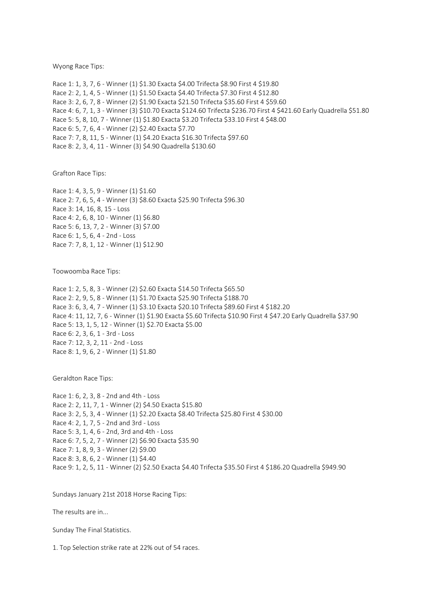Wyong Race Tips:

Race 1: 1, 3, 7, 6 - Winner (1) \$1.30 Exacta \$4.00 Trifecta \$8.90 First 4 \$19.80 Race 2: 2, 1, 4, 5 - Winner (1) \$1.50 Exacta \$4.40 Trifecta \$7.30 First 4 \$12.80 Race 3: 2, 6, 7, 8 - Winner (2) \$1.90 Exacta \$21.50 Trifecta \$35.60 First 4 \$59.60 Race 4: 6, 7, 1, 3 - Winner (3) \$10.70 Exacta \$124.60 Trifecta \$236.70 First 4 \$421.60 Early Quadrella \$51.80 Race 5: 5, 8, 10, 7 - Winner (1) \$1.80 Exacta \$3.20 Trifecta \$33.10 First 4 \$48.00 Race 6: 5, 7, 6, 4 - Winner (2) \$2.40 Exacta \$7.70 Race 7: 7, 8, 11, 5 - Winner (1) \$4.20 Exacta \$16.30 Trifecta \$97.60 Race 8: 2, 3, 4, 11 - Winner (3) \$4.90 Quadrella \$130.60

Grafton Race Tips:

Race 1: 4, 3, 5, 9 - Winner (1) \$1.60 Race 2: 7, 6, 5, 4 - Winner (3) \$8.60 Exacta \$25.90 Trifecta \$96.30 Race 3: 14, 16, 8, 15 - Loss Race 4: 2, 6, 8, 10 - Winner (1) \$6.80 Race 5: 6, 13, 7, 2 - Winner (3) \$7.00 Race 6: 1, 5, 6, 4 - 2nd - Loss Race 7: 7, 8, 1, 12 - Winner (1) \$12.90

Toowoomba Race Tips:

Race 1: 2, 5, 8, 3 - Winner (2) \$2.60 Exacta \$14.50 Trifecta \$65.50 Race 2: 2, 9, 5, 8 - Winner (1) \$1.70 Exacta \$25.90 Trifecta \$188.70 Race 3: 6, 3, 4, 7 - Winner (1) \$3.10 Exacta \$20.10 Trifecta \$89.60 First 4 \$182.20 Race 4: 11, 12, 7, 6 - Winner (1) \$1.90 Exacta \$5.60 Trifecta \$10.90 First 4 \$47.20 Early Quadrella \$37.90 Race 5: 13, 1, 5, 12 - Winner (1) \$2.70 Exacta \$5.00 Race 6: 2, 3, 6, 1 - 3rd - Loss Race 7: 12, 3, 2, 11 - 2nd - Loss Race 8: 1, 9, 6, 2 - Winner (1) \$1.80

Geraldton Race Tips:

Race 1: 6, 2, 3, 8 - 2nd and 4th - Loss Race 2: 2, 11, 7, 1 - Winner (2) \$4.50 Exacta \$15.80 Race 3: 2, 5, 3, 4 - Winner (1) \$2.20 Exacta \$8.40 Trifecta \$25.80 First 4 \$30.00 Race 4: 2, 1, 7, 5 - 2nd and 3rd - Loss Race 5: 3, 1, 4, 6 - 2nd, 3rd and 4th - Loss Race 6: 7, 5, 2, 7 - Winner (2) \$6.90 Exacta \$35.90 Race 7: 1, 8, 9, 3 - Winner (2) \$9.00 Race 8: 3, 8, 6, 2 - Winner (1) \$4.40 Race 9: 1, 2, 5, 11 - Winner (2) \$2.50 Exacta \$4.40 Trifecta \$35.50 First 4 \$186.20 Quadrella \$949.90

Sundays January 21st 2018 Horse Racing Tips:

The results are in...

Sunday The Final Statistics.

1. Top Selection strike rate at 22% out of 54 races.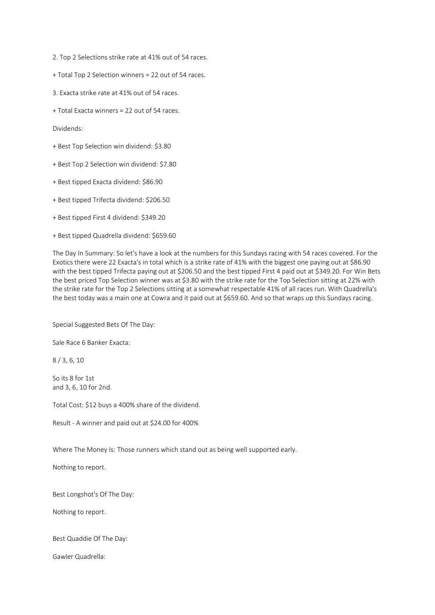2. Top 2 Selections strike rate at 41% out of 54 races.

+ Total Top 2 Selection winners = 22 out of 54 races.

- 3. Exacta strike rate at 41% out of 54 races.
- + Total Exacta winners = 22 out of 54 races.

Dividends:

- + Best Top Selection win dividend: \$3.80
- + Best Top 2 Selection win dividend: \$7.80
- + Best tipped Exacta dividend: \$86.90
- + Best tipped Trifecta dividend: \$206.50
- + Best tipped First 4 dividend: \$349.20
- + Best tipped Quadrella dividend: \$659.60

The Day In Summary: So let's have a look at the numbers for this Sundays racing with 54 races covered. For the Exotics there were 22 Exacta's in total which is a strike rate of 41% with the biggest one paying out at \$86.90 with the best tipped Trifecta paying out at \$206.50 and the best tipped First 4 paid out at \$349.20. For Win Bets the best priced Top Selection winner was at \$3.80 with the strike rate for the Top Selection sitting at 22% with the strike rate for the Top 2 Selections sitting at a somewhat respectable 41% of all races run. With Quadrella's the best today was a main one at Cowra and it paid out at \$659.60. And so that wraps up this Sundays racing.

Special Suggested Bets Of The Day:

Sale Race 6 Banker Exacta:

8 / 3, 6, 10

So its 8 for 1st and 3, 6, 10 for 2nd.

Total Cost: \$12 buys a 400% share of the dividend.

Result - A winner and paid out at \$24.00 for 400%

Where The Money Is: Those runners which stand out as being well supported early.

Nothing to report.

Best Longshot's Of The Day:

Nothing to report.

Best Quaddie Of The Day:

Gawler Quadrella: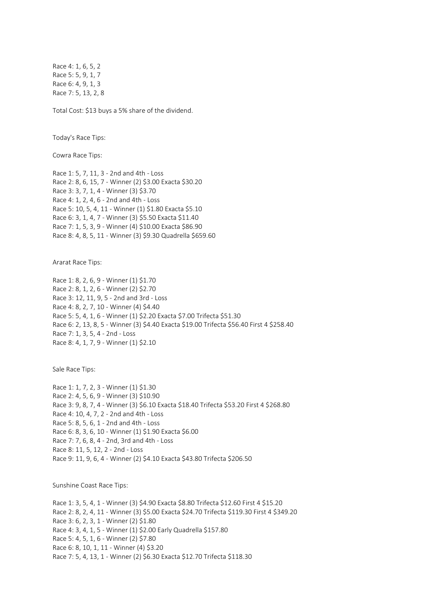Race 4: 1, 6, 5, 2 Race 5: 5, 9, 1, 7 Race 6: 4, 9, 1, 3 Race 7: 5, 13, 2, 8

Total Cost: \$13 buys a 5% share of the dividend.

Today's Race Tips:

Cowra Race Tips:

Race 1: 5, 7, 11, 3 - 2nd and 4th - Loss Race 2: 8, 6, 15, 7 - Winner (2) \$3.00 Exacta \$30.20 Race 3: 3, 7, 1, 4 - Winner (3) \$3.70 Race 4: 1, 2, 4, 6 - 2nd and 4th - Loss Race 5: 10, 5, 4, 11 - Winner (1) \$1.80 Exacta \$5.10 Race 6: 3, 1, 4, 7 - Winner (3) \$5.50 Exacta \$11.40 Race 7: 1, 5, 3, 9 - Winner (4) \$10.00 Exacta \$86.90 Race 8: 4, 8, 5, 11 - Winner (3) \$9.30 Quadrella \$659.60

Ararat Race Tips:

Race 1: 8, 2, 6, 9 - Winner (1) \$1.70 Race 2: 8, 1, 2, 6 - Winner (2) \$2.70 Race 3: 12, 11, 9, 5 - 2nd and 3rd - Loss Race 4: 8, 2, 7, 10 - Winner (4) \$4.40 Race 5: 5, 4, 1, 6 - Winner (1) \$2.20 Exacta \$7.00 Trifecta \$51.30 Race 6: 2, 13, 8, 5 - Winner (3) \$4.40 Exacta \$19.00 Trifecta \$56.40 First 4 \$258.40 Race 7: 1, 3, 5, 4 - 2nd - Loss Race 8: 4, 1, 7, 9 - Winner (1) \$2.10

Sale Race Tips:

Race 1: 1, 7, 2, 3 - Winner (1) \$1.30 Race 2: 4, 5, 6, 9 - Winner (3) \$10.90 Race 3: 9, 8, 7, 4 - Winner (3) \$6.10 Exacta \$18.40 Trifecta \$53.20 First 4 \$268.80 Race 4: 10, 4, 7, 2 - 2nd and 4th - Loss Race 5: 8, 5, 6, 1 - 2nd and 4th - Loss Race 6: 8, 3, 6, 10 - Winner (1) \$1.90 Exacta \$6.00 Race 7: 7, 6, 8, 4 - 2nd, 3rd and 4th - Loss Race 8: 11, 5, 12, 2 - 2nd - Loss Race 9: 11, 9, 6, 4 - Winner (2) \$4.10 Exacta \$43.80 Trifecta \$206.50

Sunshine Coast Race Tips:

Race 1: 3, 5, 4, 1 - Winner (3) \$4.90 Exacta \$8.80 Trifecta \$12.60 First 4 \$15.20 Race 2: 8, 2, 4, 11 - Winner (3) \$5.00 Exacta \$24.70 Trifecta \$119.30 First 4 \$349.20 Race 3: 6, 2, 3, 1 - Winner (2) \$1.80 Race 4: 3, 4, 1, 5 - Winner (1) \$2.00 Early Quadrella \$157.80 Race 5: 4, 5, 1, 6 - Winner (2) \$7.80 Race 6: 8, 10, 1, 11 - Winner (4) \$3.20 Race 7: 5, 4, 13, 1 - Winner (2) \$6.30 Exacta \$12.70 Trifecta \$118.30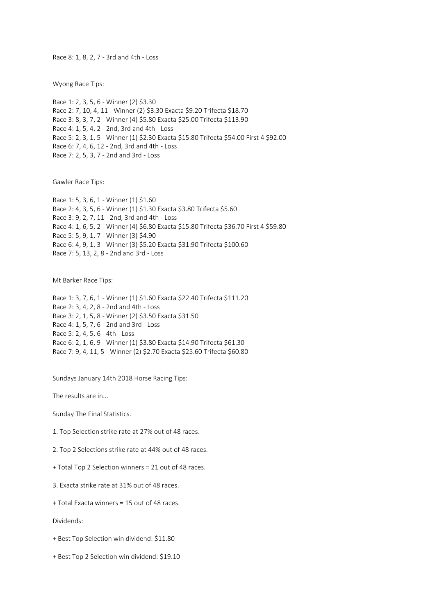Race 8: 1, 8, 2, 7 - 3rd and 4th - Loss

Wyong Race Tips:

Race 1: 2, 3, 5, 6 - Winner (2) \$3.30 Race 2: 7, 10, 4, 11 - Winner (2) \$3.30 Exacta \$9.20 Trifecta \$18.70 Race 3: 8, 3, 7, 2 - Winner (4) \$5.80 Exacta \$25.00 Trifecta \$113.90 Race 4: 1, 5, 4, 2 - 2nd, 3rd and 4th - Loss Race 5: 2, 3, 1, 5 - Winner (1) \$2.30 Exacta \$15.80 Trifecta \$54.00 First 4 \$92.00 Race 6: 7, 4, 6, 12 - 2nd, 3rd and 4th - Loss Race 7: 2, 5, 3, 7 - 2nd and 3rd - Loss

Gawler Race Tips:

Race 1: 5, 3, 6, 1 - Winner (1) \$1.60 Race 2: 4, 3, 5, 6 - Winner (1) \$1.30 Exacta \$3.80 Trifecta \$5.60 Race 3: 9, 2, 7, 11 - 2nd, 3rd and 4th - Loss Race 4: 1, 6, 5, 2 - Winner (4) \$6.80 Exacta \$15.80 Trifecta \$36.70 First 4 \$59.80 Race 5: 5, 9, 1, 7 - Winner (3) \$4.90 Race 6: 4, 9, 1, 3 - Winner (3) \$5.20 Exacta \$31.90 Trifecta \$100.60 Race 7: 5, 13, 2, 8 - 2nd and 3rd - Loss

Mt Barker Race Tips:

Race 1: 3, 7, 6, 1 - Winner (1) \$1.60 Exacta \$22.40 Trifecta \$111.20 Race 2: 3, 4, 2, 8 - 2nd and 4th - Loss Race 3: 2, 1, 5, 8 - Winner (2) \$3.50 Exacta \$31.50 Race 4: 1, 5, 7, 6 - 2nd and 3rd - Loss Race 5: 2, 4, 5, 6 - 4th - Loss Race 6: 2, 1, 6, 9 - Winner (1) \$3.80 Exacta \$14.90 Trifecta \$61.30 Race 7: 9, 4, 11, 5 - Winner (2) \$2.70 Exacta \$25.60 Trifecta \$60.80

Sundays January 14th 2018 Horse Racing Tips:

The results are in...

Sunday The Final Statistics.

1. Top Selection strike rate at 27% out of 48 races.

2. Top 2 Selections strike rate at 44% out of 48 races.

+ Total Top 2 Selection winners = 21 out of 48 races.

3. Exacta strike rate at 31% out of 48 races.

+ Total Exacta winners = 15 out of 48 races.

Dividends:

+ Best Top Selection win dividend: \$11.80

+ Best Top 2 Selection win dividend: \$19.10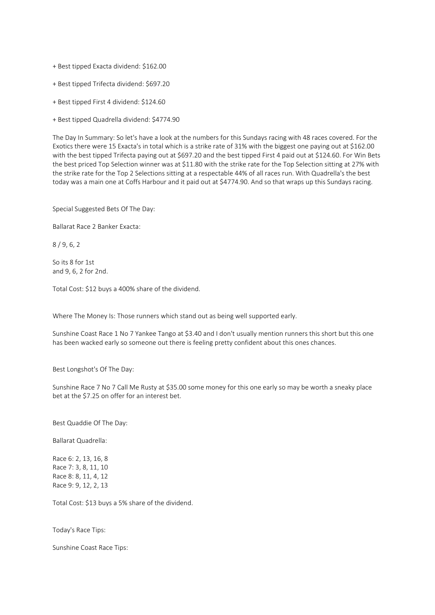+ Best tipped Exacta dividend: \$162.00

+ Best tipped Trifecta dividend: \$697.20

+ Best tipped First 4 dividend: \$124.60

+ Best tipped Quadrella dividend: \$4774.90

The Day In Summary: So let's have a look at the numbers for this Sundays racing with 48 races covered. For the Exotics there were 15 Exacta's in total which is a strike rate of 31% with the biggest one paying out at \$162.00 with the best tipped Trifecta paying out at \$697.20 and the best tipped First 4 paid out at \$124.60. For Win Bets the best priced Top Selection winner was at \$11.80 with the strike rate for the Top Selection sitting at 27% with the strike rate for the Top 2 Selections sitting at a respectable 44% of all races run. With Quadrella's the best today was a main one at Coffs Harbour and it paid out at \$4774.90. And so that wraps up this Sundays racing.

Special Suggested Bets Of The Day:

Ballarat Race 2 Banker Exacta:

8 / 9, 6, 2

So its 8 for 1st and 9, 6, 2 for 2nd.

Total Cost: \$12 buys a 400% share of the dividend.

Where The Money Is: Those runners which stand out as being well supported early.

Sunshine Coast Race 1 No 7 Yankee Tango at \$3.40 and I don't usually mention runners this short but this one has been wacked early so someone out there is feeling pretty confident about this ones chances.

Best Longshot's Of The Day:

Sunshine Race 7 No 7 Call Me Rusty at \$35.00 some money for this one early so may be worth a sneaky place bet at the \$7.25 on offer for an interest bet.

Best Quaddie Of The Day:

Ballarat Quadrella:

Race 6: 2, 13, 16, 8 Race 7: 3, 8, 11, 10 Race 8: 8, 11, 4, 12 Race 9: 9, 12, 2, 13

Total Cost: \$13 buys a 5% share of the dividend.

Today's Race Tips:

Sunshine Coast Race Tips: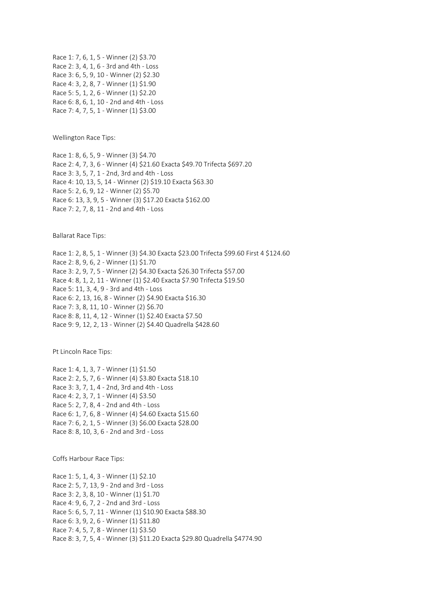Race 1: 7, 6, 1, 5 - Winner (2) \$3.70 Race 2: 3, 4, 1, 6 - 3rd and 4th - Loss Race 3: 6, 5, 9, 10 - Winner (2) \$2.30 Race 4: 3, 2, 8, 7 - Winner (1) \$1.90 Race 5: 5, 1, 2, 6 - Winner (1) \$2.20 Race 6: 8, 6, 1, 10 - 2nd and 4th - Loss Race 7: 4, 7, 5, 1 - Winner (1) \$3.00

Wellington Race Tips:

Race 1: 8, 6, 5, 9 - Winner (3) \$4.70 Race 2: 4, 7, 3, 6 - Winner (4) \$21.60 Exacta \$49.70 Trifecta \$697.20 Race 3: 3, 5, 7, 1 - 2nd, 3rd and 4th - Loss Race 4: 10, 13, 5, 14 - Winner (2) \$19.10 Exacta \$63.30 Race 5: 2, 6, 9, 12 - Winner (2) \$5.70 Race 6: 13, 3, 9, 5 - Winner (3) \$17.20 Exacta \$162.00 Race 7: 2, 7, 8, 11 - 2nd and 4th - Loss

Ballarat Race Tips:

Race 1: 2, 8, 5, 1 - Winner (3) \$4.30 Exacta \$23.00 Trifecta \$99.60 First 4 \$124.60 Race 2: 8, 9, 6, 2 - Winner (1) \$1.70 Race 3: 2, 9, 7, 5 - Winner (2) \$4.30 Exacta \$26.30 Trifecta \$57.00 Race 4: 8, 1, 2, 11 - Winner (1) \$2.40 Exacta \$7.90 Trifecta \$19.50 Race 5: 11, 3, 4, 9 - 3rd and 4th - Loss Race 6: 2, 13, 16, 8 - Winner (2) \$4.90 Exacta \$16.30 Race 7: 3, 8, 11, 10 - Winner (2) \$6.70 Race 8: 8, 11, 4, 12 - Winner (1) \$2.40 Exacta \$7.50 Race 9: 9, 12, 2, 13 - Winner (2) \$4.40 Quadrella \$428.60

Pt Lincoln Race Tips:

Race 1: 4, 1, 3, 7 - Winner (1) \$1.50 Race 2: 2, 5, 7, 6 - Winner (4) \$3.80 Exacta \$18.10 Race 3: 3, 7, 1, 4 - 2nd, 3rd and 4th - Loss Race 4: 2, 3, 7, 1 - Winner (4) \$3.50 Race 5: 2, 7, 8, 4 - 2nd and 4th - Loss Race 6: 1, 7, 6, 8 - Winner (4) \$4.60 Exacta \$15.60 Race 7: 6, 2, 1, 5 - Winner (3) \$6.00 Exacta \$28.00 Race 8: 8, 10, 3, 6 - 2nd and 3rd - Loss

Coffs Harbour Race Tips:

Race 1: 5, 1, 4, 3 - Winner (1) \$2.10 Race 2: 5, 7, 13, 9 - 2nd and 3rd - Loss Race 3: 2, 3, 8, 10 - Winner (1) \$1.70 Race 4: 9, 6, 7, 2 - 2nd and 3rd - Loss Race 5: 6, 5, 7, 11 - Winner (1) \$10.90 Exacta \$88.30 Race 6: 3, 9, 2, 6 - Winner (1) \$11.80 Race 7: 4, 5, 7, 8 - Winner (1) \$3.50 Race 8: 3, 7, 5, 4 - Winner (3) \$11.20 Exacta \$29.80 Quadrella \$4774.90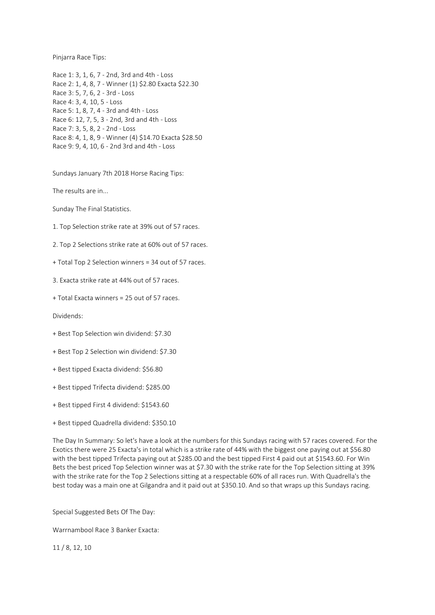Pinjarra Race Tips:

Race 1: 3, 1, 6, 7 - 2nd, 3rd and 4th - Loss Race 2: 1, 4, 8, 7 - Winner (1) \$2.80 Exacta \$22.30 Race 3: 5, 7, 6, 2 - 3rd - Loss Race 4: 3, 4, 10, 5 - Loss Race 5: 1, 8, 7, 4 - 3rd and 4th - Loss Race 6: 12, 7, 5, 3 - 2nd, 3rd and 4th - Loss Race 7: 3, 5, 8, 2 - 2nd - Loss Race 8: 4, 1, 8, 9 - Winner (4) \$14.70 Exacta \$28.50 Race 9: 9, 4, 10, 6 - 2nd 3rd and 4th - Loss

Sundays January 7th 2018 Horse Racing Tips:

The results are in...

Sunday The Final Statistics.

1. Top Selection strike rate at 39% out of 57 races.

2. Top 2 Selections strike rate at 60% out of 57 races.

+ Total Top 2 Selection winners = 34 out of 57 races.

3. Exacta strike rate at 44% out of 57 races.

+ Total Exacta winners = 25 out of 57 races.

Dividends:

- + Best Top Selection win dividend: \$7.30
- + Best Top 2 Selection win dividend: \$7.30
- + Best tipped Exacta dividend: \$56.80
- + Best tipped Trifecta dividend: \$285.00
- + Best tipped First 4 dividend: \$1543.60
- + Best tipped Quadrella dividend: \$350.10

The Day In Summary: So let's have a look at the numbers for this Sundays racing with 57 races covered. For the Exotics there were 25 Exacta's in total which is a strike rate of 44% with the biggest one paying out at \$56.80 with the best tipped Trifecta paying out at \$285.00 and the best tipped First 4 paid out at \$1543.60. For Win Bets the best priced Top Selection winner was at \$7.30 with the strike rate for the Top Selection sitting at 39% with the strike rate for the Top 2 Selections sitting at a respectable 60% of all races run. With Quadrella's the best today was a main one at Gilgandra and it paid out at \$350.10. And so that wraps up this Sundays racing.

Special Suggested Bets Of The Day:

Warrnambool Race 3 Banker Exacta:

11 / 8, 12, 10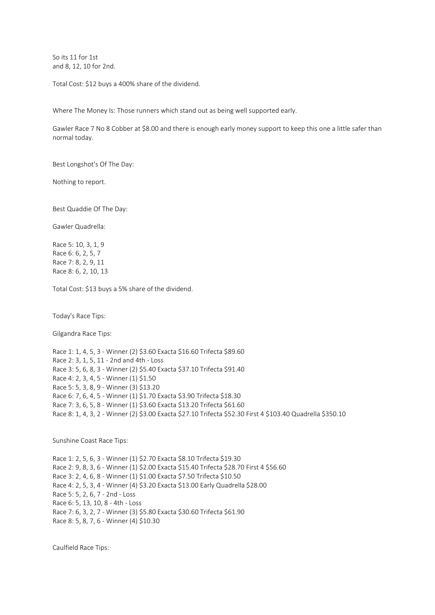So its 11 for 1st and 8, 12, 10 for 2nd.

Total Cost: \$12 buys a 400% share of the dividend.

Where The Money Is: Those runners which stand out as being well supported early.

Gawler Race 7 No 8 Cobber at \$8.00 and there is enough early money support to keep this one a little safer than normal today.

Best Longshot's Of The Day:

Nothing to report.

Best Quaddie Of The Day:

Gawler Quadrella:

Race 5: 10, 3, 1, 9 Race 6: 6, 2, 5, 7 Race 7: 8, 2, 9, 11 Race 8: 6, 2, 10, 13

Total Cost: \$13 buys a 5% share of the dividend.

Today's Race Tips:

Gilgandra Race Tips:

Race 1: 1, 4, 5, 3 - Winner (2) \$3.60 Exacta \$16.60 Trifecta \$89.60 Race 2: 3, 1, 5, 11 - 2nd and 4th - Loss Race 3: 5, 6, 8, 3 - Winner (2) \$5.40 Exacta \$37.10 Trifecta \$91.40 Race 4: 2, 3, 4, 5 - Winner (1) \$1.50 Race 5: 5, 3, 8, 9 - Winner (3) \$13.20 Race 6: 7, 6, 4, 5 - Winner (1) \$1.70 Exacta \$3.90 Trifecta \$18.30 Race 7: 3, 6, 5, 8 - Winner (1) \$3.60 Exacta \$13.20 Trifecta \$61.60 Race 8: 1, 4, 3, 2 - Winner (2) \$3.00 Exacta \$27.10 Trifecta \$52.30 First 4 \$103.40 Quadrella \$350.10

Sunshine Coast Race Tips:

Race 1: 2, 5, 6, 3 - Winner (1) \$2.70 Exacta \$8.10 Trifecta \$19.30 Race 2: 9, 8, 3, 6 - Winner (1) \$2.00 Exacta \$15.40 Trifecta \$28.70 First 4 \$56.60 Race 3: 2, 4, 6, 8 - Winner (1) \$1.00 Exacta \$7.50 Trifecta \$10.50 Race 4: 2, 5, 3, 4 - Winner (4) \$3.20 Exacta \$13.00 Early Quadrella \$28.00 Race 5: 5, 2, 6, 7 - 2nd - Loss Race 6: 5, 13, 10, 8 - 4th - Loss Race 7: 6, 3, 2, 7 - Winner (3) \$5.80 Exacta \$30.60 Trifecta \$61.90 Race 8: 5, 8, 7, 6 - Winner (4) \$10.30

Caulfield Race Tips: